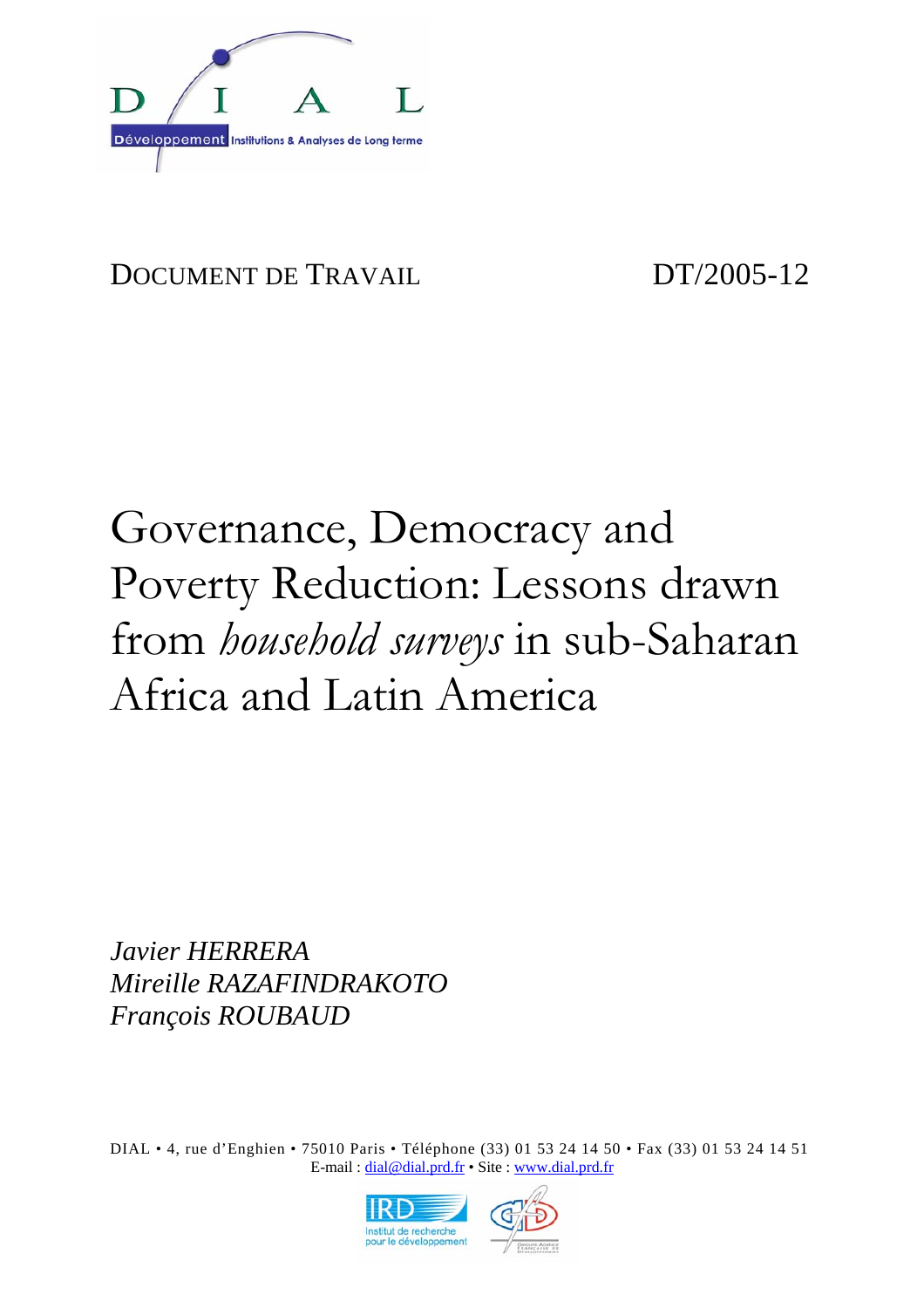

# DOCUMENT DE TRAVAIL DT/2005-12

# Governance, Democracy and Poverty Reduction: Lessons drawn from *household surveys* in sub-Saharan Africa and Latin America

*Javier HERRERA Mireille RAZAFINDRAKOTO François ROUBAUD* 

DIAL • 4, rue d'Enghien • 75010 Paris • Téléphone (33) 01 53 24 14 50 • Fax (33) 01 53 24 14 51 E-mail : dial@dial.prd.fr • Site : www.dial.prd.fr

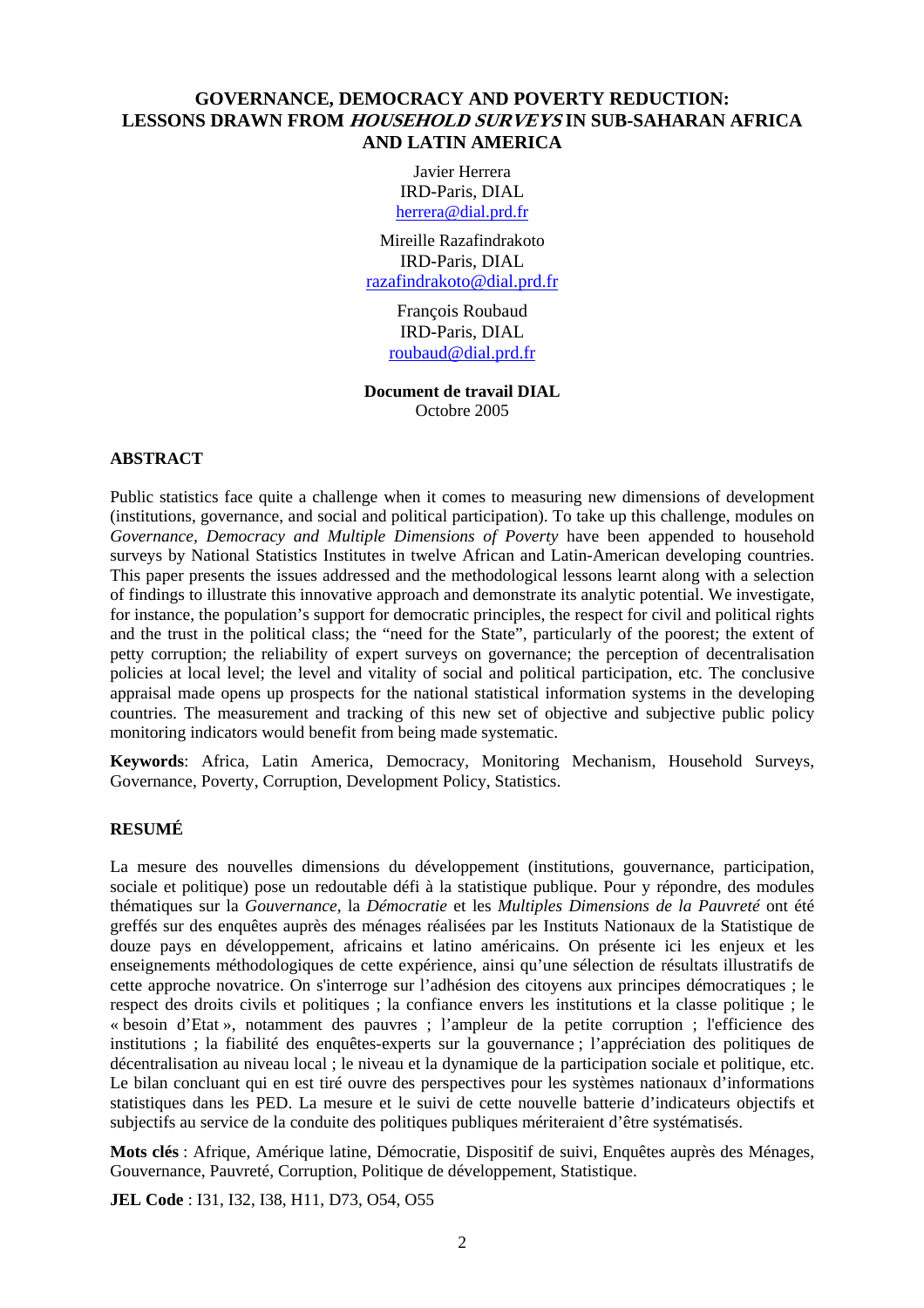# **GOVERNANCE, DEMOCRACY AND POVERTY REDUCTION: LESSONS DRAWN FROM HOUSEHOLD SURVEYS IN SUB-SAHARAN AFRICA AND LATIN AMERICA**

Javier Herrera IRD-Paris, DIAL herrera@dial.prd.fr

Mireille Razafindrakoto IRD-Paris, DIAL razafindrakoto@dial.prd.fr

> François Roubaud IRD-Paris, DIAL roubaud@dial.prd.fr

**Document de travail DIAL**  Octobre 2005

#### **ABSTRACT**

Public statistics face quite a challenge when it comes to measuring new dimensions of development (institutions, governance, and social and political participation). To take up this challenge, modules on *Governance, Democracy and Multiple Dimensions of Poverty* have been appended to household surveys by National Statistics Institutes in twelve African and Latin-American developing countries. This paper presents the issues addressed and the methodological lessons learnt along with a selection of findings to illustrate this innovative approach and demonstrate its analytic potential. We investigate, for instance, the population's support for democratic principles, the respect for civil and political rights and the trust in the political class; the "need for the State", particularly of the poorest; the extent of petty corruption; the reliability of expert surveys on governance; the perception of decentralisation policies at local level; the level and vitality of social and political participation, etc. The conclusive appraisal made opens up prospects for the national statistical information systems in the developing countries. The measurement and tracking of this new set of objective and subjective public policy monitoring indicators would benefit from being made systematic.

**Keywords**: Africa, Latin America, Democracy, Monitoring Mechanism, Household Surveys, Governance, Poverty, Corruption, Development Policy, Statistics.

# **RESUMÉ**

La mesure des nouvelles dimensions du développement (institutions, gouvernance, participation, sociale et politique) pose un redoutable défi à la statistique publique. Pour y répondre, des modules thématiques sur la *Gouvernance*, la *Démocratie* et les *Multiples Dimensions de la Pauvreté* ont été greffés sur des enquêtes auprès des ménages réalisées par les Instituts Nationaux de la Statistique de douze pays en développement, africains et latino américains. On présente ici les enjeux et les enseignements méthodologiques de cette expérience, ainsi qu'une sélection de résultats illustratifs de cette approche novatrice. On s'interroge sur l'adhésion des citoyens aux principes démocratiques ; le respect des droits civils et politiques ; la confiance envers les institutions et la classe politique ; le « besoin d'Etat », notamment des pauvres ; l'ampleur de la petite corruption ; l'efficience des institutions ; la fiabilité des enquêtes-experts sur la gouvernance ; l'appréciation des politiques de décentralisation au niveau local ; le niveau et la dynamique de la participation sociale et politique, etc. Le bilan concluant qui en est tiré ouvre des perspectives pour les systèmes nationaux d'informations statistiques dans les PED. La mesure et le suivi de cette nouvelle batterie d'indicateurs objectifs et subjectifs au service de la conduite des politiques publiques mériteraient d'être systématisés.

**Mots clés** : Afrique, Amérique latine, Démocratie, Dispositif de suivi, Enquêtes auprès des Ménages, Gouvernance, Pauvreté, Corruption, Politique de développement, Statistique.

**JEL Code** : I31, I32, I38, H11, D73, O54, O55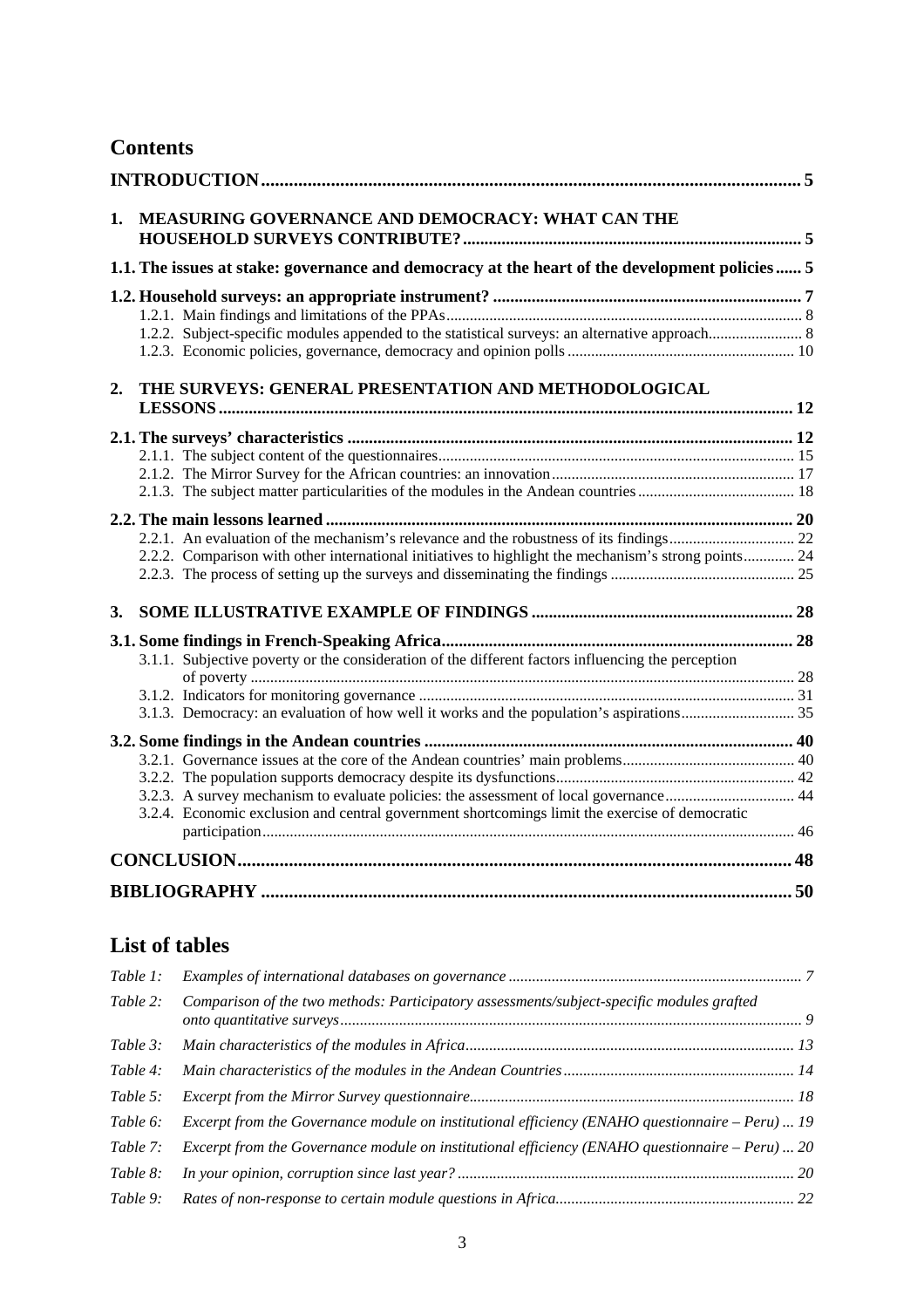# **Contents**

| 1. | MEASURING GOVERNANCE AND DEMOCRACY: WHAT CAN THE                                                     |  |
|----|------------------------------------------------------------------------------------------------------|--|
|    | 1.1. The issues at stake: governance and democracy at the heart of the development policies  5       |  |
|    | 1.2.2. Subject-specific modules appended to the statistical surveys: an alternative approach 8       |  |
| 2. | THE SURVEYS: GENERAL PRESENTATION AND METHODOLOGICAL                                                 |  |
|    |                                                                                                      |  |
|    |                                                                                                      |  |
|    |                                                                                                      |  |
|    |                                                                                                      |  |
|    |                                                                                                      |  |
|    |                                                                                                      |  |
|    | 2.2.2. Comparison with other international initiatives to highlight the mechanism's strong points 24 |  |
| 3. |                                                                                                      |  |
|    |                                                                                                      |  |
|    | 3.1.1. Subjective poverty or the consideration of the different factors influencing the perception   |  |
|    |                                                                                                      |  |
|    |                                                                                                      |  |
|    |                                                                                                      |  |
|    |                                                                                                      |  |
|    |                                                                                                      |  |
|    |                                                                                                      |  |
|    | 3.2.4. Economic exclusion and central government shortcomings limit the exercise of democratic       |  |
|    |                                                                                                      |  |
|    |                                                                                                      |  |
|    |                                                                                                      |  |

# **List of tables**

| Table 1: |                                                                                                       |  |
|----------|-------------------------------------------------------------------------------------------------------|--|
| Table 2: | Comparison of the two methods: Participatory assessments/subject-specific modules grafted             |  |
| Table 3: |                                                                                                       |  |
| Table 4: |                                                                                                       |  |
| Table 5: |                                                                                                       |  |
| Table 6: | <i>Excerpt from the Governance module on institutional efficiency (ENAHO questionnaire – Peru)</i> 19 |  |
| Table 7: | Excerpt from the Governance module on institutional efficiency (ENAHO questionnaire – Peru)  20       |  |
| Table 8: |                                                                                                       |  |
| Table 9: |                                                                                                       |  |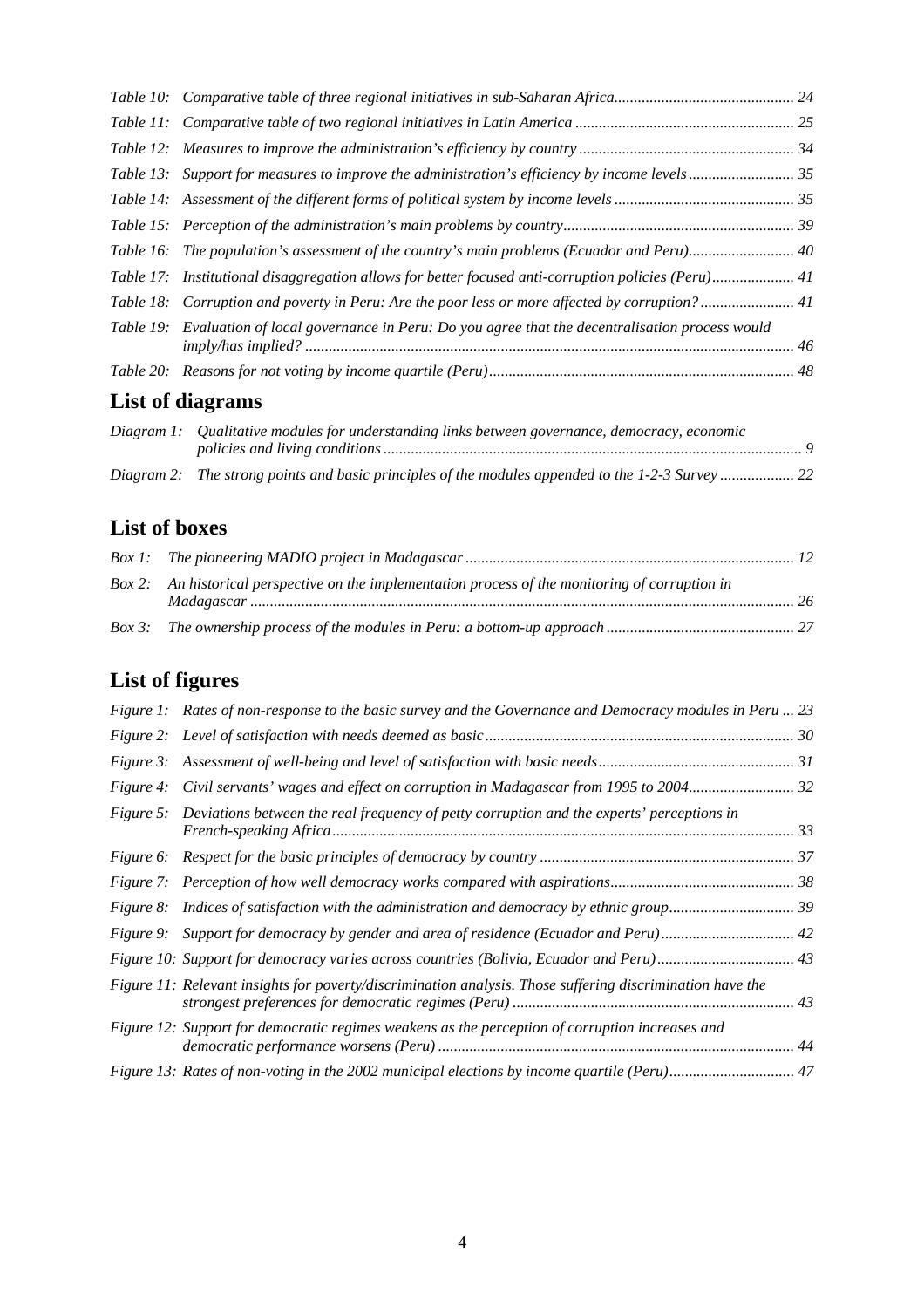| Table 17: Institutional disaggregation allows for better focused anti-corruption policies (Peru) 41    |  |
|--------------------------------------------------------------------------------------------------------|--|
| Table 18: Corruption and poverty in Peru: Are the poor less or more affected by corruption? 41         |  |
| Table 19: Evaluation of local governance in Peru: Do you agree that the decentralisation process would |  |
|                                                                                                        |  |
| List of diagrams                                                                                       |  |

| Diagram 1: Qualitative modules for understanding links between governance, democracy, economic   |  |
|--------------------------------------------------------------------------------------------------|--|
| Diagram 2: The strong points and basic principles of the modules appended to the 1-2-3 Survey 22 |  |

# **List of boxes**

| Box 2: An historical perspective on the implementation process of the monitoring of corruption in |  |
|---------------------------------------------------------------------------------------------------|--|
|                                                                                                   |  |

# **List of figures**

| Figure 1: Rates of non-response to the basic survey and the Governance and Democracy modules in Peru  23  |  |
|-----------------------------------------------------------------------------------------------------------|--|
|                                                                                                           |  |
|                                                                                                           |  |
|                                                                                                           |  |
| Figure 5: Deviations between the real frequency of petty corruption and the experts' perceptions in       |  |
|                                                                                                           |  |
|                                                                                                           |  |
|                                                                                                           |  |
|                                                                                                           |  |
|                                                                                                           |  |
| Figure 11: Relevant insights for poverty/discrimination analysis. Those suffering discrimination have the |  |
| Figure 12: Support for democratic regimes weakens as the perception of corruption increases and           |  |
| Figure 13: Rates of non-voting in the 2002 municipal elections by income quartile (Peru) 47               |  |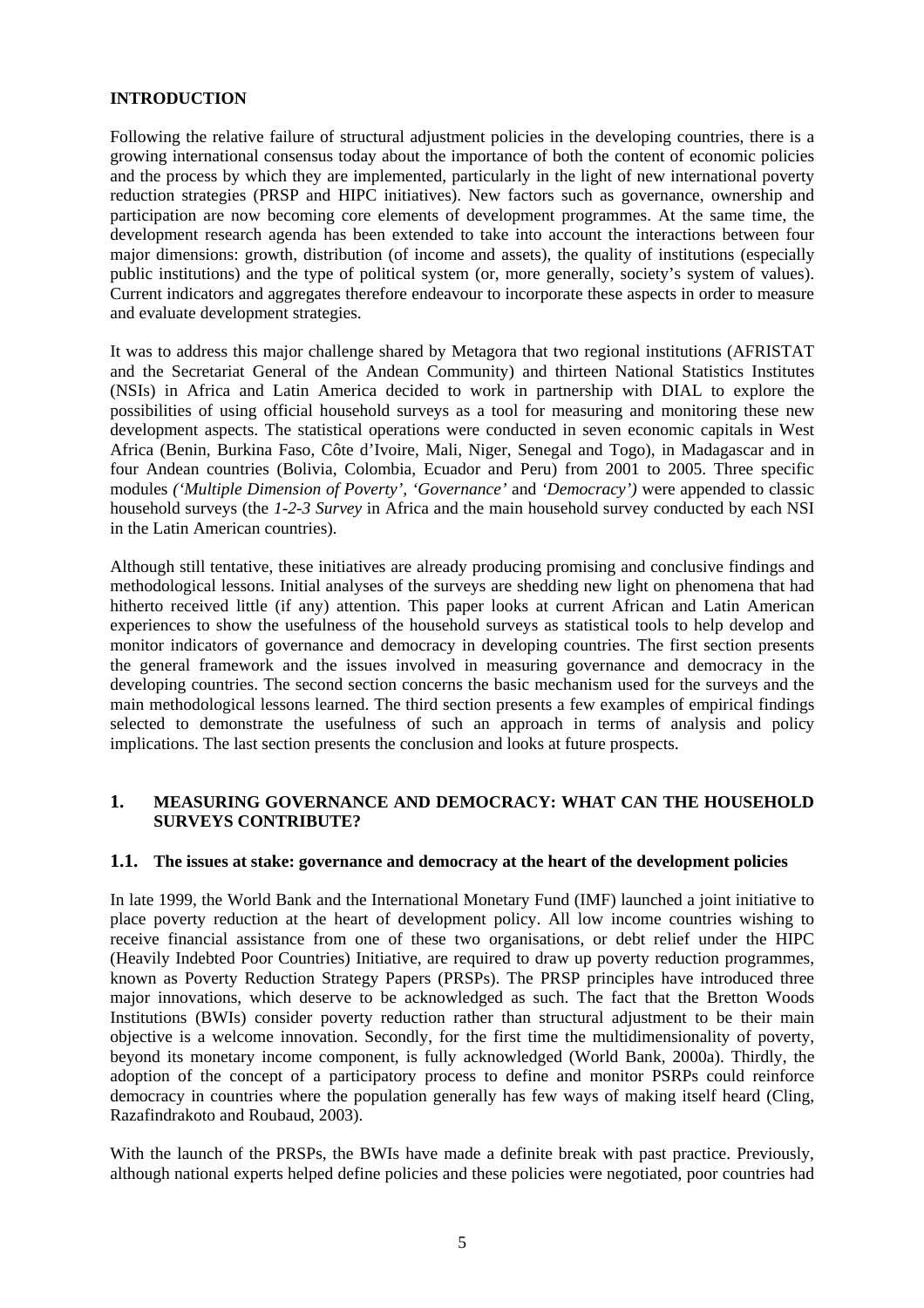#### **INTRODUCTION**

Following the relative failure of structural adjustment policies in the developing countries, there is a growing international consensus today about the importance of both the content of economic policies and the process by which they are implemented, particularly in the light of new international poverty reduction strategies (PRSP and HIPC initiatives). New factors such as governance, ownership and participation are now becoming core elements of development programmes. At the same time, the development research agenda has been extended to take into account the interactions between four major dimensions: growth, distribution (of income and assets), the quality of institutions (especially public institutions) and the type of political system (or, more generally, society's system of values). Current indicators and aggregates therefore endeavour to incorporate these aspects in order to measure and evaluate development strategies.

It was to address this major challenge shared by Metagora that two regional institutions (AFRISTAT and the Secretariat General of the Andean Community) and thirteen National Statistics Institutes (NSIs) in Africa and Latin America decided to work in partnership with DIAL to explore the possibilities of using official household surveys as a tool for measuring and monitoring these new development aspects. The statistical operations were conducted in seven economic capitals in West Africa (Benin, Burkina Faso, Côte d'Ivoire, Mali, Niger, Senegal and Togo), in Madagascar and in four Andean countries (Bolivia, Colombia, Ecuador and Peru) from 2001 to 2005. Three specific modules *('Multiple Dimension of Poverty', 'Governance'* and *'Democracy')* were appended to classic household surveys (the *1-2-3 Survey* in Africa and the main household survey conducted by each NSI in the Latin American countries)*.*

Although still tentative, these initiatives are already producing promising and conclusive findings and methodological lessons. Initial analyses of the surveys are shedding new light on phenomena that had hitherto received little (if any) attention. This paper looks at current African and Latin American experiences to show the usefulness of the household surveys as statistical tools to help develop and monitor indicators of governance and democracy in developing countries. The first section presents the general framework and the issues involved in measuring governance and democracy in the developing countries. The second section concerns the basic mechanism used for the surveys and the main methodological lessons learned. The third section presents a few examples of empirical findings selected to demonstrate the usefulness of such an approach in terms of analysis and policy implications. The last section presents the conclusion and looks at future prospects.

#### **1. MEASURING GOVERNANCE AND DEMOCRACY: WHAT CAN THE HOUSEHOLD SURVEYS CONTRIBUTE?**

#### **1.1. The issues at stake: governance and democracy at the heart of the development policies**

In late 1999, the World Bank and the International Monetary Fund (IMF) launched a joint initiative to place poverty reduction at the heart of development policy. All low income countries wishing to receive financial assistance from one of these two organisations, or debt relief under the HIPC (Heavily Indebted Poor Countries) Initiative, are required to draw up poverty reduction programmes, known as Poverty Reduction Strategy Papers (PRSPs). The PRSP principles have introduced three major innovations, which deserve to be acknowledged as such. The fact that the Bretton Woods Institutions (BWIs) consider poverty reduction rather than structural adjustment to be their main objective is a welcome innovation. Secondly, for the first time the multidimensionality of poverty, beyond its monetary income component, is fully acknowledged (World Bank, 2000a). Thirdly, the adoption of the concept of a participatory process to define and monitor PSRPs could reinforce democracy in countries where the population generally has few ways of making itself heard (Cling, Razafindrakoto and Roubaud, 2003).

With the launch of the PRSPs, the BWIs have made a definite break with past practice. Previously, although national experts helped define policies and these policies were negotiated, poor countries had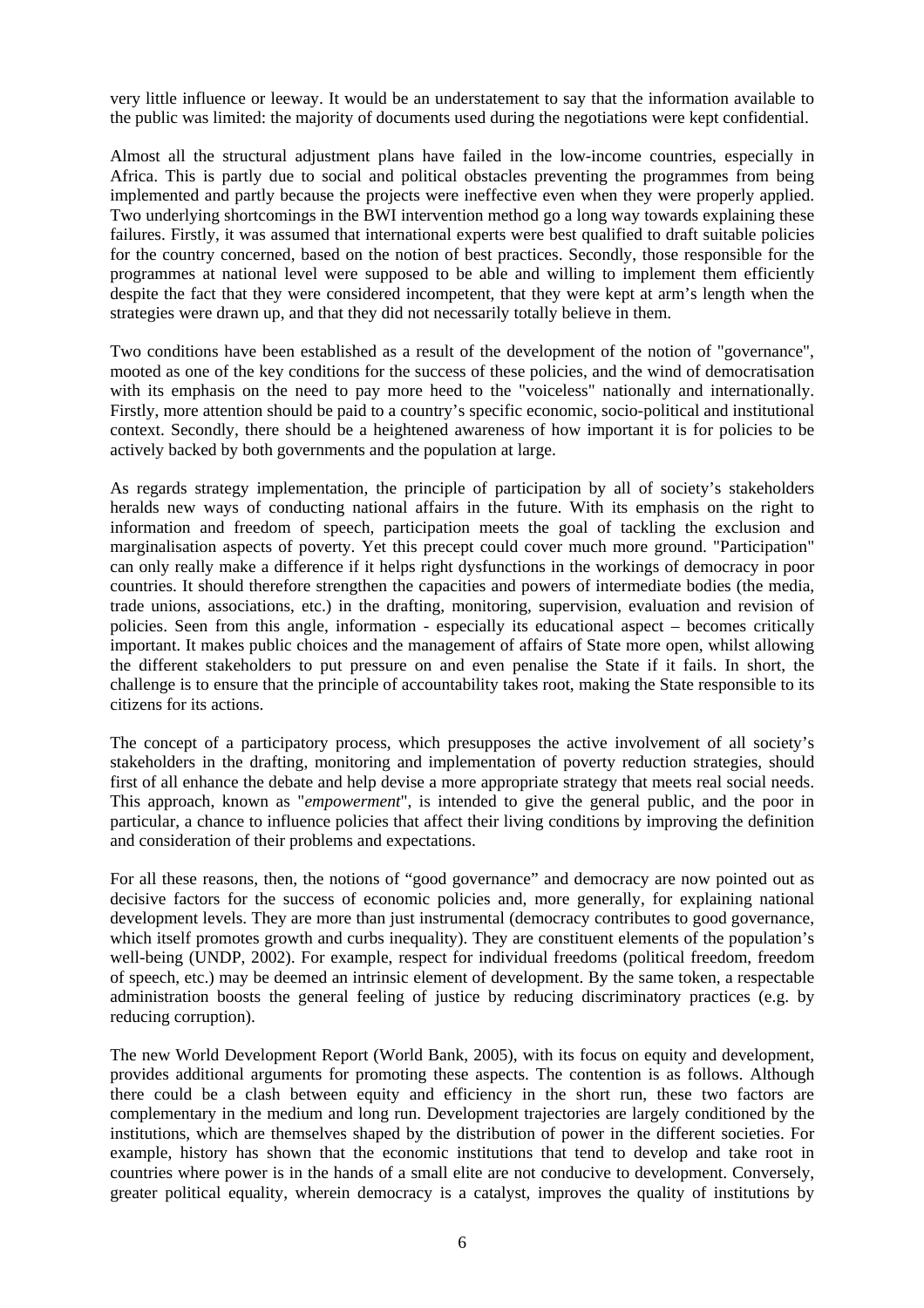very little influence or leeway. It would be an understatement to say that the information available to the public was limited: the majority of documents used during the negotiations were kept confidential.

Almost all the structural adjustment plans have failed in the low-income countries, especially in Africa. This is partly due to social and political obstacles preventing the programmes from being implemented and partly because the projects were ineffective even when they were properly applied. Two underlying shortcomings in the BWI intervention method go a long way towards explaining these failures. Firstly, it was assumed that international experts were best qualified to draft suitable policies for the country concerned, based on the notion of best practices. Secondly, those responsible for the programmes at national level were supposed to be able and willing to implement them efficiently despite the fact that they were considered incompetent, that they were kept at arm's length when the strategies were drawn up, and that they did not necessarily totally believe in them.

Two conditions have been established as a result of the development of the notion of "governance", mooted as one of the key conditions for the success of these policies, and the wind of democratisation with its emphasis on the need to pay more heed to the "voiceless" nationally and internationally. Firstly, more attention should be paid to a country's specific economic, socio-political and institutional context. Secondly, there should be a heightened awareness of how important it is for policies to be actively backed by both governments and the population at large.

As regards strategy implementation, the principle of participation by all of society's stakeholders heralds new ways of conducting national affairs in the future. With its emphasis on the right to information and freedom of speech, participation meets the goal of tackling the exclusion and marginalisation aspects of poverty. Yet this precept could cover much more ground. "Participation" can only really make a difference if it helps right dysfunctions in the workings of democracy in poor countries. It should therefore strengthen the capacities and powers of intermediate bodies (the media, trade unions, associations, etc.) in the drafting, monitoring, supervision, evaluation and revision of policies. Seen from this angle, information - especially its educational aspect – becomes critically important. It makes public choices and the management of affairs of State more open, whilst allowing the different stakeholders to put pressure on and even penalise the State if it fails. In short, the challenge is to ensure that the principle of accountability takes root, making the State responsible to its citizens for its actions.

The concept of a participatory process, which presupposes the active involvement of all society's stakeholders in the drafting, monitoring and implementation of poverty reduction strategies, should first of all enhance the debate and help devise a more appropriate strategy that meets real social needs. This approach, known as "*empowerment*", is intended to give the general public, and the poor in particular, a chance to influence policies that affect their living conditions by improving the definition and consideration of their problems and expectations.

For all these reasons, then, the notions of "good governance" and democracy are now pointed out as decisive factors for the success of economic policies and, more generally, for explaining national development levels. They are more than just instrumental (democracy contributes to good governance, which itself promotes growth and curbs inequality). They are constituent elements of the population's well-being (UNDP, 2002). For example, respect for individual freedoms (political freedom, freedom of speech, etc.) may be deemed an intrinsic element of development. By the same token, a respectable administration boosts the general feeling of justice by reducing discriminatory practices (e.g. by reducing corruption).

The new World Development Report (World Bank, 2005), with its focus on equity and development, provides additional arguments for promoting these aspects. The contention is as follows. Although there could be a clash between equity and efficiency in the short run, these two factors are complementary in the medium and long run. Development trajectories are largely conditioned by the institutions, which are themselves shaped by the distribution of power in the different societies. For example, history has shown that the economic institutions that tend to develop and take root in countries where power is in the hands of a small elite are not conducive to development. Conversely, greater political equality, wherein democracy is a catalyst, improves the quality of institutions by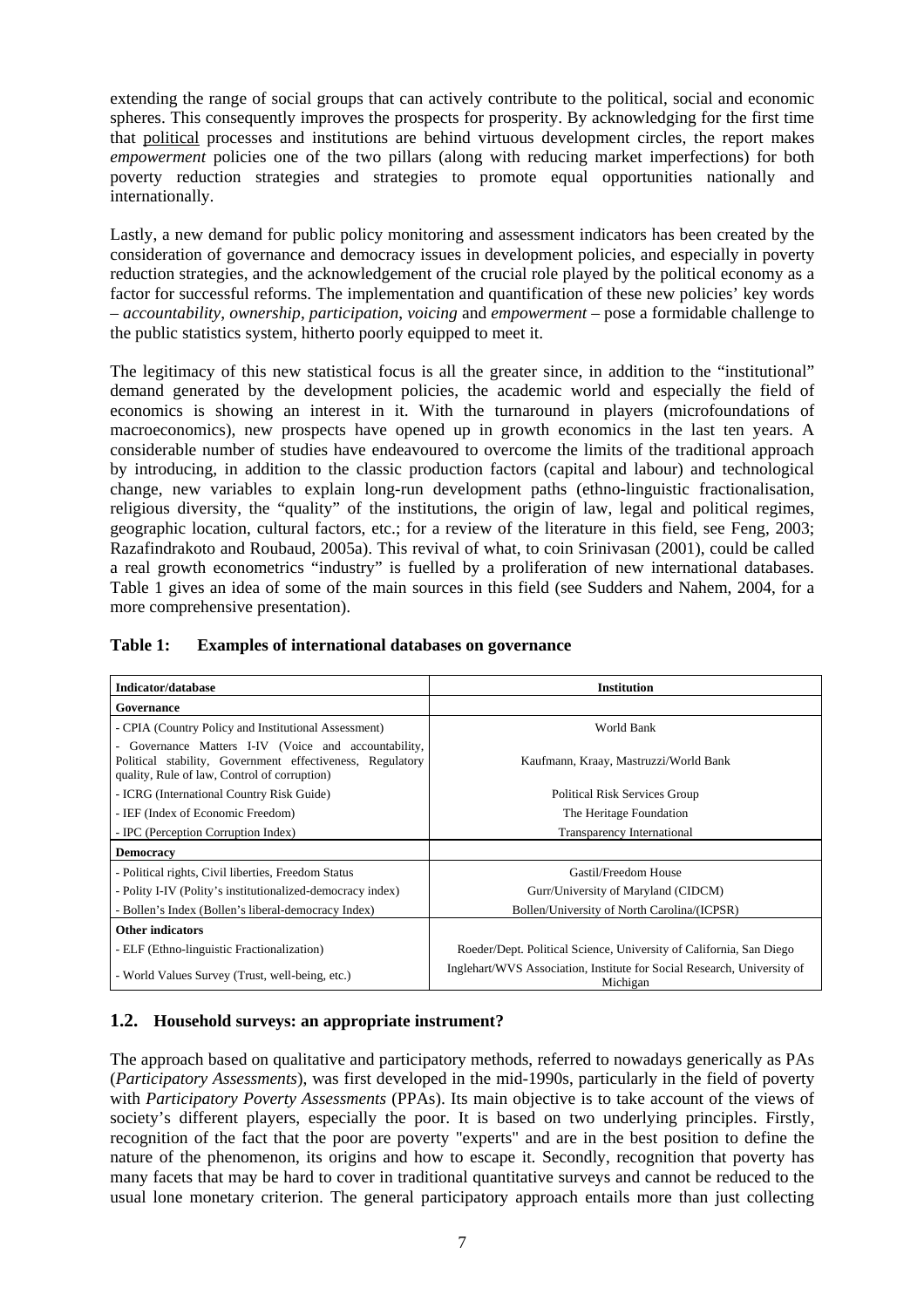extending the range of social groups that can actively contribute to the political, social and economic spheres. This consequently improves the prospects for prosperity. By acknowledging for the first time that political processes and institutions are behind virtuous development circles, the report makes *empowerment* policies one of the two pillars (along with reducing market imperfections) for both poverty reduction strategies and strategies to promote equal opportunities nationally and internationally.

Lastly, a new demand for public policy monitoring and assessment indicators has been created by the consideration of governance and democracy issues in development policies, and especially in poverty reduction strategies, and the acknowledgement of the crucial role played by the political economy as a factor for successful reforms. The implementation and quantification of these new policies' key words – *accountability*, *ownership*, *participation*, *voicing* and *empowerment* – pose a formidable challenge to the public statistics system, hitherto poorly equipped to meet it.

The legitimacy of this new statistical focus is all the greater since, in addition to the "institutional" demand generated by the development policies, the academic world and especially the field of economics is showing an interest in it. With the turnaround in players (microfoundations of macroeconomics), new prospects have opened up in growth economics in the last ten years. A considerable number of studies have endeavoured to overcome the limits of the traditional approach by introducing, in addition to the classic production factors (capital and labour) and technological change, new variables to explain long-run development paths (ethno-linguistic fractionalisation, religious diversity, the "quality" of the institutions, the origin of law, legal and political regimes, geographic location, cultural factors, etc.; for a review of the literature in this field, see Feng, 2003; Razafindrakoto and Roubaud, 2005a). This revival of what, to coin Srinivasan (2001), could be called a real growth econometrics "industry" is fuelled by a proliferation of new international databases. Table 1 gives an idea of some of the main sources in this field (see Sudders and Nahem, 2004, for a more comprehensive presentation).

| Indicator/database                                                                                                                                              | <b>Institution</b>                                                                  |  |  |
|-----------------------------------------------------------------------------------------------------------------------------------------------------------------|-------------------------------------------------------------------------------------|--|--|
| Governance                                                                                                                                                      |                                                                                     |  |  |
| - CPIA (Country Policy and Institutional Assessment)                                                                                                            | World Bank                                                                          |  |  |
| Governance Matters I-IV (Voice and accountability,<br>Political stability, Government effectiveness, Regulatory<br>quality, Rule of law, Control of corruption) | Kaufmann, Kraay, Mastruzzi/World Bank                                               |  |  |
| - ICRG (International Country Risk Guide)                                                                                                                       | <b>Political Risk Services Group</b>                                                |  |  |
| - IEF (Index of Economic Freedom)                                                                                                                               | The Heritage Foundation                                                             |  |  |
| - IPC (Perception Corruption Index)                                                                                                                             | Transparency International                                                          |  |  |
| Democracy                                                                                                                                                       |                                                                                     |  |  |
| - Political rights, Civil liberties, Freedom Status                                                                                                             | Gastil/Freedom House                                                                |  |  |
| - Polity I-IV (Polity's institutionalized-democracy index)                                                                                                      | Gurr/University of Maryland (CIDCM)                                                 |  |  |
| - Bollen's Index (Bollen's liberal-democracy Index)                                                                                                             | Bollen/University of North Carolina/(ICPSR)                                         |  |  |
| <b>Other indicators</b>                                                                                                                                         |                                                                                     |  |  |
| - ELF (Ethno-linguistic Fractionalization)                                                                                                                      | Roeder/Dept. Political Science, University of California, San Diego                 |  |  |
| - World Values Survey (Trust, well-being, etc.)                                                                                                                 | Inglehart/WVS Association, Institute for Social Research, University of<br>Michigan |  |  |

#### **Table 1: Examples of international databases on governance**

#### **1.2. Household surveys: an appropriate instrument?**

The approach based on qualitative and participatory methods, referred to nowadays generically as PAs (*Participatory Assessments*), was first developed in the mid-1990s, particularly in the field of poverty with *Participatory Poverty Assessments* (PPAs). Its main objective is to take account of the views of society's different players, especially the poor. It is based on two underlying principles. Firstly, recognition of the fact that the poor are poverty "experts" and are in the best position to define the nature of the phenomenon, its origins and how to escape it. Secondly, recognition that poverty has many facets that may be hard to cover in traditional quantitative surveys and cannot be reduced to the usual lone monetary criterion. The general participatory approach entails more than just collecting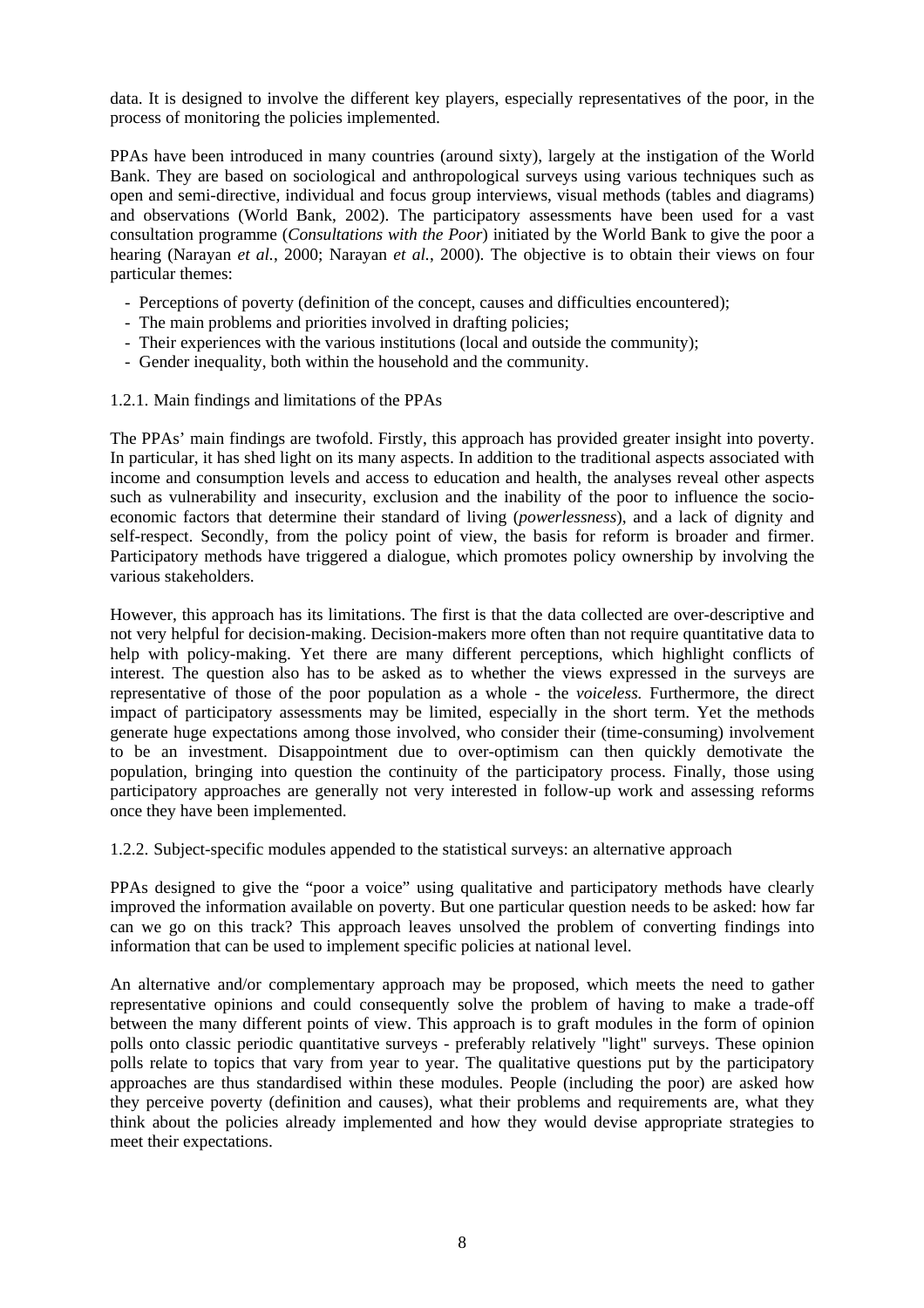data. It is designed to involve the different key players, especially representatives of the poor, in the process of monitoring the policies implemented.

PPAs have been introduced in many countries (around sixty), largely at the instigation of the World Bank. They are based on sociological and anthropological surveys using various techniques such as open and semi-directive, individual and focus group interviews, visual methods (tables and diagrams) and observations (World Bank, 2002). The participatory assessments have been used for a vast consultation programme (*Consultations with the Poor*) initiated by the World Bank to give the poor a hearing (Narayan *et al.*, 2000; Narayan *et al.*, 2000). The objective is to obtain their views on four particular themes:

- Perceptions of poverty (definition of the concept, causes and difficulties encountered);
- The main problems and priorities involved in drafting policies;
- Their experiences with the various institutions (local and outside the community);
- Gender inequality, both within the household and the community.
- 1.2.1. Main findings and limitations of the PPAs

The PPAs' main findings are twofold. Firstly, this approach has provided greater insight into poverty. In particular, it has shed light on its many aspects. In addition to the traditional aspects associated with income and consumption levels and access to education and health, the analyses reveal other aspects such as vulnerability and insecurity, exclusion and the inability of the poor to influence the socioeconomic factors that determine their standard of living (*powerlessness*), and a lack of dignity and self-respect. Secondly, from the policy point of view, the basis for reform is broader and firmer. Participatory methods have triggered a dialogue, which promotes policy ownership by involving the various stakeholders.

However, this approach has its limitations. The first is that the data collected are over-descriptive and not very helpful for decision-making. Decision-makers more often than not require quantitative data to help with policy-making. Yet there are many different perceptions, which highlight conflicts of interest. The question also has to be asked as to whether the views expressed in the surveys are representative of those of the poor population as a whole - the *voiceless.* Furthermore, the direct impact of participatory assessments may be limited, especially in the short term. Yet the methods generate huge expectations among those involved, who consider their (time-consuming) involvement to be an investment. Disappointment due to over-optimism can then quickly demotivate the population, bringing into question the continuity of the participatory process. Finally, those using participatory approaches are generally not very interested in follow-up work and assessing reforms once they have been implemented.

1.2.2. Subject-specific modules appended to the statistical surveys: an alternative approach

PPAs designed to give the "poor a voice" using qualitative and participatory methods have clearly improved the information available on poverty. But one particular question needs to be asked: how far can we go on this track? This approach leaves unsolved the problem of converting findings into information that can be used to implement specific policies at national level.

An alternative and/or complementary approach may be proposed, which meets the need to gather representative opinions and could consequently solve the problem of having to make a trade-off between the many different points of view. This approach is to graft modules in the form of opinion polls onto classic periodic quantitative surveys - preferably relatively "light" surveys. These opinion polls relate to topics that vary from year to year. The qualitative questions put by the participatory approaches are thus standardised within these modules. People (including the poor) are asked how they perceive poverty (definition and causes), what their problems and requirements are, what they think about the policies already implemented and how they would devise appropriate strategies to meet their expectations.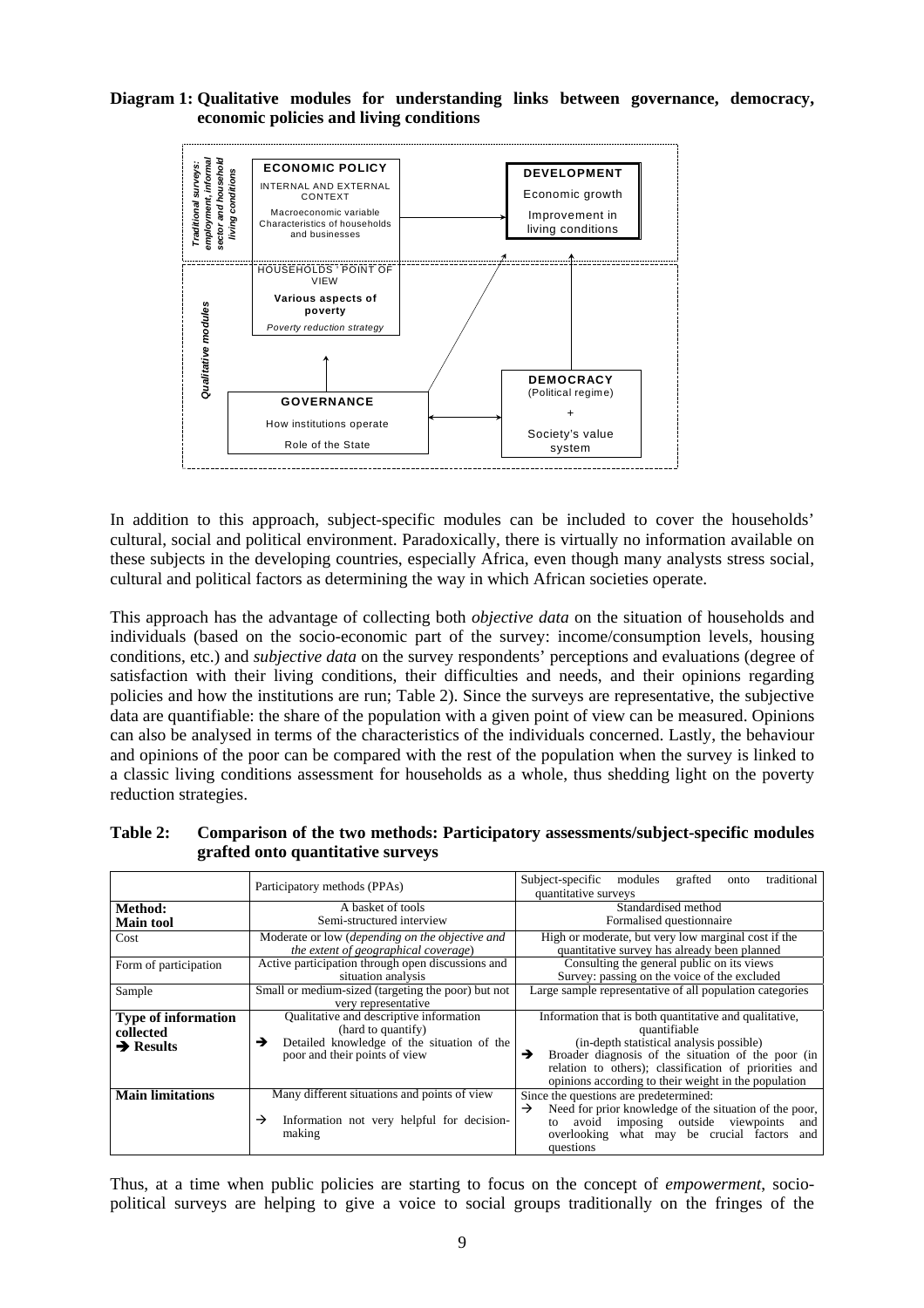#### **Diagram 1: Qualitative modules for understanding links between governance, democracy, economic policies and living conditions**



In addition to this approach, subject-specific modules can be included to cover the households' cultural, social and political environment. Paradoxically, there is virtually no information available on these subjects in the developing countries, especially Africa, even though many analysts stress social, cultural and political factors as determining the way in which African societies operate.

This approach has the advantage of collecting both *objective data* on the situation of households and individuals (based on the socio-economic part of the survey: income/consumption levels, housing conditions, etc.) and *subjective data* on the survey respondents' perceptions and evaluations (degree of satisfaction with their living conditions, their difficulties and needs, and their opinions regarding policies and how the institutions are run; Table 2). Since the surveys are representative, the subjective data are quantifiable: the share of the population with a given point of view can be measured. Opinions can also be analysed in terms of the characteristics of the individuals concerned. Lastly, the behaviour and opinions of the poor can be compared with the rest of the population when the survey is linked to a classic living conditions assessment for households as a whole, thus shedding light on the poverty reduction strategies.

| Table 2: | Comparison of the two methods: Participatory assessments/subject-specific modules |
|----------|-----------------------------------------------------------------------------------|
|          | grafted onto quantitative surveys                                                 |

|                                                                  | Participatory methods (PPAs)                                                                                                                      | traditional<br>Subject-specific modules<br>grafted<br>onto<br>quantitative surveys                                                                                                                                                                                                             |  |  |
|------------------------------------------------------------------|---------------------------------------------------------------------------------------------------------------------------------------------------|------------------------------------------------------------------------------------------------------------------------------------------------------------------------------------------------------------------------------------------------------------------------------------------------|--|--|
| Method:                                                          | A basket of tools                                                                                                                                 | Standardised method                                                                                                                                                                                                                                                                            |  |  |
| <b>Main tool</b>                                                 | Semi-structured interview                                                                                                                         | Formalised questionnaire                                                                                                                                                                                                                                                                       |  |  |
| Cost                                                             | Moderate or low (depending on the objective and<br>the extent of geographical coverage)                                                           | High or moderate, but very low marginal cost if the<br>quantitative survey has already been planned                                                                                                                                                                                            |  |  |
| Form of participation                                            | Active participation through open discussions and<br>situation analysis                                                                           | Consulting the general public on its views<br>Survey: passing on the voice of the excluded                                                                                                                                                                                                     |  |  |
| Sample                                                           | Small or medium-sized (targeting the poor) but not<br>very representative                                                                         | Large sample representative of all population categories                                                                                                                                                                                                                                       |  |  |
| <b>Type of information</b><br>collected<br>$\rightarrow$ Results | Qualitative and descriptive information<br>(hard to quantify)<br>Detailed knowledge of the situation of the<br>→<br>poor and their points of view | Information that is both quantitative and qualitative,<br>quantifiable<br>(in-depth statistical analysis possible)<br>Broader diagnosis of the situation of the poor (in<br>→<br>relation to others); classification of priorities and<br>opinions according to their weight in the population |  |  |
| <b>Main limitations</b>                                          | Many different situations and points of view<br>→<br>Information not very helpful for decision-<br>making                                         | Since the questions are predetermined:<br>Need for prior knowledge of the situation of the poor,<br>$\rightarrow$<br>imposing outside viewpoints<br>avoid<br>and<br>to<br>overlooking what may be crucial factors<br>and<br>questions                                                          |  |  |

Thus, at a time when public policies are starting to focus on the concept of *empowerment*, sociopolitical surveys are helping to give a voice to social groups traditionally on the fringes of the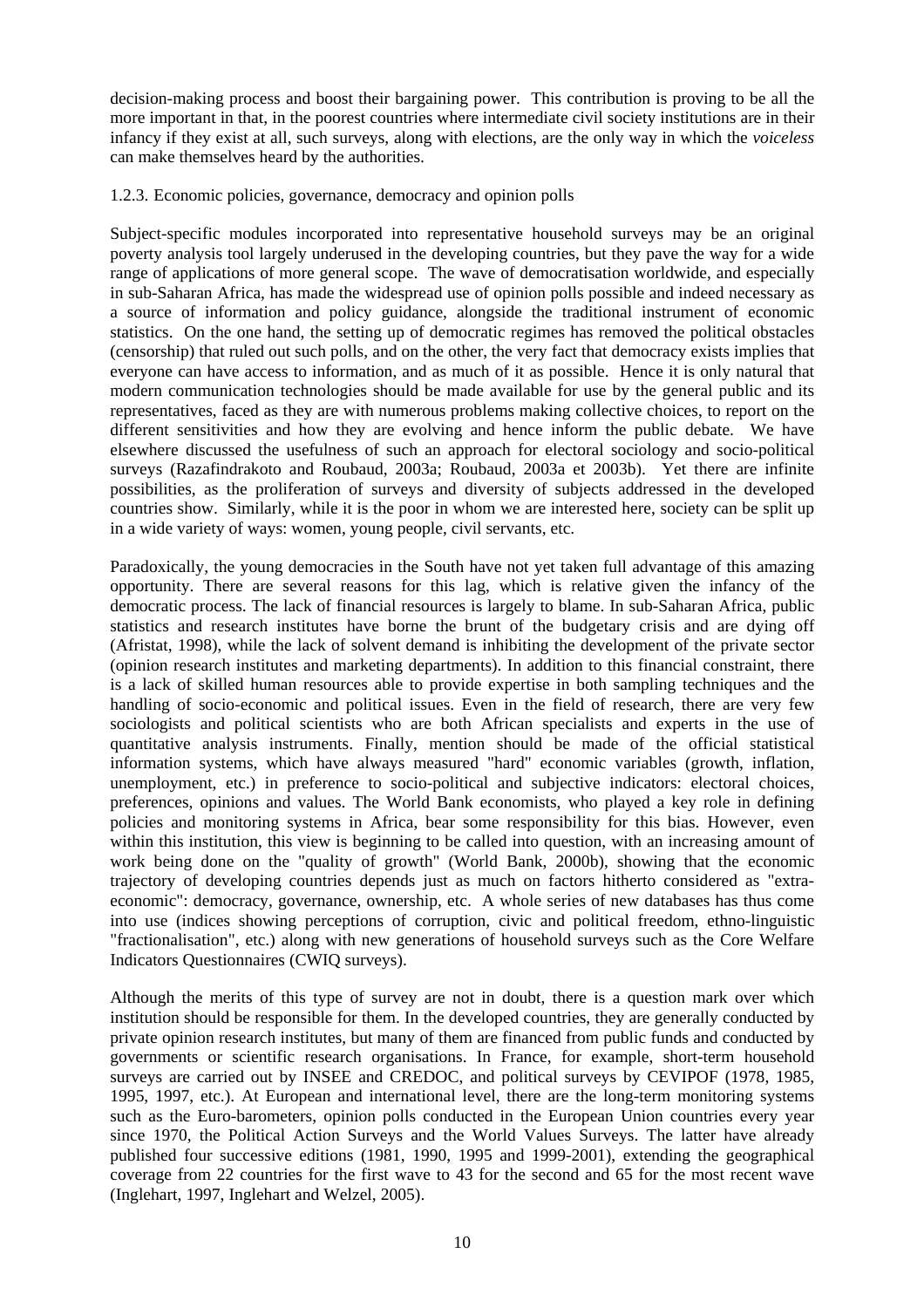decision-making process and boost their bargaining power. This contribution is proving to be all the more important in that, in the poorest countries where intermediate civil society institutions are in their infancy if they exist at all, such surveys, along with elections, are the only way in which the *voiceless* can make themselves heard by the authorities.

#### 1.2.3. Economic policies, governance, democracy and opinion polls

Subject-specific modules incorporated into representative household surveys may be an original poverty analysis tool largely underused in the developing countries, but they pave the way for a wide range of applications of more general scope. The wave of democratisation worldwide, and especially in sub-Saharan Africa, has made the widespread use of opinion polls possible and indeed necessary as a source of information and policy guidance, alongside the traditional instrument of economic statistics. On the one hand, the setting up of democratic regimes has removed the political obstacles (censorship) that ruled out such polls, and on the other, the very fact that democracy exists implies that everyone can have access to information, and as much of it as possible. Hence it is only natural that modern communication technologies should be made available for use by the general public and its representatives, faced as they are with numerous problems making collective choices, to report on the different sensitivities and how they are evolving and hence inform the public debate. We have elsewhere discussed the usefulness of such an approach for electoral sociology and socio-political surveys (Razafindrakoto and Roubaud, 2003a; Roubaud, 2003a et 2003b). Yet there are infinite possibilities, as the proliferation of surveys and diversity of subjects addressed in the developed countries show. Similarly, while it is the poor in whom we are interested here, society can be split up in a wide variety of ways: women, young people, civil servants, etc.

Paradoxically, the young democracies in the South have not yet taken full advantage of this amazing opportunity. There are several reasons for this lag, which is relative given the infancy of the democratic process. The lack of financial resources is largely to blame. In sub-Saharan Africa, public statistics and research institutes have borne the brunt of the budgetary crisis and are dying off (Afristat, 1998), while the lack of solvent demand is inhibiting the development of the private sector (opinion research institutes and marketing departments). In addition to this financial constraint, there is a lack of skilled human resources able to provide expertise in both sampling techniques and the handling of socio-economic and political issues. Even in the field of research, there are very few sociologists and political scientists who are both African specialists and experts in the use of quantitative analysis instruments. Finally, mention should be made of the official statistical information systems, which have always measured "hard" economic variables (growth, inflation, unemployment, etc.) in preference to socio-political and subjective indicators: electoral choices, preferences, opinions and values. The World Bank economists, who played a key role in defining policies and monitoring systems in Africa, bear some responsibility for this bias. However, even within this institution, this view is beginning to be called into question, with an increasing amount of work being done on the "quality of growth" (World Bank, 2000b), showing that the economic trajectory of developing countries depends just as much on factors hitherto considered as "extraeconomic": democracy, governance, ownership, etc. A whole series of new databases has thus come into use (indices showing perceptions of corruption, civic and political freedom, ethno-linguistic "fractionalisation", etc.) along with new generations of household surveys such as the Core Welfare Indicators Questionnaires (CWIQ surveys).

Although the merits of this type of survey are not in doubt, there is a question mark over which institution should be responsible for them. In the developed countries, they are generally conducted by private opinion research institutes, but many of them are financed from public funds and conducted by governments or scientific research organisations. In France, for example, short-term household surveys are carried out by INSEE and CREDOC, and political surveys by CEVIPOF (1978, 1985, 1995, 1997, etc.). At European and international level, there are the long-term monitoring systems such as the Euro-barometers, opinion polls conducted in the European Union countries every year since 1970, the Political Action Surveys and the World Values Surveys. The latter have already published four successive editions (1981, 1990, 1995 and 1999-2001), extending the geographical coverage from 22 countries for the first wave to 43 for the second and 65 for the most recent wave (Inglehart, 1997, Inglehart and Welzel, 2005).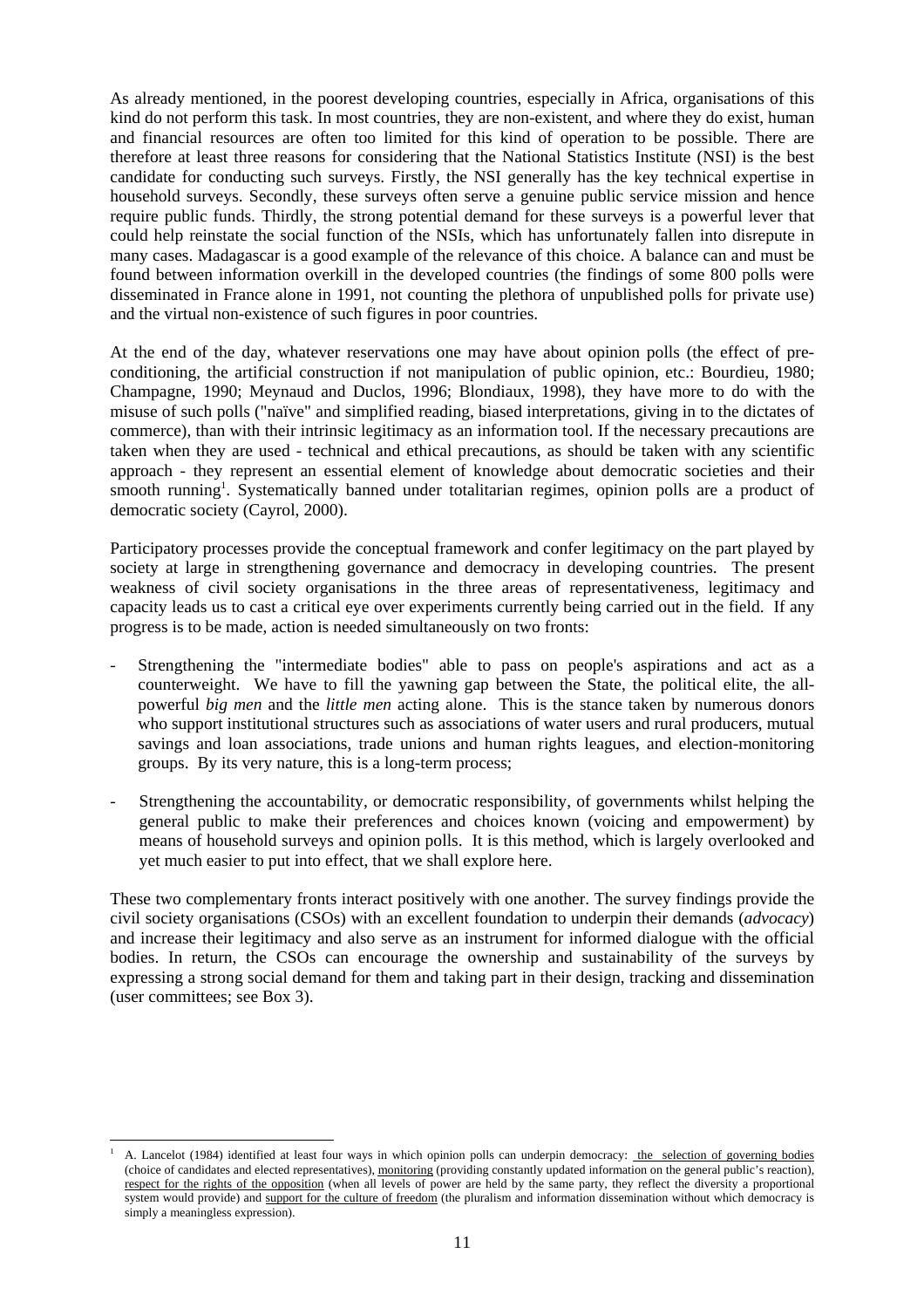As already mentioned, in the poorest developing countries, especially in Africa, organisations of this kind do not perform this task. In most countries, they are non-existent, and where they do exist, human and financial resources are often too limited for this kind of operation to be possible. There are therefore at least three reasons for considering that the National Statistics Institute (NSI) is the best candidate for conducting such surveys. Firstly, the NSI generally has the key technical expertise in household surveys. Secondly, these surveys often serve a genuine public service mission and hence require public funds. Thirdly, the strong potential demand for these surveys is a powerful lever that could help reinstate the social function of the NSIs, which has unfortunately fallen into disrepute in many cases. Madagascar is a good example of the relevance of this choice. A balance can and must be found between information overkill in the developed countries (the findings of some 800 polls were disseminated in France alone in 1991, not counting the plethora of unpublished polls for private use) and the virtual non-existence of such figures in poor countries.

At the end of the day, whatever reservations one may have about opinion polls (the effect of preconditioning, the artificial construction if not manipulation of public opinion, etc.: Bourdieu, 1980; Champagne, 1990; Meynaud and Duclos, 1996; Blondiaux, 1998), they have more to do with the misuse of such polls ("naïve" and simplified reading, biased interpretations, giving in to the dictates of commerce), than with their intrinsic legitimacy as an information tool. If the necessary precautions are taken when they are used - technical and ethical precautions, as should be taken with any scientific approach - they represent an essential element of knowledge about democratic societies and their smooth running<sup>1</sup>. Systematically banned under totalitarian regimes, opinion polls are a product of democratic society (Cayrol, 2000).

Participatory processes provide the conceptual framework and confer legitimacy on the part played by society at large in strengthening governance and democracy in developing countries. The present weakness of civil society organisations in the three areas of representativeness, legitimacy and capacity leads us to cast a critical eye over experiments currently being carried out in the field. If any progress is to be made, action is needed simultaneously on two fronts:

- Strengthening the "intermediate bodies" able to pass on people's aspirations and act as a counterweight. We have to fill the yawning gap between the State, the political elite, the allpowerful *big men* and the *little men* acting alone. This is the stance taken by numerous donors who support institutional structures such as associations of water users and rural producers, mutual savings and loan associations, trade unions and human rights leagues, and election-monitoring groups. By its very nature, this is a long-term process;
- Strengthening the accountability, or democratic responsibility, of governments whilst helping the general public to make their preferences and choices known (voicing and empowerment) by means of household surveys and opinion polls. It is this method, which is largely overlooked and yet much easier to put into effect, that we shall explore here.

These two complementary fronts interact positively with one another. The survey findings provide the civil society organisations (CSOs) with an excellent foundation to underpin their demands (*advocacy*) and increase their legitimacy and also serve as an instrument for informed dialogue with the official bodies. In return, the CSOs can encourage the ownership and sustainability of the surveys by expressing a strong social demand for them and taking part in their design, tracking and dissemination (user committees; see Box 3).

l

<sup>1</sup> A. Lancelot (1984) identified at least four ways in which opinion polls can underpin democracy: the selection of governing bodies (choice of candidates and elected representatives), monitoring (providing constantly updated information on the general public's reaction), respect for the rights of the opposition (when all levels of power are held by the same party, they reflect the diversity a proportional system would provide) and support for the culture of freedom (the pluralism and information dissemination without which democracy is simply a meaningless expression).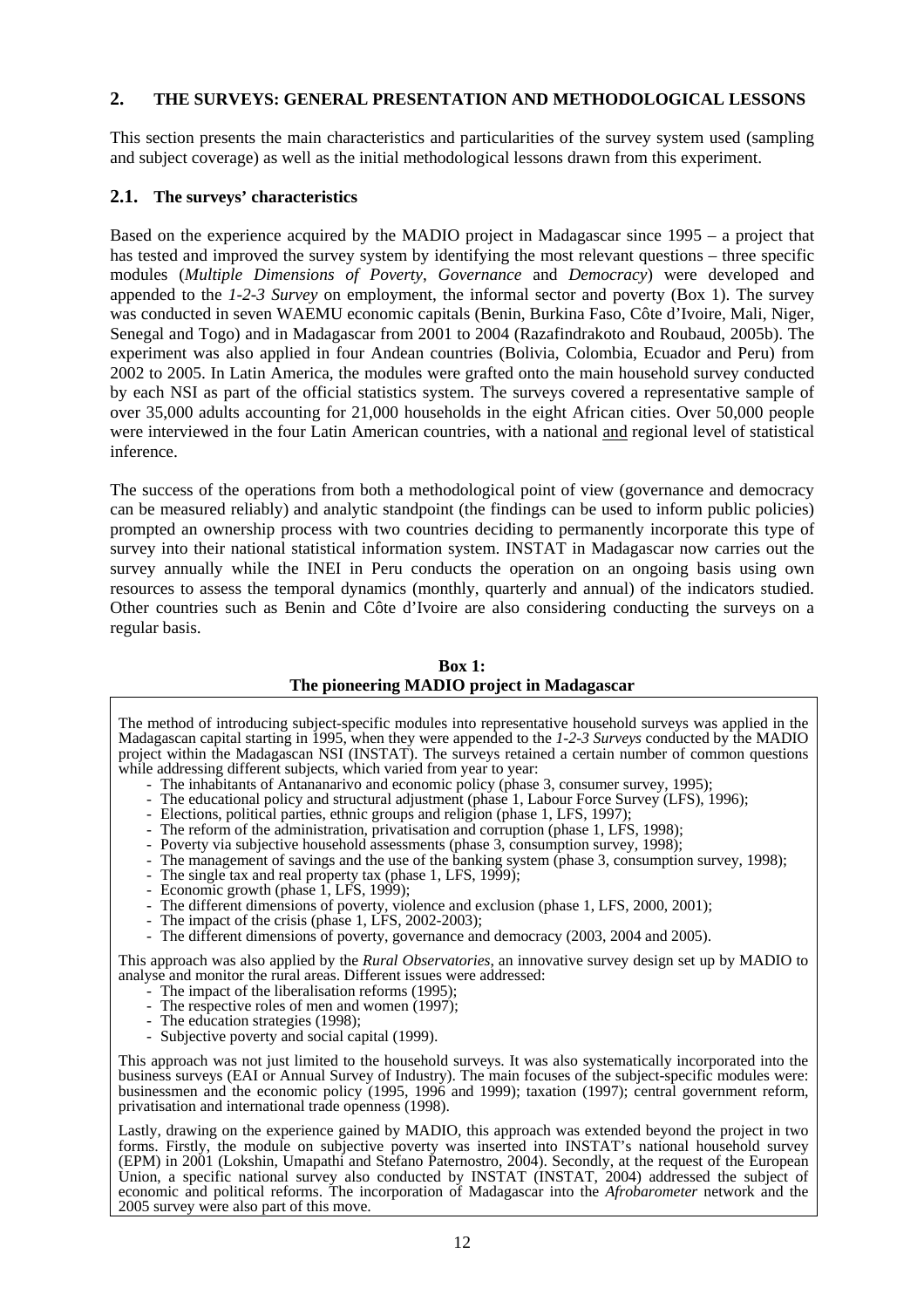#### **2. THE SURVEYS: GENERAL PRESENTATION AND METHODOLOGICAL LESSONS**

This section presents the main characteristics and particularities of the survey system used (sampling and subject coverage) as well as the initial methodological lessons drawn from this experiment.

## **2.1. The surveys' characteristics**

Based on the experience acquired by the MADIO project in Madagascar since 1995 – a project that has tested and improved the survey system by identifying the most relevant questions – three specific modules (*Multiple Dimensions of Poverty*, *Governance* and *Democracy*) were developed and appended to the *1-2-3 Survey* on employment, the informal sector and poverty (Box 1). The survey was conducted in seven WAEMU economic capitals (Benin, Burkina Faso, Côte d'Ivoire, Mali, Niger, Senegal and Togo) and in Madagascar from 2001 to 2004 (Razafindrakoto and Roubaud, 2005b). The experiment was also applied in four Andean countries (Bolivia, Colombia, Ecuador and Peru) from 2002 to 2005. In Latin America, the modules were grafted onto the main household survey conducted by each NSI as part of the official statistics system. The surveys covered a representative sample of over 35,000 adults accounting for 21,000 households in the eight African cities. Over 50,000 people were interviewed in the four Latin American countries, with a national and regional level of statistical inference.

The success of the operations from both a methodological point of view (governance and democracy can be measured reliably) and analytic standpoint (the findings can be used to inform public policies) prompted an ownership process with two countries deciding to permanently incorporate this type of survey into their national statistical information system. INSTAT in Madagascar now carries out the survey annually while the INEI in Peru conducts the operation on an ongoing basis using own resources to assess the temporal dynamics (monthly, quarterly and annual) of the indicators studied. Other countries such as Benin and Côte d'Ivoire are also considering conducting the surveys on a regular basis.

**Box 1: The pioneering MADIO project in Madagascar** 

The method of introducing subject-specific modules into representative household surveys was applied in the Madagascan capital starting in 1995, when they were appended to the *1-2-3 Surveys* conducted by the MADIO project within the Madagascan NSI (INSTAT). The surveys retained a certain number of common questions

- while addressing different subjects, which varied from year to year:<br>- The inhabitants of Antananarivo and economic policy (phase 3, consumer survey, 1995);
	- The educational policy and structural adjustment (phase 1, Labour Force Survey (LFS), 1996); Elections, political parties, ethnic groups and religion (phase 1, LFS, 1997);
	-
	- The reform of the administration, privatisation and corruption (phase 1, LFS, 1998);
	- Poverty via subjective household assessments (phase 3, consumption survey, 1998);
	- The management of savings and the use of the banking system (phase 3, consumption survey, 1998);
	- The single tax and real property tax (phase 1, LFS, 1999); Economic growth (phase 1, LFS, 1999);
	-
	- The different dimensions of poverty, violence and exclusion (phase 1, LFS, 2000, 2001);
	- The impact of the crisis (phase 1, LFS, 2002-2003);
	- The different dimensions of poverty, governance and democracy (2003, 2004 and 2005).

This approach was also applied by the *Rural Observatories*, an innovative survey design set up by MADIO to analyse and monitor the rural areas. Different issues were addressed: - The impact of the liberalisation reforms (1995);

- 
- The respective roles of men and women (1997);<br>- The education strategies (1998);<br>- Subjective poverty and social capital (1999).
- 
- Subjective poverty and social capital (1999).

This approach was not just limited to the household surveys. It was also systematically incorporated into the business surveys (EAI or Annual Survey of Industry). The main focuses of the subject-specific modules were: businessmen and the economic policy (1995, 1996 and 1999); taxation (1997); central government reform, privatisation and international trade openness (1998).

Lastly, drawing on the experience gained by MADIO, this approach was extended beyond the project in two forms. Firstly, the module on subjective poverty was inserted into INSTAT's national household survey (EPM) in 2001 (Lokshin, Umapathi and Stefano Paternostro, 2004). Secondly, at the request of the European Union, a specific national survey also conducted by INSTAT (INSTAT, 2004) addressed the subject of economic and political reforms. The incorporation of Madagascar into the *Afrobarometer* network and the 2005 survey were also part of this move.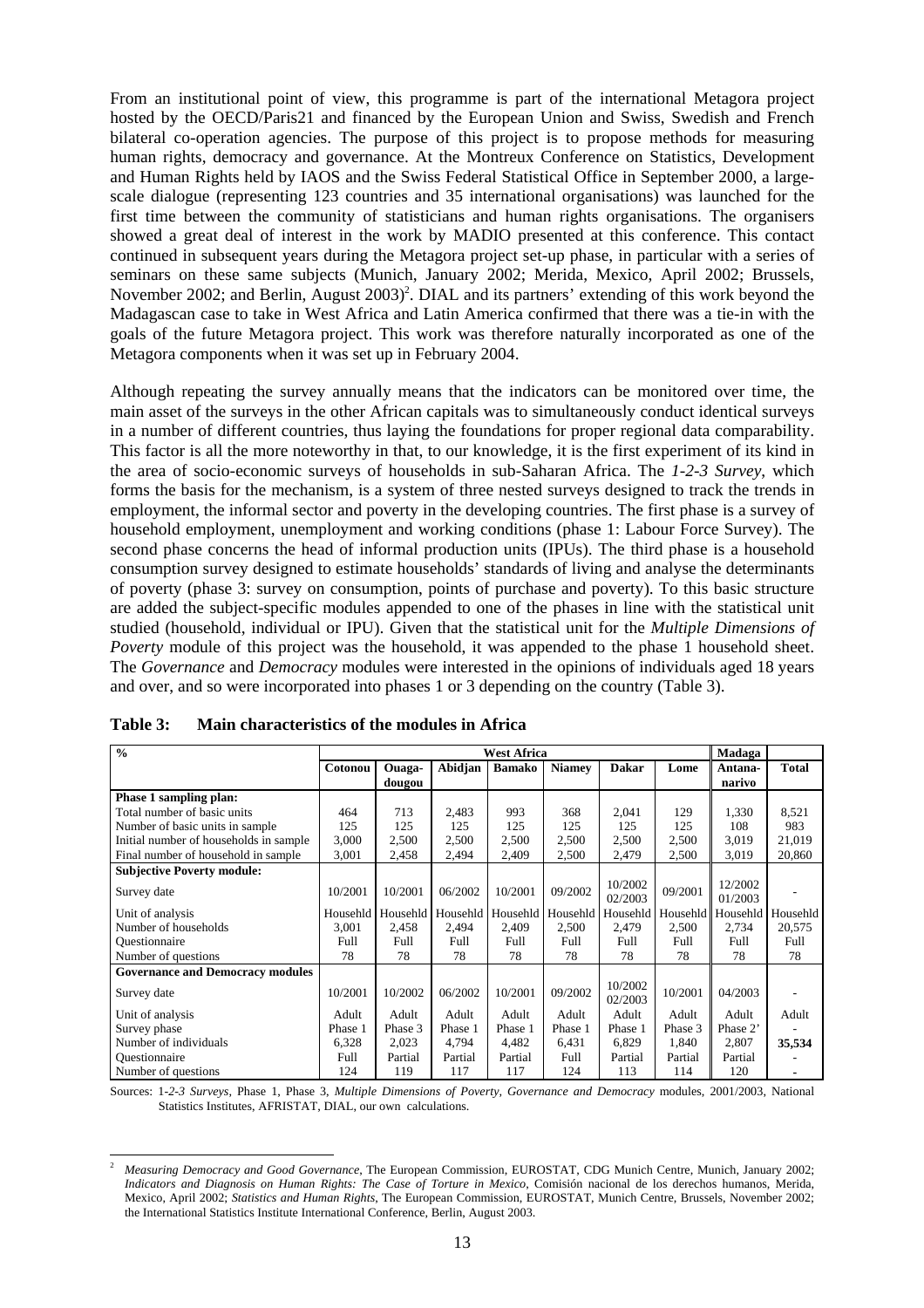From an institutional point of view, this programme is part of the international Metagora project hosted by the OECD/Paris21 and financed by the European Union and Swiss, Swedish and French bilateral co-operation agencies. The purpose of this project is to propose methods for measuring human rights, democracy and governance. At the Montreux Conference on Statistics, Development and Human Rights held by IAOS and the Swiss Federal Statistical Office in September 2000, a largescale dialogue (representing 123 countries and 35 international organisations) was launched for the first time between the community of statisticians and human rights organisations. The organisers showed a great deal of interest in the work by MADIO presented at this conference. This contact continued in subsequent years during the Metagora project set-up phase, in particular with a series of seminars on these same subjects (Munich, January 2002; Merida, Mexico, April 2002; Brussels, November 2002; and Berlin, August 2003)<sup>2</sup>. DIAL and its partners' extending of this work beyond the Madagascan case to take in West Africa and Latin America confirmed that there was a tie-in with the goals of the future Metagora project. This work was therefore naturally incorporated as one of the Metagora components when it was set up in February 2004.

Although repeating the survey annually means that the indicators can be monitored over time, the main asset of the surveys in the other African capitals was to simultaneously conduct identical surveys in a number of different countries, thus laying the foundations for proper regional data comparability. This factor is all the more noteworthy in that, to our knowledge, it is the first experiment of its kind in the area of socio-economic surveys of households in sub-Saharan Africa. The *1-2-3 Survey*, which forms the basis for the mechanism, is a system of three nested surveys designed to track the trends in employment, the informal sector and poverty in the developing countries. The first phase is a survey of household employment, unemployment and working conditions (phase 1: Labour Force Survey). The second phase concerns the head of informal production units (IPUs). The third phase is a household consumption survey designed to estimate households' standards of living and analyse the determinants of poverty (phase 3: survey on consumption, points of purchase and poverty). To this basic structure are added the subject-specific modules appended to one of the phases in line with the statistical unit studied (household, individual or IPU). Given that the statistical unit for the *Multiple Dimensions of Poverty* module of this project was the household, it was appended to the phase 1 household sheet. The *Governance* and *Democracy* modules were interested in the opinions of individuals aged 18 years and over, and so were incorporated into phases 1 or 3 depending on the country (Table 3).

| $\frac{0}{0}$                           | <b>West Africa</b> |          |          |               |               |                    | Madaga  |                   |              |
|-----------------------------------------|--------------------|----------|----------|---------------|---------------|--------------------|---------|-------------------|--------------|
|                                         | Cotonou            | Ouaga-   | Abidjan  | <b>Bamako</b> | <b>Niamey</b> | <b>Dakar</b>       | Lome    | Antana-           | <b>Total</b> |
|                                         |                    | dougou   |          |               |               |                    |         | narivo            |              |
| Phase 1 sampling plan:                  |                    |          |          |               |               |                    |         |                   |              |
| Total number of basic units             | 464                | 713      | 2,483    | 993           | 368           | 2,041              | 129     | 1,330             | 8,521        |
| Number of basic units in sample         | 125                | 125      | 125      | 125           | 125           | 125                | 125     | 108               | 983          |
| Initial number of households in sample  | 3,000              | 2,500    | 2,500    | 2,500         | 2,500         | 2,500              | 2,500   | 3,019             | 21,019       |
| Final number of household in sample     | 3,001              | 2,458    | 2,494    | 2,409         | 2,500         | 2,479              | 2,500   | 3,019             | 20,860       |
| <b>Subjective Poverty module:</b>       |                    |          |          |               |               |                    |         |                   |              |
| Survey date                             | 10/2001            | 10/2001  | 06/2002  | 10/2001       | 09/2002       | 10/2002            | 09/2001 | 12/2002           |              |
|                                         |                    |          |          |               |               | 02/2003            |         | 01/2003           |              |
| Unit of analysis                        | Househld           | Househld | Househld | Househld      | Househld      | Househld           |         | Househld Househld | Househld     |
| Number of households                    | 3,001              | 2,458    | 2,494    | 2,409         | 2,500         | 2,479              | 2,500   | 2,734             | 20,575       |
| Questionnaire                           | Full               | Full     | Full     | Full          | Full          | Full               | Full    | Full              | Full         |
| Number of questions                     | 78                 | 78       | 78       | 78            | 78            | 78                 | 78      | 78                | 78           |
| <b>Governance and Democracy modules</b> |                    |          |          |               |               |                    |         |                   |              |
| Survey date                             | 10/2001            | 10/2002  | 06/2002  | 10/2001       | 09/2002       | 10/2002<br>02/2003 | 10/2001 | 04/2003           |              |
| Unit of analysis                        | Adult              | Adult    | Adult    | Adult         | Adult         | Adult              | Adult   | Adult             | Adult        |
| Survey phase                            | Phase 1            | Phase 3  | Phase 1  | Phase 1       | Phase 1       | Phase 1            | Phase 3 | Phase 2'          |              |
| Number of individuals                   | 6,328              | 2,023    | 4,794    | 4,482         | 6,431         | 6,829              | 1,840   | 2,807             | 35,534       |
| Questionnaire                           | Full               | Partial  | Partial  | Partial       | Full          | Partial            | Partial | Partial           |              |
| Number of questions                     | 124                | 119      | 117      | 117           | 124           | 113                | 114     | 120               |              |

Sources: 1*-2-3 Surveys*, Phase 1, Phase 3, *Multiple Dimensions of Poverty, Governance and Democracy* modules, 2001/2003, National Statistics Institutes, AFRISTAT, DIAL, our own calculations.

l <sup>2</sup> *Measuring Democracy and Good Governance*, The European Commission, EUROSTAT, CDG Munich Centre, Munich, January 2002; *Indicators and Diagnosis on Human Rights: The Case of Torture in Mexico*, Comisión nacional de los derechos humanos, Merida, Mexico, April 2002; *Statistics and Human Rights*, The European Commission, EUROSTAT, Munich Centre, Brussels, November 2002; the International Statistics Institute International Conference, Berlin, August 2003.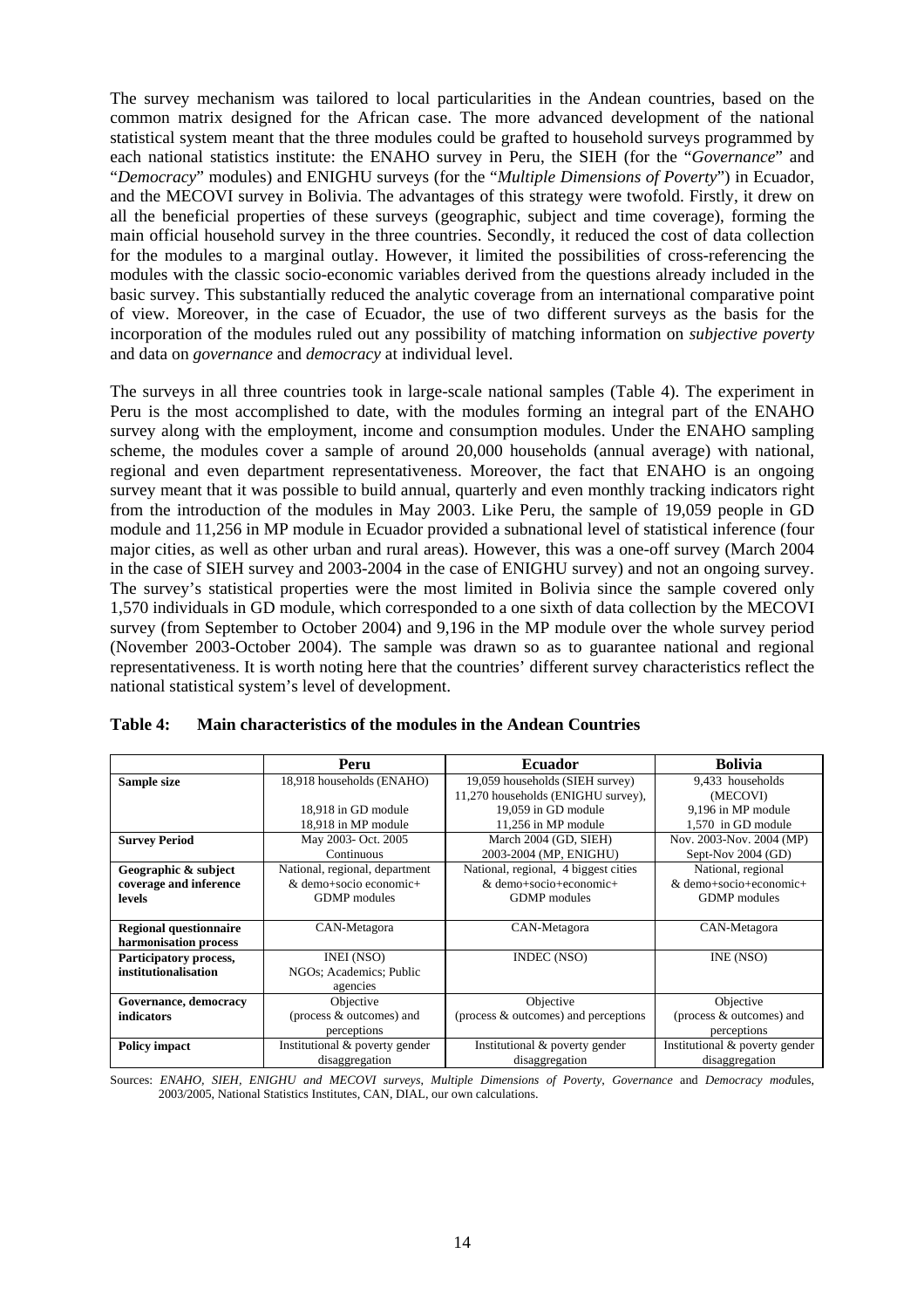The survey mechanism was tailored to local particularities in the Andean countries, based on the common matrix designed for the African case. The more advanced development of the national statistical system meant that the three modules could be grafted to household surveys programmed by each national statistics institute: the ENAHO survey in Peru, the SIEH (for the "*Governance*" and "*Democracy*" modules) and ENIGHU surveys (for the "*Multiple Dimensions of Poverty*") in Ecuador, and the MECOVI survey in Bolivia. The advantages of this strategy were twofold. Firstly, it drew on all the beneficial properties of these surveys (geographic, subject and time coverage), forming the main official household survey in the three countries. Secondly, it reduced the cost of data collection for the modules to a marginal outlay. However, it limited the possibilities of cross-referencing the modules with the classic socio-economic variables derived from the questions already included in the basic survey. This substantially reduced the analytic coverage from an international comparative point of view. Moreover, in the case of Ecuador, the use of two different surveys as the basis for the incorporation of the modules ruled out any possibility of matching information on *subjective poverty* and data on *governance* and *democracy* at individual level.

The surveys in all three countries took in large-scale national samples (Table 4). The experiment in Peru is the most accomplished to date, with the modules forming an integral part of the ENAHO survey along with the employment, income and consumption modules. Under the ENAHO sampling scheme, the modules cover a sample of around 20,000 households (annual average) with national, regional and even department representativeness. Moreover, the fact that ENAHO is an ongoing survey meant that it was possible to build annual, quarterly and even monthly tracking indicators right from the introduction of the modules in May 2003. Like Peru, the sample of 19,059 people in GD module and 11,256 in MP module in Ecuador provided a subnational level of statistical inference (four major cities, as well as other urban and rural areas). However, this was a one-off survey (March 2004 in the case of SIEH survey and 2003-2004 in the case of ENIGHU survey) and not an ongoing survey. The survey's statistical properties were the most limited in Bolivia since the sample covered only 1,570 individuals in GD module, which corresponded to a one sixth of data collection by the MECOVI survey (from September to October 2004) and 9,196 in the MP module over the whole survey period (November 2003-October 2004). The sample was drawn so as to guarantee national and regional representativeness. It is worth noting here that the countries' different survey characteristics reflect the national statistical system's level of development.

|                               | Peru                           | <b>Ecuador</b>                       | <b>Bolivia</b>                 |
|-------------------------------|--------------------------------|--------------------------------------|--------------------------------|
| Sample size                   | 18,918 households (ENAHO)      | 19,059 households (SIEH survey)      | 9.433 households               |
|                               |                                | 11,270 households (ENIGHU survey),   | (MECOVI)                       |
|                               | 18.918 in GD module            | 19.059 in GD module                  | 9,196 in MP module             |
|                               | 18,918 in MP module            | 11,256 in MP module                  | 1,570 in GD module             |
| <b>Survey Period</b>          | May 2003- Oct. 2005            | March 2004 (GD, SIEH)                | Nov. 2003-Nov. 2004 (MP)       |
|                               | Continuous                     | 2003-2004 (MP, ENIGHU)               | Sept-Nov 2004 (GD)             |
| Geographic & subject          | National, regional, department | National, regional, 4 biggest cities | National, regional             |
| coverage and inference        | & demo+socio economic+         | & demo+socio+economic+               | & demo+socio+economic+         |
| levels                        | <b>GDMP</b> modules            | <b>GDMP</b> modules                  | <b>GDMP</b> modules            |
|                               |                                |                                      |                                |
| <b>Regional questionnaire</b> | CAN-Metagora                   | CAN-Metagora                         | CAN-Metagora                   |
| harmonisation process         |                                |                                      |                                |
| Participatory process,        | INEI (NSO)                     | <b>INDEC</b> (NSO)                   | INE (NSO)                      |
| institutionalisation          | NGOs; Academics; Public        |                                      |                                |
|                               | agencies                       |                                      |                                |
| Governance, democracy         | Objective                      | Objective                            | Objective                      |
| <i>indicators</i>             | (process & outcomes) and       | (process & outcomes) and perceptions | (process & outcomes) and       |
|                               | perceptions                    |                                      | perceptions                    |
| <b>Policy impact</b>          | Institutional & poverty gender | Institutional & poverty gender       | Institutional & poverty gender |
|                               | disaggregation                 | disaggregation                       | disaggregation                 |

| Table 4: | Main characteristics of the modules in the Andean Countries |
|----------|-------------------------------------------------------------|
|          |                                                             |

Sources: *ENAHO, SIEH, ENIGHU and MECOVI surveys*, *Multiple Dimensions of Poverty*, *Governance* and *Democracy mod*ules, 2003/2005, National Statistics Institutes, CAN, DIAL, our own calculations.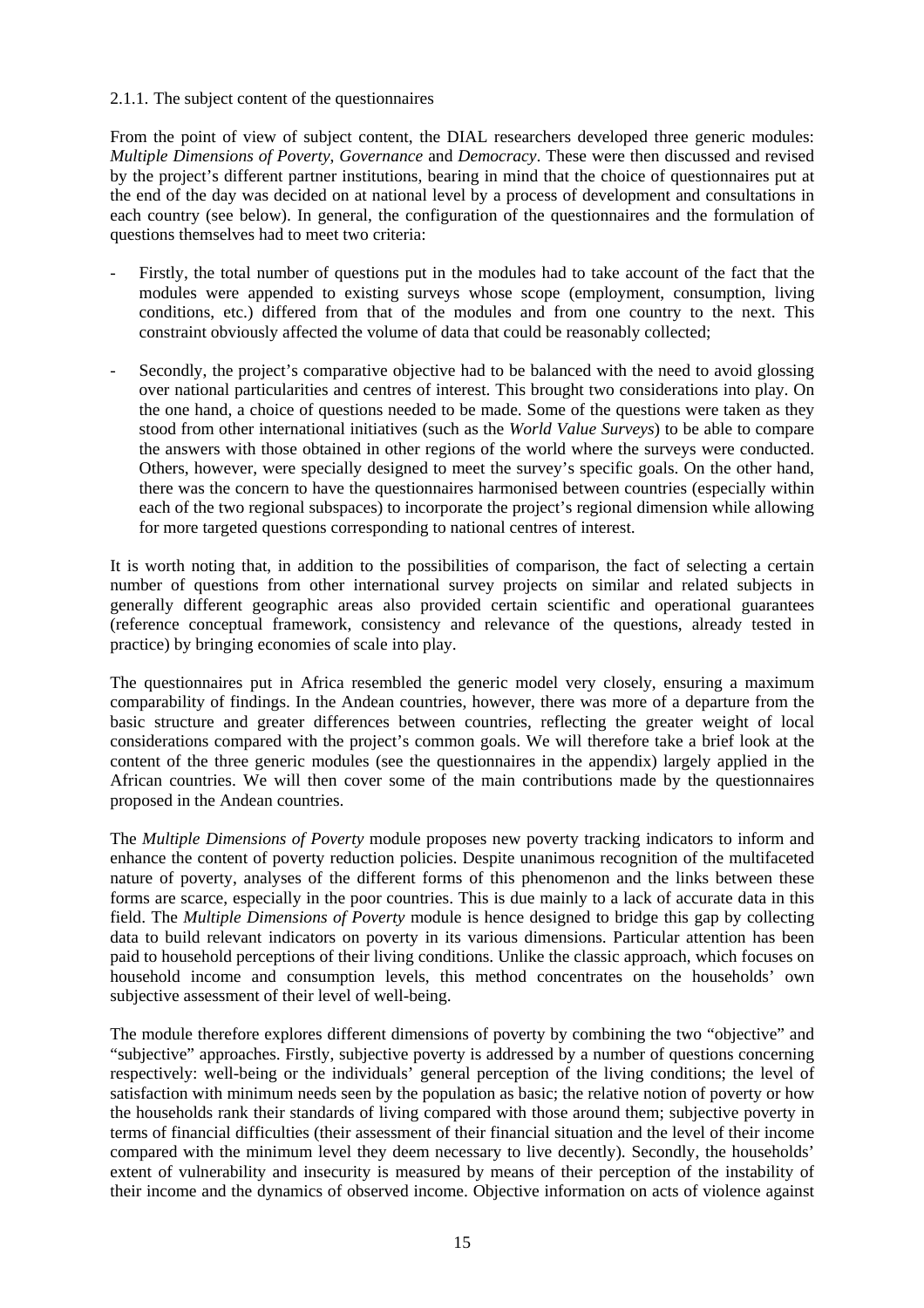#### 2.1.1. The subject content of the questionnaires

From the point of view of subject content, the DIAL researchers developed three generic modules: *Multiple Dimensions of Poverty*, *Governance* and *Democracy*. These were then discussed and revised by the project's different partner institutions, bearing in mind that the choice of questionnaires put at the end of the day was decided on at national level by a process of development and consultations in each country (see below). In general, the configuration of the questionnaires and the formulation of questions themselves had to meet two criteria:

- Firstly, the total number of questions put in the modules had to take account of the fact that the modules were appended to existing surveys whose scope (employment, consumption, living conditions, etc.) differed from that of the modules and from one country to the next. This constraint obviously affected the volume of data that could be reasonably collected;
- Secondly, the project's comparative objective had to be balanced with the need to avoid glossing over national particularities and centres of interest. This brought two considerations into play. On the one hand, a choice of questions needed to be made. Some of the questions were taken as they stood from other international initiatives (such as the *World Value Surveys*) to be able to compare the answers with those obtained in other regions of the world where the surveys were conducted. Others, however, were specially designed to meet the survey's specific goals. On the other hand, there was the concern to have the questionnaires harmonised between countries (especially within each of the two regional subspaces) to incorporate the project's regional dimension while allowing for more targeted questions corresponding to national centres of interest.

It is worth noting that, in addition to the possibilities of comparison, the fact of selecting a certain number of questions from other international survey projects on similar and related subjects in generally different geographic areas also provided certain scientific and operational guarantees (reference conceptual framework, consistency and relevance of the questions, already tested in practice) by bringing economies of scale into play.

The questionnaires put in Africa resembled the generic model very closely, ensuring a maximum comparability of findings. In the Andean countries, however, there was more of a departure from the basic structure and greater differences between countries, reflecting the greater weight of local considerations compared with the project's common goals. We will therefore take a brief look at the content of the three generic modules (see the questionnaires in the appendix) largely applied in the African countries. We will then cover some of the main contributions made by the questionnaires proposed in the Andean countries.

The *Multiple Dimensions of Poverty* module proposes new poverty tracking indicators to inform and enhance the content of poverty reduction policies. Despite unanimous recognition of the multifaceted nature of poverty, analyses of the different forms of this phenomenon and the links between these forms are scarce, especially in the poor countries. This is due mainly to a lack of accurate data in this field. The *Multiple Dimensions of Poverty* module is hence designed to bridge this gap by collecting data to build relevant indicators on poverty in its various dimensions. Particular attention has been paid to household perceptions of their living conditions. Unlike the classic approach, which focuses on household income and consumption levels, this method concentrates on the households' own subjective assessment of their level of well-being.

The module therefore explores different dimensions of poverty by combining the two "objective" and "subjective" approaches. Firstly, subjective poverty is addressed by a number of questions concerning respectively: well-being or the individuals' general perception of the living conditions; the level of satisfaction with minimum needs seen by the population as basic; the relative notion of poverty or how the households rank their standards of living compared with those around them; subjective poverty in terms of financial difficulties (their assessment of their financial situation and the level of their income compared with the minimum level they deem necessary to live decently). Secondly, the households' extent of vulnerability and insecurity is measured by means of their perception of the instability of their income and the dynamics of observed income. Objective information on acts of violence against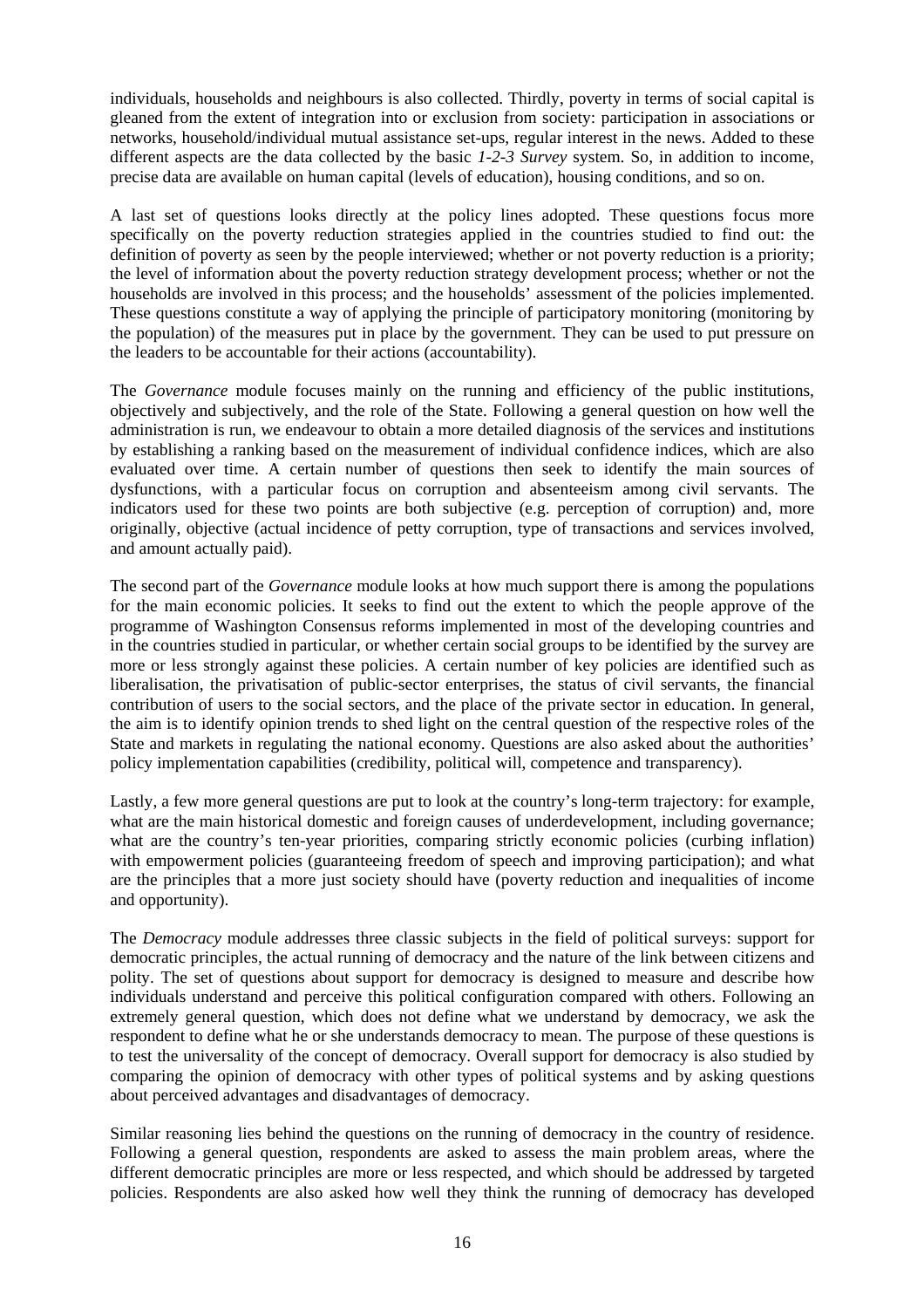individuals, households and neighbours is also collected. Thirdly, poverty in terms of social capital is gleaned from the extent of integration into or exclusion from society: participation in associations or networks, household/individual mutual assistance set-ups, regular interest in the news. Added to these different aspects are the data collected by the basic *1-2-3 Survey* system. So, in addition to income, precise data are available on human capital (levels of education), housing conditions, and so on.

A last set of questions looks directly at the policy lines adopted. These questions focus more specifically on the poverty reduction strategies applied in the countries studied to find out: the definition of poverty as seen by the people interviewed; whether or not poverty reduction is a priority; the level of information about the poverty reduction strategy development process; whether or not the households are involved in this process; and the households' assessment of the policies implemented. These questions constitute a way of applying the principle of participatory monitoring (monitoring by the population) of the measures put in place by the government. They can be used to put pressure on the leaders to be accountable for their actions (accountability).

The *Governance* module focuses mainly on the running and efficiency of the public institutions, objectively and subjectively, and the role of the State. Following a general question on how well the administration is run, we endeavour to obtain a more detailed diagnosis of the services and institutions by establishing a ranking based on the measurement of individual confidence indices, which are also evaluated over time. A certain number of questions then seek to identify the main sources of dysfunctions, with a particular focus on corruption and absenteeism among civil servants. The indicators used for these two points are both subjective (e.g. perception of corruption) and, more originally, objective (actual incidence of petty corruption, type of transactions and services involved, and amount actually paid).

The second part of the *Governance* module looks at how much support there is among the populations for the main economic policies. It seeks to find out the extent to which the people approve of the programme of Washington Consensus reforms implemented in most of the developing countries and in the countries studied in particular, or whether certain social groups to be identified by the survey are more or less strongly against these policies. A certain number of key policies are identified such as liberalisation, the privatisation of public-sector enterprises, the status of civil servants, the financial contribution of users to the social sectors, and the place of the private sector in education. In general, the aim is to identify opinion trends to shed light on the central question of the respective roles of the State and markets in regulating the national economy. Questions are also asked about the authorities' policy implementation capabilities (credibility, political will, competence and transparency).

Lastly, a few more general questions are put to look at the country's long-term trajectory: for example, what are the main historical domestic and foreign causes of underdevelopment, including governance; what are the country's ten-year priorities, comparing strictly economic policies (curbing inflation) with empowerment policies (guaranteeing freedom of speech and improving participation); and what are the principles that a more just society should have (poverty reduction and inequalities of income and opportunity).

The *Democracy* module addresses three classic subjects in the field of political surveys: support for democratic principles, the actual running of democracy and the nature of the link between citizens and polity. The set of questions about support for democracy is designed to measure and describe how individuals understand and perceive this political configuration compared with others. Following an extremely general question, which does not define what we understand by democracy, we ask the respondent to define what he or she understands democracy to mean. The purpose of these questions is to test the universality of the concept of democracy. Overall support for democracy is also studied by comparing the opinion of democracy with other types of political systems and by asking questions about perceived advantages and disadvantages of democracy.

Similar reasoning lies behind the questions on the running of democracy in the country of residence. Following a general question, respondents are asked to assess the main problem areas, where the different democratic principles are more or less respected, and which should be addressed by targeted policies. Respondents are also asked how well they think the running of democracy has developed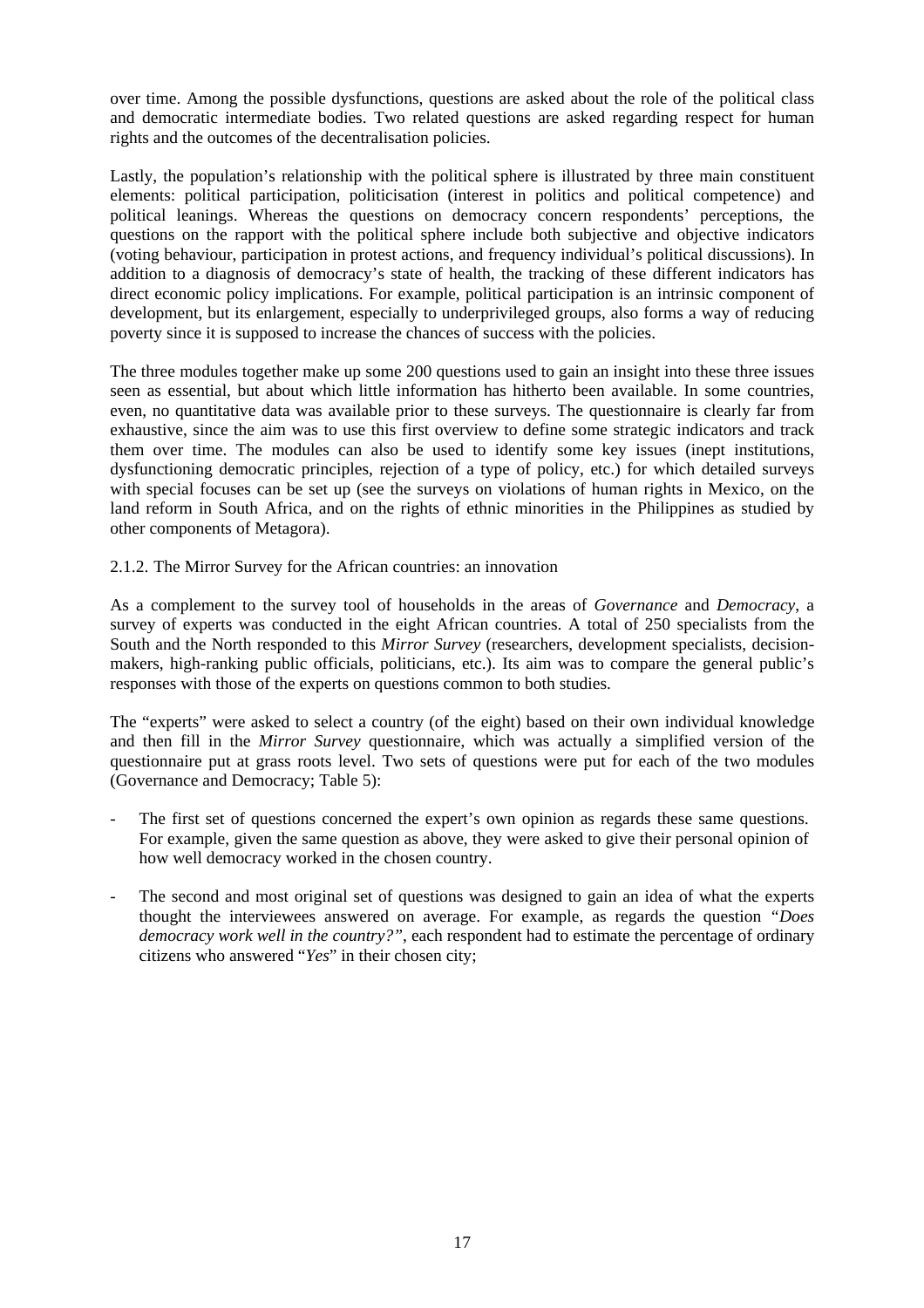over time. Among the possible dysfunctions, questions are asked about the role of the political class and democratic intermediate bodies. Two related questions are asked regarding respect for human rights and the outcomes of the decentralisation policies.

Lastly, the population's relationship with the political sphere is illustrated by three main constituent elements: political participation, politicisation (interest in politics and political competence) and political leanings. Whereas the questions on democracy concern respondents' perceptions, the questions on the rapport with the political sphere include both subjective and objective indicators (voting behaviour, participation in protest actions, and frequency individual's political discussions). In addition to a diagnosis of democracy's state of health, the tracking of these different indicators has direct economic policy implications. For example, political participation is an intrinsic component of development, but its enlargement, especially to underprivileged groups, also forms a way of reducing poverty since it is supposed to increase the chances of success with the policies.

The three modules together make up some 200 questions used to gain an insight into these three issues seen as essential, but about which little information has hitherto been available. In some countries, even, no quantitative data was available prior to these surveys. The questionnaire is clearly far from exhaustive, since the aim was to use this first overview to define some strategic indicators and track them over time. The modules can also be used to identify some key issues (inept institutions, dysfunctioning democratic principles, rejection of a type of policy, etc.) for which detailed surveys with special focuses can be set up (see the surveys on violations of human rights in Mexico, on the land reform in South Africa, and on the rights of ethnic minorities in the Philippines as studied by other components of Metagora).

2.1.2. The Mirror Survey for the African countries: an innovation

As a complement to the survey tool of households in the areas of *Governance* and *Democracy*, a survey of experts was conducted in the eight African countries. A total of 250 specialists from the South and the North responded to this *Mirror Survey* (researchers, development specialists, decisionmakers, high-ranking public officials, politicians, etc.). Its aim was to compare the general public's responses with those of the experts on questions common to both studies.

The "experts" were asked to select a country (of the eight) based on their own individual knowledge and then fill in the *Mirror Survey* questionnaire, which was actually a simplified version of the questionnaire put at grass roots level. Two sets of questions were put for each of the two modules (Governance and Democracy; Table 5):

- The first set of questions concerned the expert's own opinion as regards these same questions. For example, given the same question as above, they were asked to give their personal opinion of how well democracy worked in the chosen country.
- The second and most original set of questions was designed to gain an idea of what the experts thought the interviewees answered on average. For example, as regards the question *"Does democracy work well in the country?"*, each respondent had to estimate the percentage of ordinary citizens who answered "*Yes*" in their chosen city;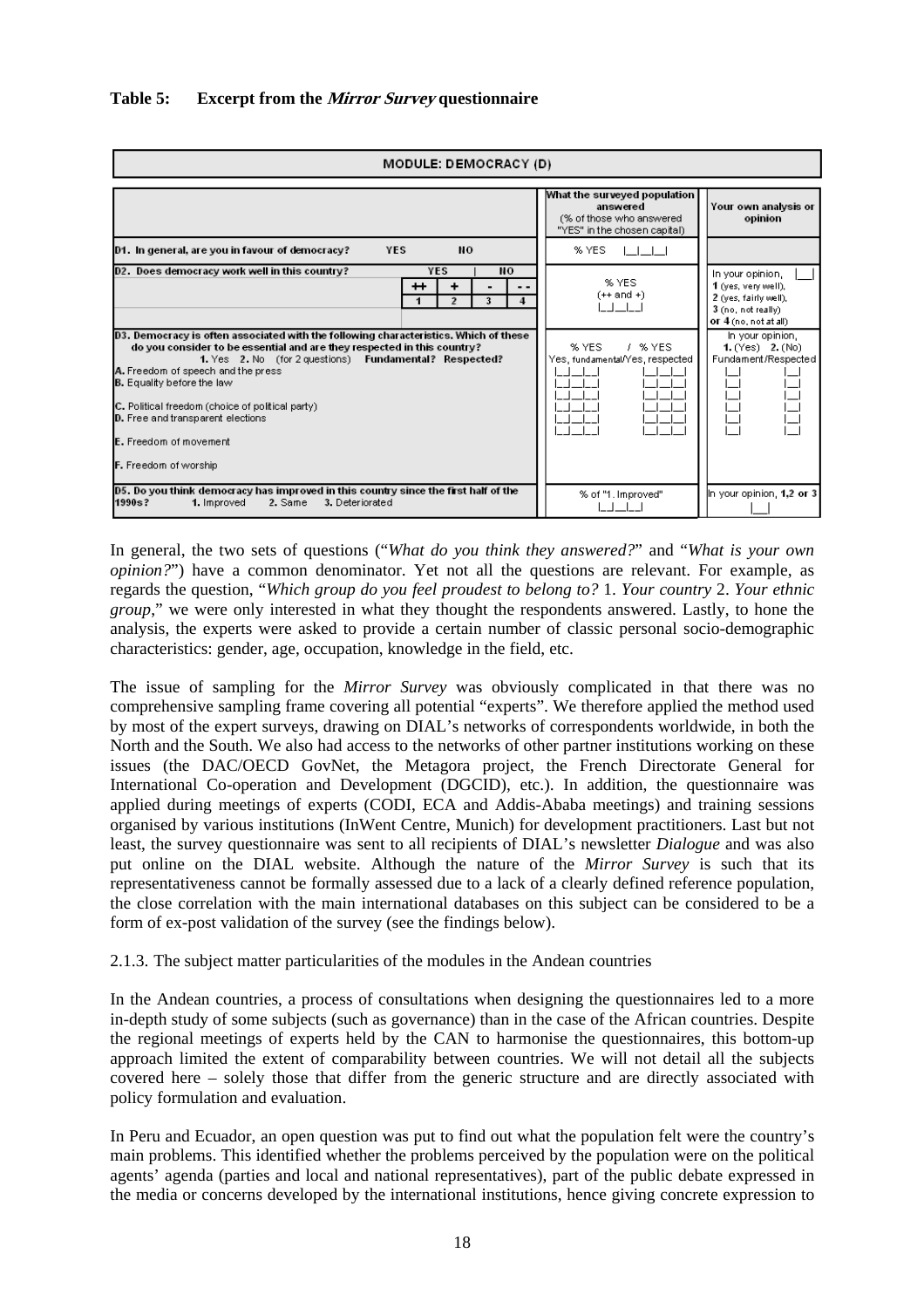

In general, the two sets of questions ("*What do you think they answered?*" and "*What is your own opinion?*") have a common denominator. Yet not all the questions are relevant. For example, as regards the question, "*Which group do you feel proudest to belong to?* 1. *Your country* 2. *Your ethnic group*," we were only interested in what they thought the respondents answered. Lastly, to hone the analysis, the experts were asked to provide a certain number of classic personal socio-demographic characteristics: gender, age, occupation, knowledge in the field, etc.

The issue of sampling for the *Mirror Survey* was obviously complicated in that there was no comprehensive sampling frame covering all potential "experts". We therefore applied the method used by most of the expert surveys, drawing on DIAL's networks of correspondents worldwide, in both the North and the South. We also had access to the networks of other partner institutions working on these issues (the DAC/OECD GovNet, the Metagora project, the French Directorate General for International Co-operation and Development (DGCID), etc.). In addition, the questionnaire was applied during meetings of experts (CODI, ECA and Addis-Ababa meetings) and training sessions organised by various institutions (InWent Centre, Munich) for development practitioners. Last but not least, the survey questionnaire was sent to all recipients of DIAL's newsletter *Dialogue* and was also put online on the DIAL website. Although the nature of the *Mirror Survey* is such that its representativeness cannot be formally assessed due to a lack of a clearly defined reference population, the close correlation with the main international databases on this subject can be considered to be a form of ex-post validation of the survey (see the findings below).

2.1.3. The subject matter particularities of the modules in the Andean countries

In the Andean countries, a process of consultations when designing the questionnaires led to a more in-depth study of some subjects (such as governance) than in the case of the African countries. Despite the regional meetings of experts held by the CAN to harmonise the questionnaires, this bottom-up approach limited the extent of comparability between countries. We will not detail all the subjects covered here – solely those that differ from the generic structure and are directly associated with policy formulation and evaluation.

In Peru and Ecuador, an open question was put to find out what the population felt were the country's main problems. This identified whether the problems perceived by the population were on the political agents' agenda (parties and local and national representatives), part of the public debate expressed in the media or concerns developed by the international institutions, hence giving concrete expression to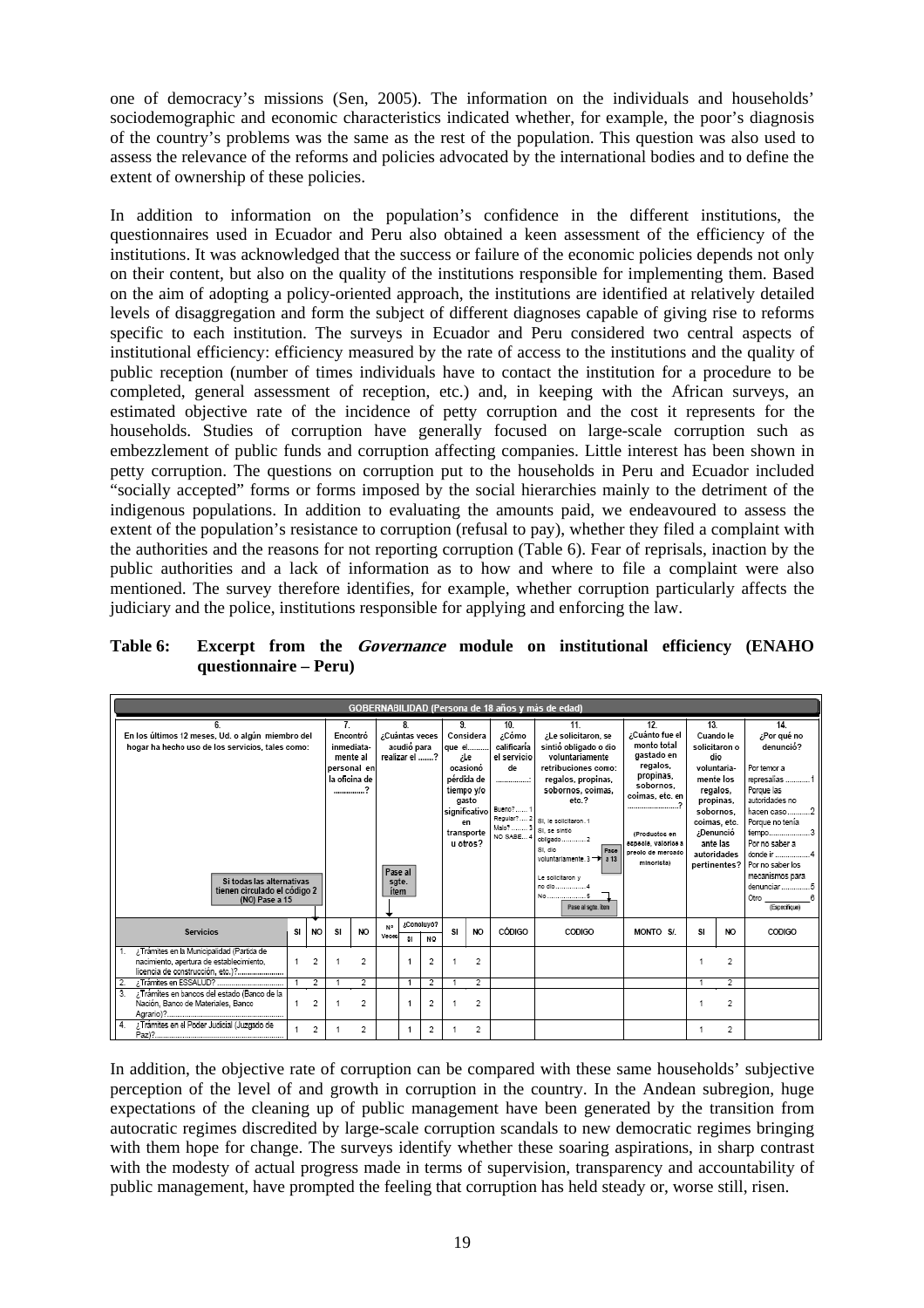one of democracy's missions (Sen, 2005). The information on the individuals and households' sociodemographic and economic characteristics indicated whether, for example, the poor's diagnosis of the country's problems was the same as the rest of the population. This question was also used to assess the relevance of the reforms and policies advocated by the international bodies and to define the extent of ownership of these policies.

In addition to information on the population's confidence in the different institutions, the questionnaires used in Ecuador and Peru also obtained a keen assessment of the efficiency of the institutions. It was acknowledged that the success or failure of the economic policies depends not only on their content, but also on the quality of the institutions responsible for implementing them. Based on the aim of adopting a policy-oriented approach, the institutions are identified at relatively detailed levels of disaggregation and form the subject of different diagnoses capable of giving rise to reforms specific to each institution. The surveys in Ecuador and Peru considered two central aspects of institutional efficiency: efficiency measured by the rate of access to the institutions and the quality of public reception (number of times individuals have to contact the institution for a procedure to be completed, general assessment of reception, etc.) and, in keeping with the African surveys, an estimated objective rate of the incidence of petty corruption and the cost it represents for the households. Studies of corruption have generally focused on large-scale corruption such as embezzlement of public funds and corruption affecting companies. Little interest has been shown in petty corruption. The questions on corruption put to the households in Peru and Ecuador included "socially accepted" forms or forms imposed by the social hierarchies mainly to the detriment of the indigenous populations. In addition to evaluating the amounts paid, we endeavoured to assess the extent of the population's resistance to corruption (refusal to pay), whether they filed a complaint with the authorities and the reasons for not reporting corruption (Table 6). Fear of reprisals, inaction by the public authorities and a lack of information as to how and where to file a complaint were also mentioned. The survey therefore identifies, for example, whether corruption particularly affects the judiciary and the police, institutions responsible for applying and enforcing the law.

**Table 6: Excerpt from the Governance module on institutional efficiency (ENAHO questionnaire – Peru)** 

|                | GOBERNABILIDAD (Persona de 18 años y más de edad)                                                                          |    |                                                                                                                                                                               |    |                                                                |                                                                  |                                                                                                        |                                                                                                                                                                                                                                              |                                                                                                                                                                                           |                |                                                                                                                                                                             |                                                                                                                                                                                    |          |     |                |                                          |
|----------------|----------------------------------------------------------------------------------------------------------------------------|----|-------------------------------------------------------------------------------------------------------------------------------------------------------------------------------|----|----------------------------------------------------------------|------------------------------------------------------------------|--------------------------------------------------------------------------------------------------------|----------------------------------------------------------------------------------------------------------------------------------------------------------------------------------------------------------------------------------------------|-------------------------------------------------------------------------------------------------------------------------------------------------------------------------------------------|----------------|-----------------------------------------------------------------------------------------------------------------------------------------------------------------------------|------------------------------------------------------------------------------------------------------------------------------------------------------------------------------------|----------|-----|----------------|------------------------------------------|
|                | En los últimos 12 meses, Ud. o algún miembro del<br>hogar ha hecho uso de los servicios, tales como:                       |    | $\overline{7}$<br>8<br>¿Cuántas veces<br>Encontró<br>inmediata-<br>acudió para<br>realizar el ?<br>mente al<br>personal en<br>la oficina de<br>2<br>--------------<br>Pase al |    | 9.<br>que el<br>iLe<br>ocasionó<br>pérdida de<br>significativo | Considera<br>tiempo y/o<br>gasto<br>en<br>transporte<br>u otros? | 10.<br>¿Cómo<br>calificaría<br>el servicio<br>de<br><br>Bueno? 1<br>Regular? 2<br>Malo?  3<br>NO SABE4 | 11.<br>¿Le solicitaron, se<br>sintió obligado o dio<br>voluntariamente<br>retribuciones como:<br>regalos, propinas,<br>sobornos, coimas,<br>etc.?<br>St. le solicitaron. 1<br>St. se sintió<br>St. dlo<br>Page<br>voluntariamente. 3 -> a 13 | 12<br>¿Cuánto fue el<br>monto total<br>gastado en<br>regalos,<br>propinas,<br>sobornos.<br>coimas, etc. en<br><br>(Productos en<br>ecpecie, valorice a<br>preolo de mercado<br>minorista) | 13.            | Cuando le<br>solicitaron o<br>dio<br>voluntaria-<br>mente los<br>regalos,<br>propinas,<br>sobornos.<br>coimas, etc.<br>¿Denunció<br>ante las<br>autoridades<br>pertinentes? | 14.<br>¿Por qué no<br>denunció?<br>Por temor a<br>represalias 1<br>Poroue las<br>autoridades no<br>hacen caso2<br>Porque no tenía<br>tiempo3<br>Por no saber a<br>Por no saber los |          |     |                |                                          |
|                | Si todas las alternativas<br>tienen circulado el código 2<br>(NO) Pase a 15                                                |    |                                                                                                                                                                               |    |                                                                | sgte.<br>item                                                    |                                                                                                        |                                                                                                                                                                                                                                              |                                                                                                                                                                                           |                |                                                                                                                                                                             | Le solicitaron y<br>no dip4<br>Pase al sgte. item                                                                                                                                  |          |     |                | mecanismos para<br>Otro<br>(Especifique) |
|                | <b>Servicios</b>                                                                                                           | SI | <b>NO</b>                                                                                                                                                                     | SI | NO.                                                            | N <sup>o</sup><br>Veces                                          | 31                                                                                                     | /Conoluvo?<br><b>NO</b>                                                                                                                                                                                                                      | SI.                                                                                                                                                                                       | NO.            | CÓDIGO                                                                                                                                                                      | CODIGO                                                                                                                                                                             | MONTO S/ | SI. | NO.            | CODIGO                                   |
|                | ; Tramites en la Municipalidad (Partida de<br>nacimiento, apertura de establecimiento.<br>licencia de construcción, etc.)? |    | 2                                                                                                                                                                             |    | $\overline{2}$                                                 |                                                                  |                                                                                                        | о.                                                                                                                                                                                                                                           |                                                                                                                                                                                           | 2              |                                                                                                                                                                             |                                                                                                                                                                                    |          |     | 2              |                                          |
|                |                                                                                                                            |    | $\overline{2}$                                                                                                                                                                |    | 2                                                              |                                                                  |                                                                                                        | e.                                                                                                                                                                                                                                           |                                                                                                                                                                                           | $\overline{2}$ |                                                                                                                                                                             |                                                                                                                                                                                    |          |     | $\overline{2}$ |                                          |
| $\overline{3}$ | ¿Trámites en bancos del estado (Banco de la<br>Nación, Banco de Materiales, Banco                                          |    | $\overline{2}$                                                                                                                                                                |    | $\overline{2}$                                                 |                                                                  |                                                                                                        | o.                                                                                                                                                                                                                                           |                                                                                                                                                                                           | $\overline{2}$ |                                                                                                                                                                             |                                                                                                                                                                                    |          |     | $\overline{2}$ |                                          |
| 4.             | ¿Trámites en el Poder Judicial (Juzgado de<br>Pay?                                                                         |    | 2                                                                                                                                                                             |    | 2                                                              |                                                                  |                                                                                                        | 2                                                                                                                                                                                                                                            |                                                                                                                                                                                           | $\overline{2}$ |                                                                                                                                                                             |                                                                                                                                                                                    |          |     | 2              |                                          |

In addition, the objective rate of corruption can be compared with these same households' subjective perception of the level of and growth in corruption in the country. In the Andean subregion, huge expectations of the cleaning up of public management have been generated by the transition from autocratic regimes discredited by large-scale corruption scandals to new democratic regimes bringing with them hope for change. The surveys identify whether these soaring aspirations, in sharp contrast with the modesty of actual progress made in terms of supervision, transparency and accountability of public management, have prompted the feeling that corruption has held steady or, worse still, risen.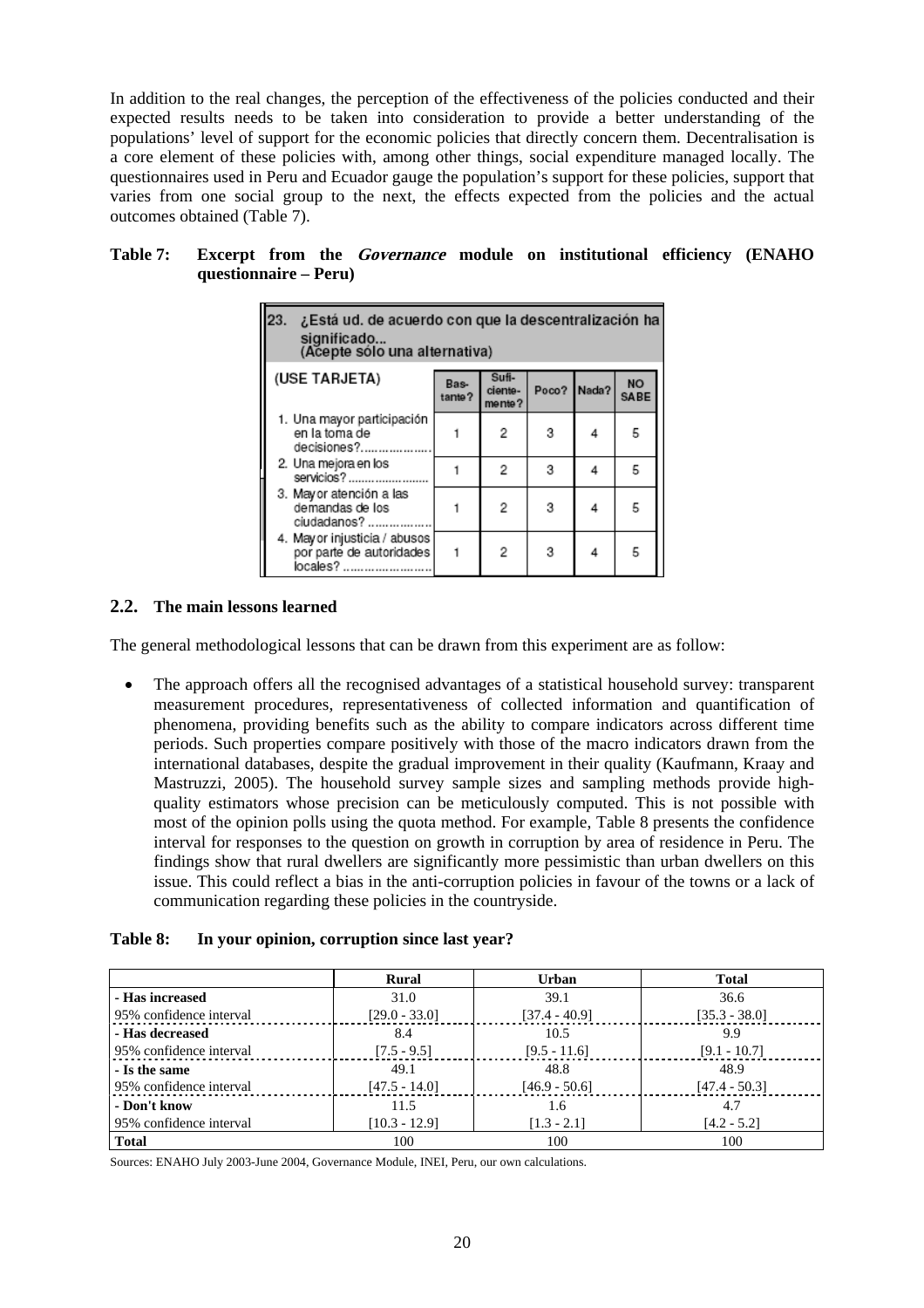In addition to the real changes, the perception of the effectiveness of the policies conducted and their expected results needs to be taken into consideration to provide a better understanding of the populations' level of support for the economic policies that directly concern them. Decentralisation is a core element of these policies with, among other things, social expenditure managed locally. The questionnaires used in Peru and Ecuador gauge the population's support for these policies, support that varies from one social group to the next, the effects expected from the policies and the actual outcomes obtained (Table 7).

| 23.<br>¿Está ud. de acuerdo con que la descentralización ha<br>significado<br>(Acepte sólo una alternativa) |                |                            |             |   |                          |  |  |  |  |  |
|-------------------------------------------------------------------------------------------------------------|----------------|----------------------------|-------------|---|--------------------------|--|--|--|--|--|
| (USE TARJETA)                                                                                               | Bas-<br>tante? | Sufi-<br>ciente-<br>mente? | Poco? Nada? |   | <b>NO</b><br><b>SABE</b> |  |  |  |  |  |
| 1. Una mayor participación<br>en la toma de<br>decisiones?                                                  |                | 2                          | 3           | 4 | 5                        |  |  |  |  |  |
| 2. Una mejora en los<br>servicios?                                                                          |                | 2                          | 3           | 4 | 5                        |  |  |  |  |  |
| 3. Mayor atención a las<br>demandas de los<br>ciudadanos?                                                   |                | 2                          | 3           | 4 | 5                        |  |  |  |  |  |
| 4. May or injusticia / abusos<br>por parte de autoridades<br>locales?                                       |                | 2                          | 3           | 4 | 5                        |  |  |  |  |  |

# **Table 7: Excerpt from the Governance module on institutional efficiency (ENAHO questionnaire – Peru)**

#### **2.2. The main lessons learned**

The general methodological lessons that can be drawn from this experiment are as follow:

The approach offers all the recognised advantages of a statistical household survey: transparent measurement procedures, representativeness of collected information and quantification of phenomena, providing benefits such as the ability to compare indicators across different time periods. Such properties compare positively with those of the macro indicators drawn from the international databases, despite the gradual improvement in their quality (Kaufmann, Kraay and Mastruzzi, 2005). The household survey sample sizes and sampling methods provide highquality estimators whose precision can be meticulously computed. This is not possible with most of the opinion polls using the quota method. For example, Table 8 presents the confidence interval for responses to the question on growth in corruption by area of residence in Peru. The findings show that rural dwellers are significantly more pessimistic than urban dwellers on this issue. This could reflect a bias in the anti-corruption policies in favour of the towns or a lack of communication regarding these policies in the countryside.

#### **Table 8: In your opinion, corruption since last year?**

|                         | Rural           | <b>Urban</b>    | <b>Total</b>    |
|-------------------------|-----------------|-----------------|-----------------|
| - Has increased         | 31.0            | 39.1            | 36.6            |
| 95% confidence interval | $[29.0 - 33.0]$ | $[37.4 - 40.9]$ | $[35.3 - 38.0]$ |
| - Has decreased         | 8.4             | 10.5            | 9.9             |
| 95% confidence interval | $[7.5 - 9.5]$   | $[9.5 - 11.6]$  | $[9.1 - 10.7]$  |
| - Is the same           | 49.1            | 48.8            | 48.9            |
| 95% confidence interval | $[47.5 - 14.0]$ | $[46.9 - 50.6]$ | $[47.4 - 50.3]$ |
| - Don't know            | 11.5            | 1.6             | 4.7             |
| 95% confidence interval | $[10.3 - 12.9]$ | $[1.3 - 2.1]$   | $[4.2 - 5.2]$   |
| <b>Total</b>            | 100             | 100             | 100             |

Sources: ENAHO July 2003-June 2004, Governance Module, INEI, Peru, our own calculations.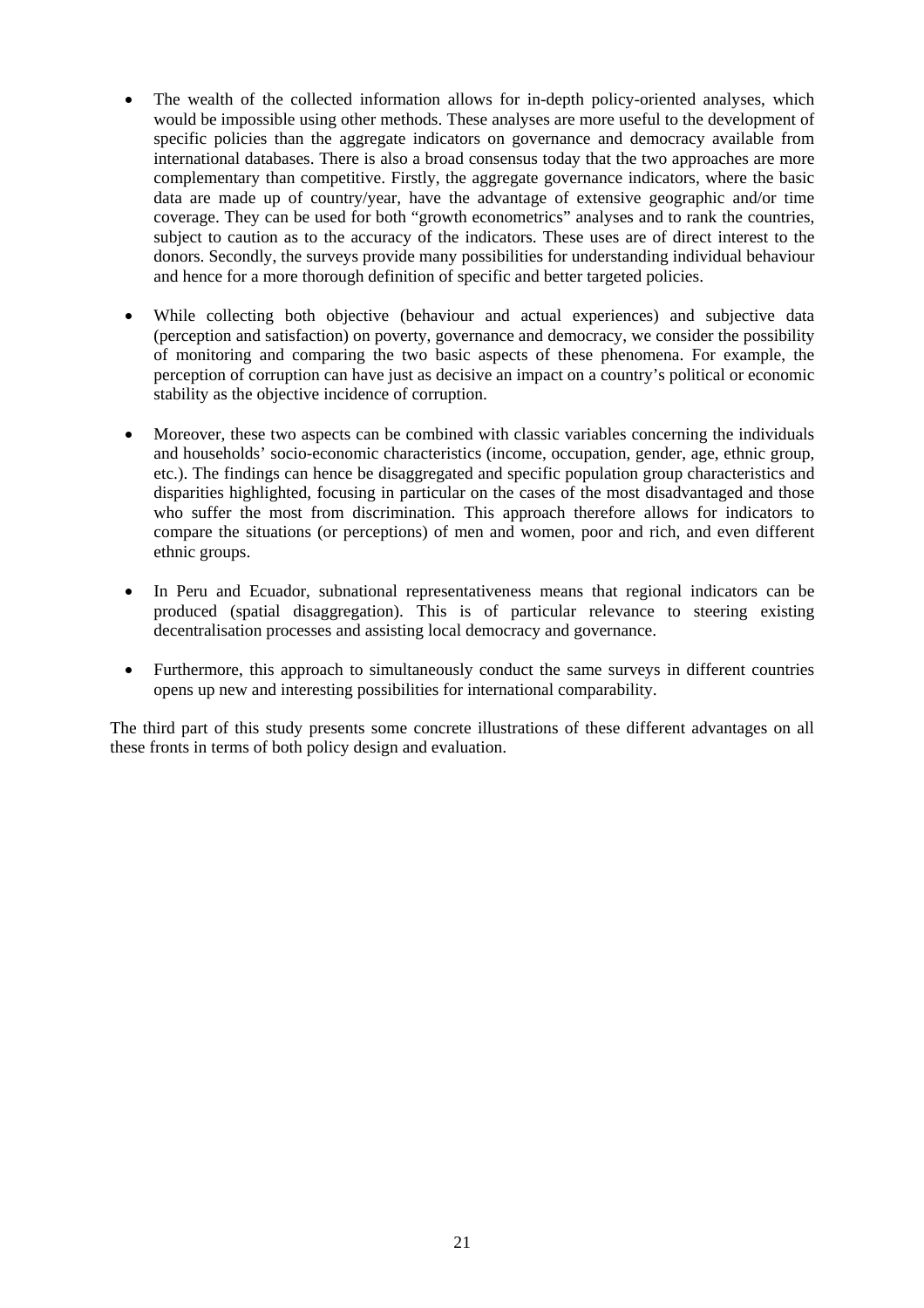- The wealth of the collected information allows for in-depth policy-oriented analyses, which would be impossible using other methods. These analyses are more useful to the development of specific policies than the aggregate indicators on governance and democracy available from international databases. There is also a broad consensus today that the two approaches are more complementary than competitive. Firstly, the aggregate governance indicators, where the basic data are made up of country/year, have the advantage of extensive geographic and/or time coverage. They can be used for both "growth econometrics" analyses and to rank the countries, subject to caution as to the accuracy of the indicators. These uses are of direct interest to the donors. Secondly, the surveys provide many possibilities for understanding individual behaviour and hence for a more thorough definition of specific and better targeted policies.
- While collecting both objective (behaviour and actual experiences) and subjective data (perception and satisfaction) on poverty, governance and democracy, we consider the possibility of monitoring and comparing the two basic aspects of these phenomena. For example, the perception of corruption can have just as decisive an impact on a country's political or economic stability as the objective incidence of corruption.
- Moreover, these two aspects can be combined with classic variables concerning the individuals and households' socio-economic characteristics (income, occupation, gender, age, ethnic group, etc.). The findings can hence be disaggregated and specific population group characteristics and disparities highlighted, focusing in particular on the cases of the most disadvantaged and those who suffer the most from discrimination. This approach therefore allows for indicators to compare the situations (or perceptions) of men and women, poor and rich, and even different ethnic groups.
- In Peru and Ecuador, subnational representativeness means that regional indicators can be produced (spatial disaggregation). This is of particular relevance to steering existing decentralisation processes and assisting local democracy and governance.
- Furthermore, this approach to simultaneously conduct the same surveys in different countries opens up new and interesting possibilities for international comparability.

The third part of this study presents some concrete illustrations of these different advantages on all these fronts in terms of both policy design and evaluation.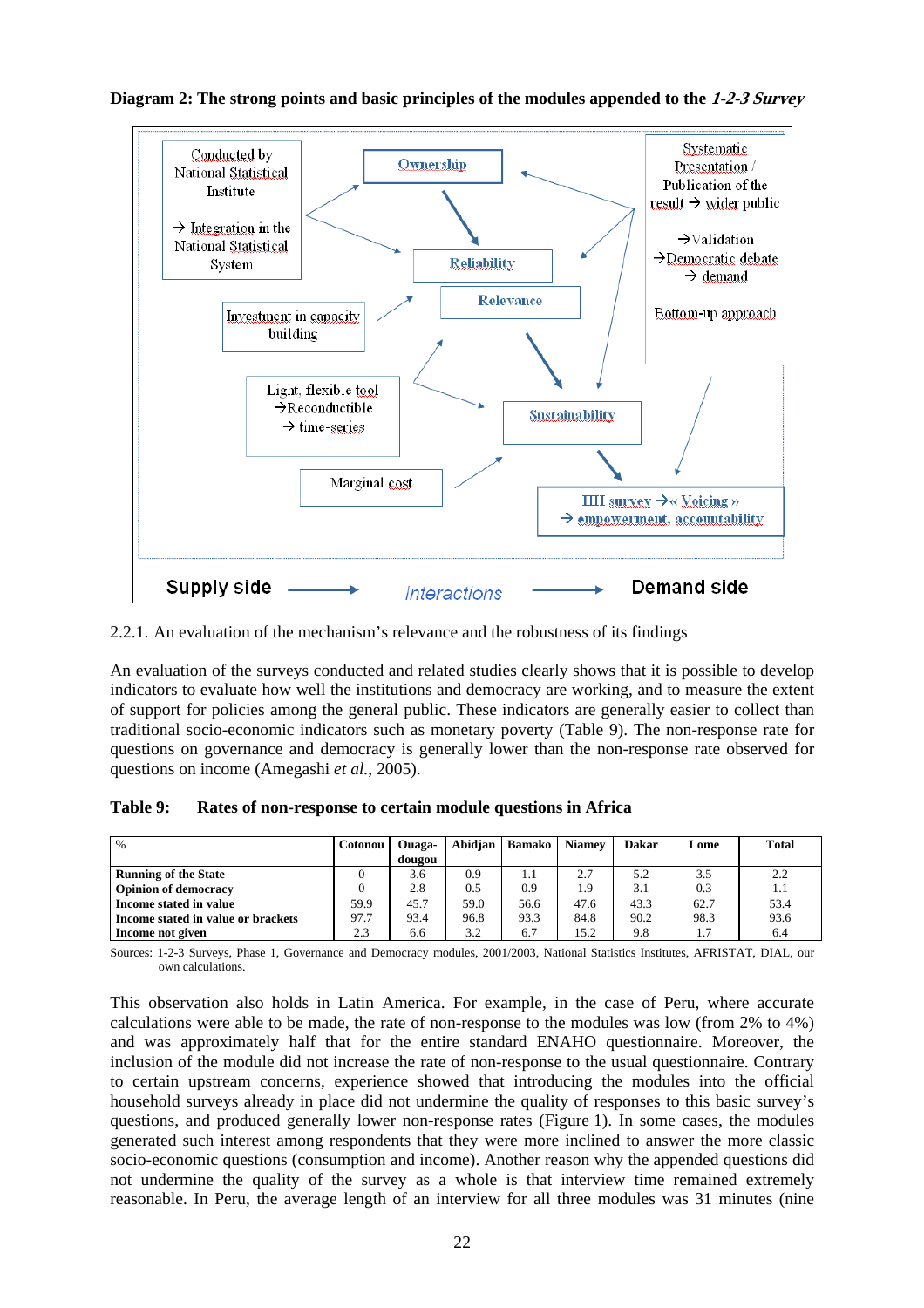

#### **Diagram 2: The strong points and basic principles of the modules appended to the 1-2-3 Survey**

2.2.1. An evaluation of the mechanism's relevance and the robustness of its findings

An evaluation of the surveys conducted and related studies clearly shows that it is possible to develop indicators to evaluate how well the institutions and democracy are working, and to measure the extent of support for policies among the general public. These indicators are generally easier to collect than traditional socio-economic indicators such as monetary poverty (Table 9). The non-response rate for questions on governance and democracy is generally lower than the non-response rate observed for questions on income (Amegashi *et al.*, 2005).

| $\%$                               | <b>Cotonou</b> | Ouaga-<br>dougou | Abidian | Bamako | <b>Niamey</b> | Dakar | Lome | <b>Total</b> |
|------------------------------------|----------------|------------------|---------|--------|---------------|-------|------|--------------|
|                                    |                |                  |         |        |               |       |      |              |
| <b>Running of the State</b>        |                | 3.6              | 0.9     | 1.1    | 2.7           | 5.2   | 3.5  | 2.2          |
| <b>Opinion of democracy</b>        |                | 2.8              | 0.5     | 0.9    | 1.9           | 3.1   | 0.3  | 1.1          |
| Income stated in value             | 59.9           | 45.7             | 59.0    | 56.6   | 47.6          | 43.3  | 62.7 | 53.4         |
| Income stated in value or brackets | 97.7           | 93.4             | 96.8    | 93.3   | 84.8          | 90.2  | 98.3 | 93.6         |
| Income not given                   | 2.3            | 6.6              | 3.2     | 6.7    | 15.2          | 9.8   | 1.7  | 6.4          |

Sources: 1-2-3 Surveys, Phase 1, Governance and Democracy modules, 2001/2003, National Statistics Institutes, AFRISTAT, DIAL, our own calculations.

This observation also holds in Latin America. For example, in the case of Peru, where accurate calculations were able to be made, the rate of non-response to the modules was low (from 2% to 4%) and was approximately half that for the entire standard ENAHO questionnaire. Moreover, the inclusion of the module did not increase the rate of non-response to the usual questionnaire. Contrary to certain upstream concerns, experience showed that introducing the modules into the official household surveys already in place did not undermine the quality of responses to this basic survey's questions, and produced generally lower non-response rates (Figure 1). In some cases, the modules generated such interest among respondents that they were more inclined to answer the more classic socio-economic questions (consumption and income). Another reason why the appended questions did not undermine the quality of the survey as a whole is that interview time remained extremely reasonable. In Peru, the average length of an interview for all three modules was 31 minutes (nine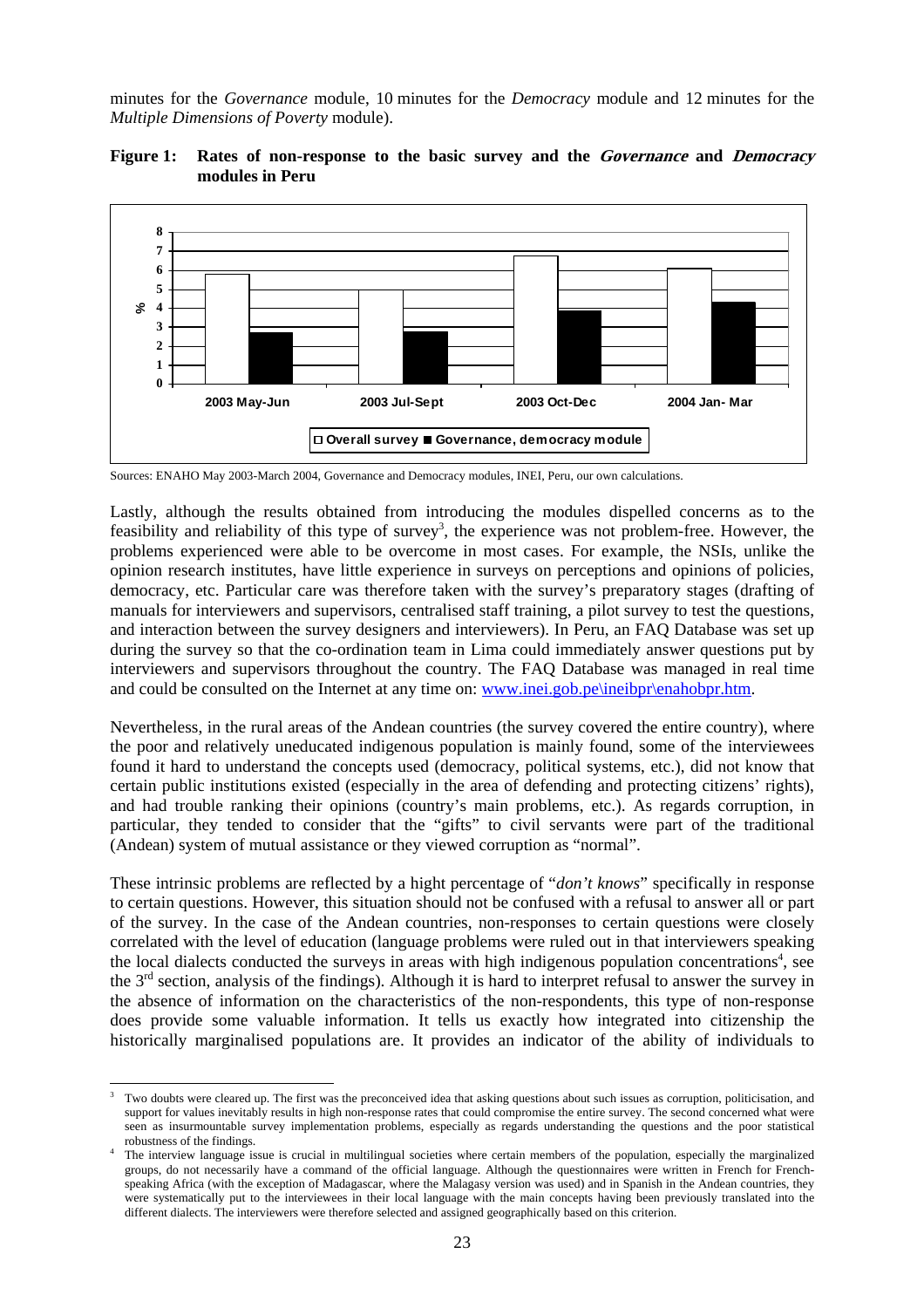minutes for the *Governance* module, 10 minutes for the *Democracy* module and 12 minutes for the *Multiple Dimensions of Poverty* module).



## **Figure 1: Rates of non-response to the basic survey and the Governance and Democracy modules in Peru**

Sources: ENAHO May 2003-March 2004, Governance and Democracy modules, INEI, Peru, our own calculations.

Lastly, although the results obtained from introducing the modules dispelled concerns as to the feasibility and reliability of this type of survey<sup>3</sup>, the experience was not problem-free. However, the problems experienced were able to be overcome in most cases. For example, the NSIs, unlike the opinion research institutes, have little experience in surveys on perceptions and opinions of policies, democracy, etc. Particular care was therefore taken with the survey's preparatory stages (drafting of manuals for interviewers and supervisors, centralised staff training, a pilot survey to test the questions, and interaction between the survey designers and interviewers). In Peru, an FAQ Database was set up during the survey so that the co-ordination team in Lima could immediately answer questions put by interviewers and supervisors throughout the country. The FAQ Database was managed in real time and could be consulted on the Internet at any time on: www.inei.gob.pe\ineibpr\enahobpr.htm.

Nevertheless, in the rural areas of the Andean countries (the survey covered the entire country), where the poor and relatively uneducated indigenous population is mainly found, some of the interviewees found it hard to understand the concepts used (democracy, political systems, etc.), did not know that certain public institutions existed (especially in the area of defending and protecting citizens' rights), and had trouble ranking their opinions (country's main problems, etc.). As regards corruption, in particular, they tended to consider that the "gifts" to civil servants were part of the traditional (Andean) system of mutual assistance or they viewed corruption as "normal".

These intrinsic problems are reflected by a hight percentage of "*don't knows*" specifically in response to certain questions. However, this situation should not be confused with a refusal to answer all or part of the survey. In the case of the Andean countries, non-responses to certain questions were closely correlated with the level of education (language problems were ruled out in that interviewers speaking the local dialects conducted the surveys in areas with high indigenous population concentrations<sup>4</sup>, see the 3<sup>rd</sup> section, analysis of the findings). Although it is hard to interpret refusal to answer the survey in the absence of information on the characteristics of the non-respondents, this type of non-response does provide some valuable information. It tells us exactly how integrated into citizenship the historically marginalised populations are. It provides an indicator of the ability of individuals to

l

<sup>3</sup> Two doubts were cleared up. The first was the preconceived idea that asking questions about such issues as corruption, politicisation, and support for values inevitably results in high non-response rates that could compromise the entire survey. The second concerned what were seen as insurmountable survey implementation problems, especially as regards understanding the questions and the poor statistical robustness of the findings. 4

The interview language issue is crucial in multilingual societies where certain members of the population, especially the marginalized groups, do not necessarily have a command of the official language. Although the questionnaires were written in French for Frenchspeaking Africa (with the exception of Madagascar, where the Malagasy version was used) and in Spanish in the Andean countries, they were systematically put to the interviewees in their local language with the main concepts having been previously translated into the different dialects. The interviewers were therefore selected and assigned geographically based on this criterion.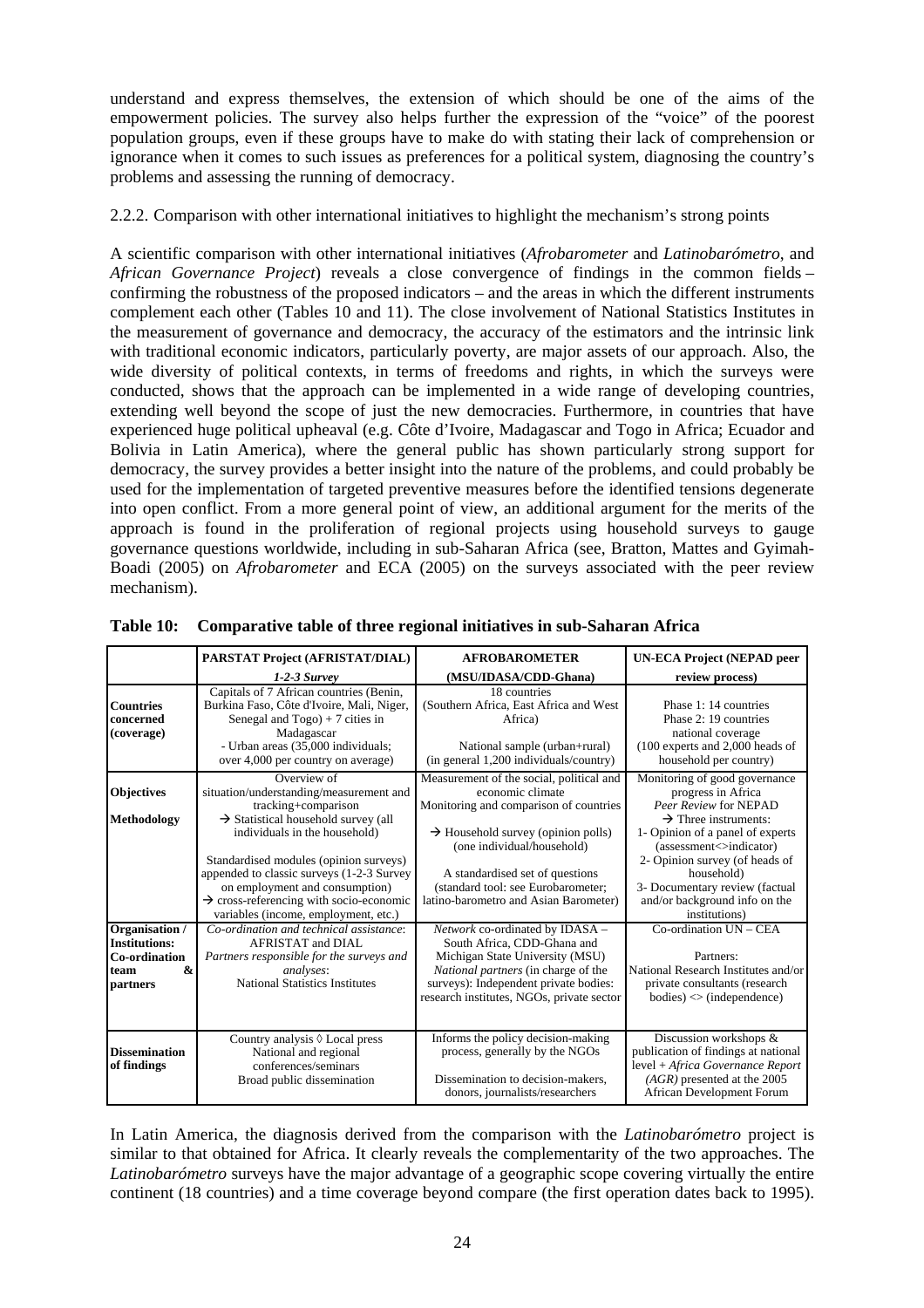understand and express themselves, the extension of which should be one of the aims of the empowerment policies. The survey also helps further the expression of the "voice" of the poorest population groups, even if these groups have to make do with stating their lack of comprehension or ignorance when it comes to such issues as preferences for a political system, diagnosing the country's problems and assessing the running of democracy.

#### 2.2.2. Comparison with other international initiatives to highlight the mechanism's strong points

A scientific comparison with other international initiatives (*Afrobarometer* and *Latinobarómetro*, and *African Governance Project*) reveals a close convergence of findings in the common fields – confirming the robustness of the proposed indicators – and the areas in which the different instruments complement each other (Tables 10 and 11). The close involvement of National Statistics Institutes in the measurement of governance and democracy, the accuracy of the estimators and the intrinsic link with traditional economic indicators, particularly poverty, are major assets of our approach. Also, the wide diversity of political contexts, in terms of freedoms and rights, in which the surveys were conducted, shows that the approach can be implemented in a wide range of developing countries, extending well beyond the scope of just the new democracies. Furthermore, in countries that have experienced huge political upheaval (e.g. Côte d'Ivoire, Madagascar and Togo in Africa; Ecuador and Bolivia in Latin America), where the general public has shown particularly strong support for democracy, the survey provides a better insight into the nature of the problems, and could probably be used for the implementation of targeted preventive measures before the identified tensions degenerate into open conflict. From a more general point of view, an additional argument for the merits of the approach is found in the proliferation of regional projects using household surveys to gauge governance questions worldwide, including in sub-Saharan Africa (see, Bratton, Mattes and Gyimah-Boadi (2005) on *Afrobarometer* and ECA (2005) on the surveys associated with the peer review mechanism).

|                                                                                                            | PARSTAT Project (AFRISTAT/DIAL)                                                                                                                                                                                                                                                                                                                                                                                                                                            | <b>AFROBAROMETER</b>                                                                                                                                                                                                                                                                                                                                                                                                             | <b>UN-ECA Project (NEPAD peer</b>                                                                                                                                                                                                                                                                                                                                                          |
|------------------------------------------------------------------------------------------------------------|----------------------------------------------------------------------------------------------------------------------------------------------------------------------------------------------------------------------------------------------------------------------------------------------------------------------------------------------------------------------------------------------------------------------------------------------------------------------------|----------------------------------------------------------------------------------------------------------------------------------------------------------------------------------------------------------------------------------------------------------------------------------------------------------------------------------------------------------------------------------------------------------------------------------|--------------------------------------------------------------------------------------------------------------------------------------------------------------------------------------------------------------------------------------------------------------------------------------------------------------------------------------------------------------------------------------------|
|                                                                                                            | $1-2-3$ Survey                                                                                                                                                                                                                                                                                                                                                                                                                                                             | (MSU/IDASA/CDD-Ghana)                                                                                                                                                                                                                                                                                                                                                                                                            | review process)                                                                                                                                                                                                                                                                                                                                                                            |
| <b>Countries</b><br>concerned<br>(coverage)                                                                | Capitals of 7 African countries (Benin,<br>Burkina Faso, Côte d'Ivoire, Mali, Niger,<br>Senegal and $Togo$ ) + 7 cities in<br>Madagascar<br>- Urban areas (35,000 individuals;<br>over 4,000 per country on average)                                                                                                                                                                                                                                                       | 18 countries<br>(Southern Africa, East Africa and West<br>Africa)<br>National sample (urban+rural)<br>(in general 1,200 individuals/country)                                                                                                                                                                                                                                                                                     | Phase 1: 14 countries<br>Phase 2: 19 countries<br>national coverage<br>$(100$ experts and 2,000 heads of<br>household per country)                                                                                                                                                                                                                                                         |
| <b>Objectives</b>                                                                                          | Overview of<br>situation/understanding/measurement and<br>tracking+comparison                                                                                                                                                                                                                                                                                                                                                                                              | Measurement of the social, political and<br>economic climate<br>Monitoring and comparison of countries                                                                                                                                                                                                                                                                                                                           | Monitoring of good governance<br>progress in Africa<br>Peer Review for NEPAD                                                                                                                                                                                                                                                                                                               |
| Methodology<br>Organisation /<br><b>Institutions:</b><br>Co-ordination<br><b>&amp;</b><br>team<br>partners | $\rightarrow$ Statistical household survey (all<br>individuals in the household)<br>Standardised modules (opinion surveys)<br>appended to classic surveys (1-2-3 Survey<br>on employment and consumption)<br>$\rightarrow$ cross-referencing with socio-economic<br>variables (income, employment, etc.)<br>Co-ordination and technical assistance:<br>AFRISTAT and DIAL<br>Partners responsible for the surveys and<br>analyses:<br><b>National Statistics Institutes</b> | $\rightarrow$ Household survey (opinion polls)<br>(one individual/household)<br>A standardised set of questions<br>(standard tool: see Eurobarometer;<br>latino-barometro and Asian Barometer)<br>Network co-ordinated by IDASA -<br>South Africa, CDD-Ghana and<br>Michigan State University (MSU)<br>National partners (in charge of the<br>surveys): Independent private bodies:<br>research institutes, NGOs, private sector | $\rightarrow$ Three instruments:<br>1- Opinion of a panel of experts<br>(assessment <> indicator)<br>2- Opinion survey (of heads of<br>household)<br>3- Documentary review (factual<br>and/or background info on the<br>institutions)<br>Co-ordination UN - CEA<br>Partners:<br>National Research Institutes and/or<br>private consultants (research<br>$bodies$ $\Diamond$ (independence) |
| <b>Dissemination</b><br>of findings                                                                        | Country analysis $\Diamond$ Local press<br>National and regional<br>conferences/seminars<br>Broad public dissemination                                                                                                                                                                                                                                                                                                                                                     | Informs the policy decision-making<br>process, generally by the NGOs<br>Dissemination to decision-makers,<br>donors, journalists/researchers                                                                                                                                                                                                                                                                                     | Discussion workshops &<br>publication of findings at national<br>level + Africa Governance Report<br>$(AGR)$ presented at the 2005<br>African Development Forum                                                                                                                                                                                                                            |

**Table 10: Comparative table of three regional initiatives in sub-Saharan Africa** 

In Latin America, the diagnosis derived from the comparison with the *Latinobarómetro* project is similar to that obtained for Africa. It clearly reveals the complementarity of the two approaches. The *Latinobarómetro* surveys have the major advantage of a geographic scope covering virtually the entire continent (18 countries) and a time coverage beyond compare (the first operation dates back to 1995).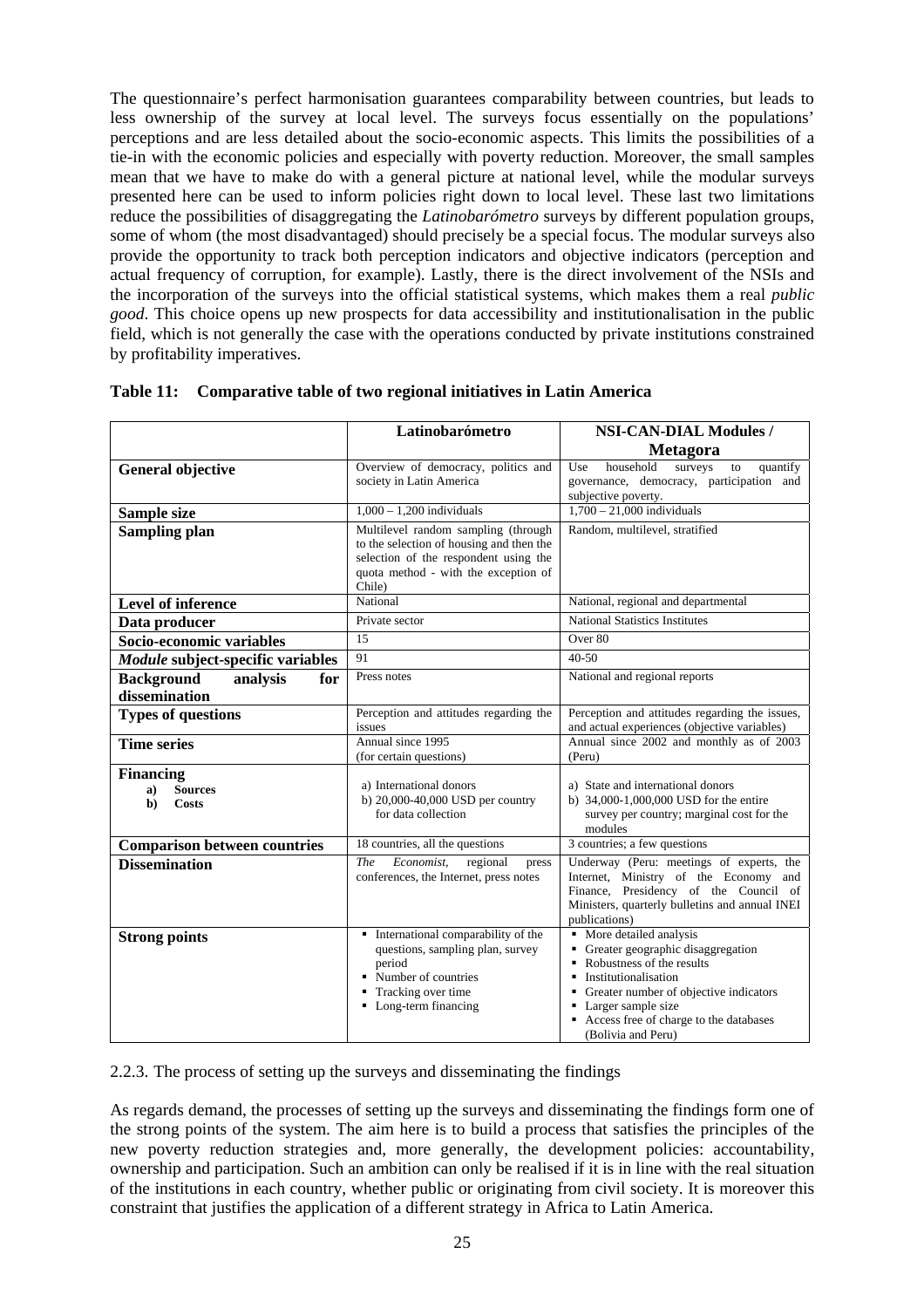The questionnaire's perfect harmonisation guarantees comparability between countries, but leads to less ownership of the survey at local level. The surveys focus essentially on the populations' perceptions and are less detailed about the socio-economic aspects. This limits the possibilities of a tie-in with the economic policies and especially with poverty reduction. Moreover, the small samples mean that we have to make do with a general picture at national level, while the modular surveys presented here can be used to inform policies right down to local level. These last two limitations reduce the possibilities of disaggregating the *Latinobarómetro* surveys by different population groups, some of whom (the most disadvantaged) should precisely be a special focus. The modular surveys also provide the opportunity to track both perception indicators and objective indicators (perception and actual frequency of corruption, for example). Lastly, there is the direct involvement of the NSIs and the incorporation of the surveys into the official statistical systems, which makes them a real *public good*. This choice opens up new prospects for data accessibility and institutionalisation in the public field, which is not generally the case with the operations conducted by private institutions constrained by profitability imperatives.

|                                                                | Latinobarómetro                                                                                                                                                            | <b>NSI-CAN-DIAL Modules /</b>                                                                                                                                                                                                                           |
|----------------------------------------------------------------|----------------------------------------------------------------------------------------------------------------------------------------------------------------------------|---------------------------------------------------------------------------------------------------------------------------------------------------------------------------------------------------------------------------------------------------------|
|                                                                |                                                                                                                                                                            | Metagora                                                                                                                                                                                                                                                |
| <b>General objective</b>                                       | Overview of democracy, politics and<br>society in Latin America                                                                                                            | household<br>surveys<br>Use<br>quantify<br>to<br>governance, democracy, participation and<br>subjective poverty.                                                                                                                                        |
| Sample size                                                    | $1,000 - 1,200$ individuals                                                                                                                                                | $1,700 - 21,000$ individuals                                                                                                                                                                                                                            |
| Sampling plan                                                  | Multilevel random sampling (through<br>to the selection of housing and then the<br>selection of the respondent using the<br>quota method - with the exception of<br>Chile) | Random, multilevel, stratified                                                                                                                                                                                                                          |
| <b>Level of inference</b>                                      | National                                                                                                                                                                   | National, regional and departmental                                                                                                                                                                                                                     |
| Data producer                                                  | Private sector                                                                                                                                                             | <b>National Statistics Institutes</b>                                                                                                                                                                                                                   |
| Socio-economic variables                                       | 15                                                                                                                                                                         | Over 80                                                                                                                                                                                                                                                 |
| Module subject-specific variables                              | 91                                                                                                                                                                         | $40 - 50$                                                                                                                                                                                                                                               |
| <b>Background</b><br>analysis<br>for<br>dissemination          | Press notes                                                                                                                                                                | National and regional reports                                                                                                                                                                                                                           |
| <b>Types of questions</b>                                      | Perception and attitudes regarding the<br>issues                                                                                                                           | Perception and attitudes regarding the issues,<br>and actual experiences (objective variables)                                                                                                                                                          |
| <b>Time series</b>                                             | Annual since 1995<br>(for certain questions)                                                                                                                               | Annual since 2002 and monthly as of 2003<br>(Peru)                                                                                                                                                                                                      |
| <b>Financing</b><br><b>Sources</b><br>a)<br>b)<br><b>Costs</b> | a) International donors<br>b) 20,000-40,000 USD per country<br>for data collection                                                                                         | a) State and international donors<br>b) 34,000-1,000,000 USD for the entire<br>survey per country; marginal cost for the<br>modules                                                                                                                     |
| <b>Comparison between countries</b>                            | 18 countries, all the questions                                                                                                                                            | 3 countries; a few questions                                                                                                                                                                                                                            |
| <b>Dissemination</b>                                           | The<br>Economist,<br>regional<br>press<br>conferences, the Internet, press notes                                                                                           | Underway (Peru: meetings of experts, the<br>Internet, Ministry of the Economy and<br>Finance, Presidency of the Council of<br>Ministers, quarterly bulletins and annual INEI<br>publications)                                                           |
| <b>Strong points</b>                                           | • International comparability of the<br>questions, sampling plan, survey<br>period<br>• Number of countries<br>• Tracking over time<br>• Long-term financing               | • More detailed analysis<br>Greater geographic disaggregation<br>٠<br>Robustness of the results<br>Institutionalisation<br>Greater number of objective indicators<br>Larger sample size<br>Access free of charge to the databases<br>(Bolivia and Peru) |

#### **Table 11: Comparative table of two regional initiatives in Latin America**

2.2.3. The process of setting up the surveys and disseminating the findings

As regards demand, the processes of setting up the surveys and disseminating the findings form one of the strong points of the system. The aim here is to build a process that satisfies the principles of the new poverty reduction strategies and, more generally, the development policies: accountability, ownership and participation. Such an ambition can only be realised if it is in line with the real situation of the institutions in each country, whether public or originating from civil society. It is moreover this constraint that justifies the application of a different strategy in Africa to Latin America.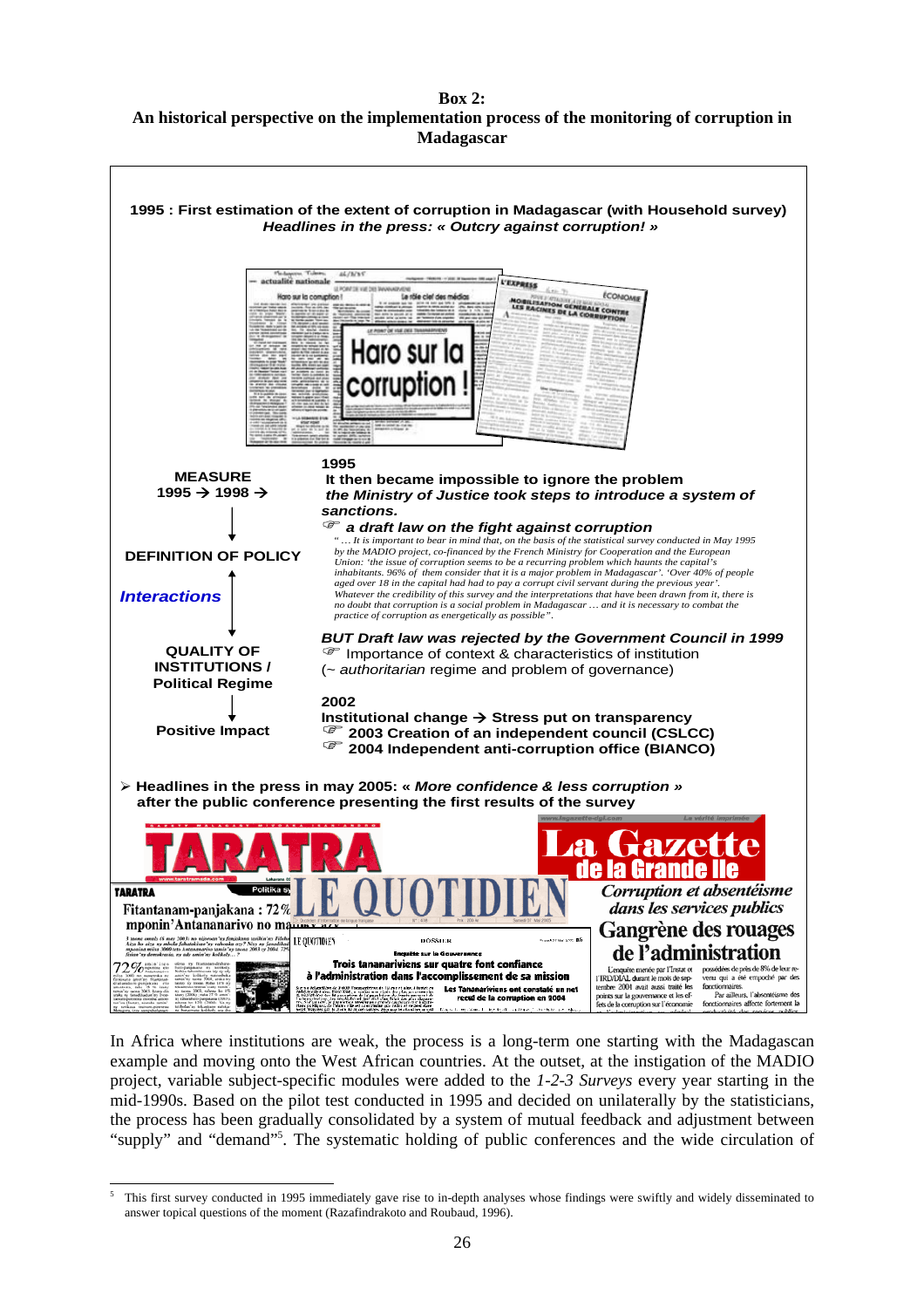#### **Box 2: An historical perspective on the implementation process of the monitoring of corruption in Madagascar**



In Africa where institutions are weak, the process is a long-term one starting with the Madagascan example and moving onto the West African countries. At the outset, at the instigation of the MADIO project, variable subject-specific modules were added to the *1-2-3 Surveys* every year starting in the mid-1990s. Based on the pilot test conducted in 1995 and decided on unilaterally by the statisticians, the process has been gradually consolidated by a system of mutual feedback and adjustment between "supply" and "demand"5 . The systematic holding of public conferences and the wide circulation of

l 5 This first survey conducted in 1995 immediately gave rise to in-depth analyses whose findings were swiftly and widely disseminated to answer topical questions of the moment (Razafindrakoto and Roubaud, 1996).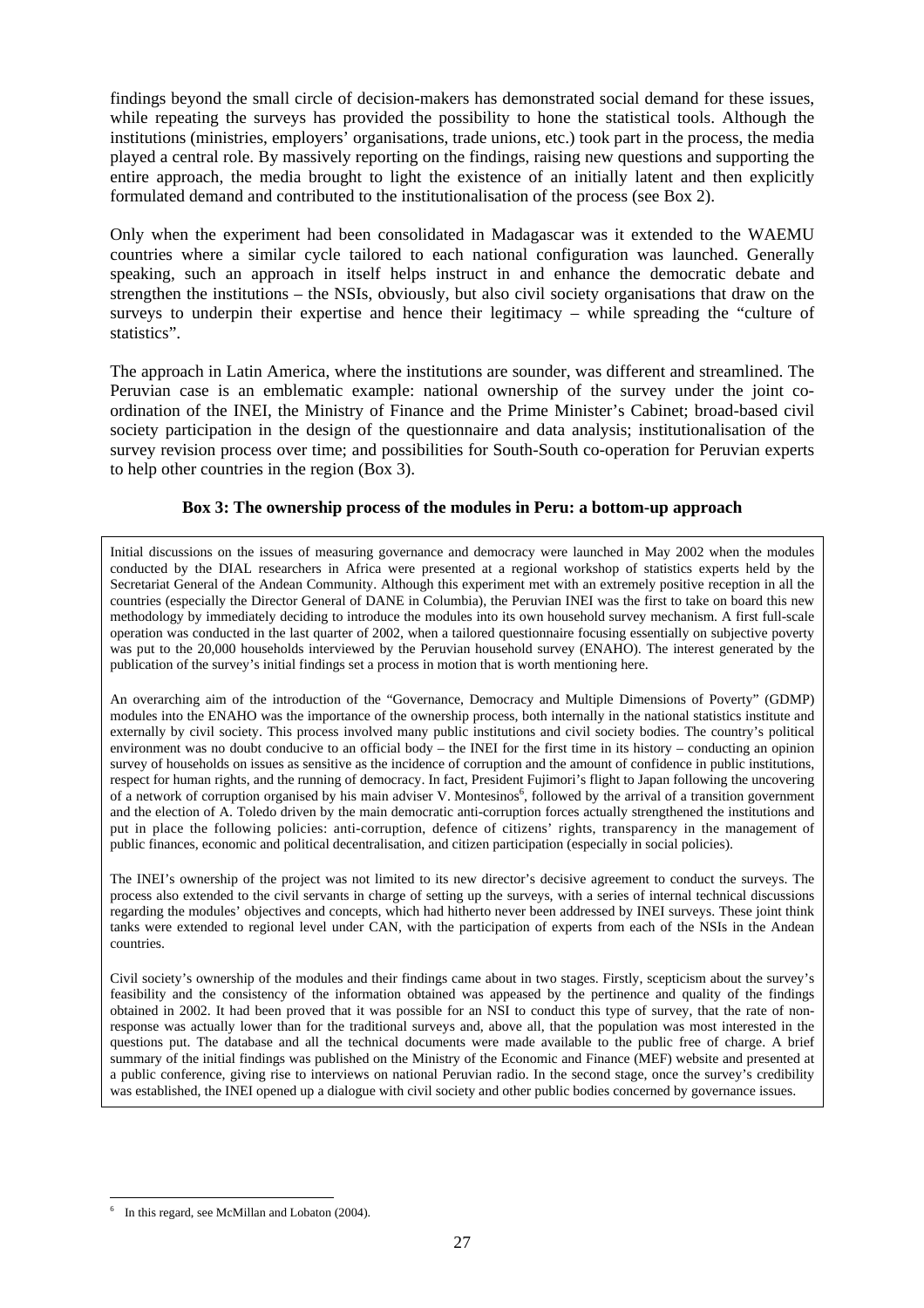findings beyond the small circle of decision-makers has demonstrated social demand for these issues, while repeating the surveys has provided the possibility to hone the statistical tools. Although the institutions (ministries, employers' organisations, trade unions, etc.) took part in the process, the media played a central role. By massively reporting on the findings, raising new questions and supporting the entire approach, the media brought to light the existence of an initially latent and then explicitly formulated demand and contributed to the institutionalisation of the process (see Box 2).

Only when the experiment had been consolidated in Madagascar was it extended to the WAEMU countries where a similar cycle tailored to each national configuration was launched. Generally speaking, such an approach in itself helps instruct in and enhance the democratic debate and strengthen the institutions – the NSIs, obviously, but also civil society organisations that draw on the surveys to underpin their expertise and hence their legitimacy – while spreading the "culture of statistics".

The approach in Latin America, where the institutions are sounder, was different and streamlined. The Peruvian case is an emblematic example: national ownership of the survey under the joint coordination of the INEI, the Ministry of Finance and the Prime Minister's Cabinet; broad-based civil society participation in the design of the questionnaire and data analysis; institutionalisation of the survey revision process over time; and possibilities for South-South co-operation for Peruvian experts to help other countries in the region (Box 3).

#### **Box 3: The ownership process of the modules in Peru: a bottom-up approach**

Initial discussions on the issues of measuring governance and democracy were launched in May 2002 when the modules conducted by the DIAL researchers in Africa were presented at a regional workshop of statistics experts held by the Secretariat General of the Andean Community. Although this experiment met with an extremely positive reception in all the countries (especially the Director General of DANE in Columbia), the Peruvian INEI was the first to take on board this new methodology by immediately deciding to introduce the modules into its own household survey mechanism. A first full-scale operation was conducted in the last quarter of 2002, when a tailored questionnaire focusing essentially on subjective poverty was put to the 20,000 households interviewed by the Peruvian household survey (ENAHO). The interest generated by the publication of the survey's initial findings set a process in motion that is worth mentioning here.

An overarching aim of the introduction of the "Governance, Democracy and Multiple Dimensions of Poverty" (GDMP) modules into the ENAHO was the importance of the ownership process, both internally in the national statistics institute and externally by civil society. This process involved many public institutions and civil society bodies. The country's political environment was no doubt conducive to an official body – the INEI for the first time in its history – conducting an opinion survey of households on issues as sensitive as the incidence of corruption and the amount of confidence in public institutions, respect for human rights, and the running of democracy. In fact, President Fujimori's flight to Japan following the uncovering of a network of corruption organised by his main adviser V. Montesinos<sup>6</sup>, followed by the arrival of a transition government and the election of A. Toledo driven by the main democratic anti-corruption forces actually strengthened the institutions and put in place the following policies: anti-corruption, defence of citizens' rights, transparency in the management of public finances, economic and political decentralisation, and citizen participation (especially in social policies).

The INEI's ownership of the project was not limited to its new director's decisive agreement to conduct the surveys. The process also extended to the civil servants in charge of setting up the surveys, with a series of internal technical discussions regarding the modules' objectives and concepts, which had hitherto never been addressed by INEI surveys. These joint think tanks were extended to regional level under CAN, with the participation of experts from each of the NSIs in the Andean countries.

Civil society's ownership of the modules and their findings came about in two stages. Firstly, scepticism about the survey's feasibility and the consistency of the information obtained was appeased by the pertinence and quality of the findings obtained in 2002. It had been proved that it was possible for an NSI to conduct this type of survey, that the rate of nonresponse was actually lower than for the traditional surveys and, above all, that the population was most interested in the questions put. The database and all the technical documents were made available to the public free of charge. A brief summary of the initial findings was published on the Ministry of the Economic and Finance (MEF) website and presented at a public conference, giving rise to interviews on national Peruvian radio. In the second stage, once the survey's credibility was established, the INEI opened up a dialogue with civil society and other public bodies concerned by governance issues.

l

<sup>6</sup> In this regard, see McMillan and Lobaton (2004).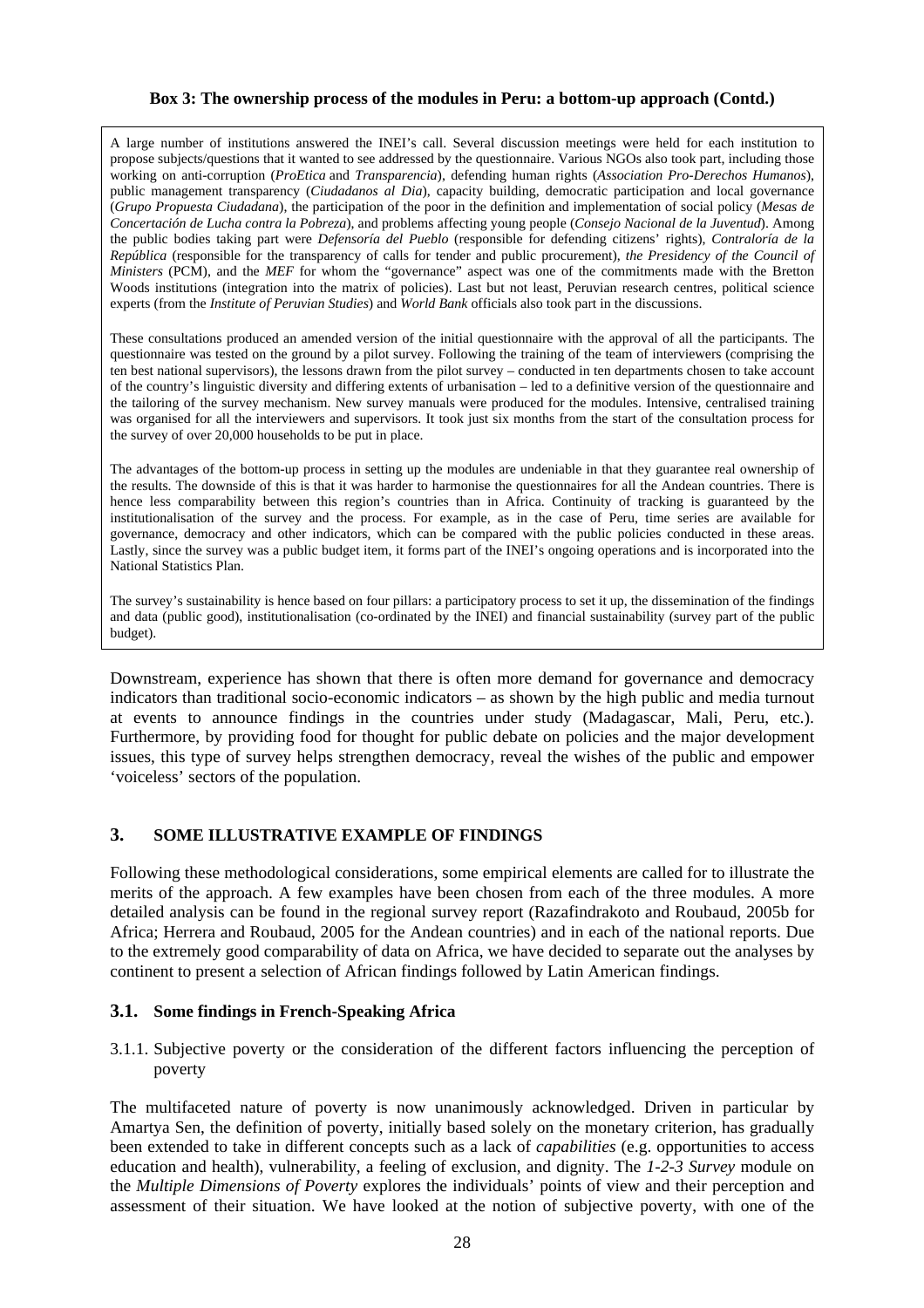#### **Box 3: The ownership process of the modules in Peru: a bottom-up approach (Contd.)**

A large number of institutions answered the INEI's call. Several discussion meetings were held for each institution to propose subjects/questions that it wanted to see addressed by the questionnaire. Various NGOs also took part, including those working on anti-corruption (*ProEtica* and *Transparencia*), defending human rights (*Association Pro-Derechos Humanos*), public management transparency (*Ciudadanos al Dia*), capacity building, democratic participation and local governance (*Grupo Propuesta Ciudadana*), the participation of the poor in the definition and implementation of social policy (*Mesas de Concertación de Lucha contra la Pobreza*), and problems affecting young people (*Consejo Nacional de la Juventud*). Among the public bodies taking part were *Defensoría del Pueblo* (responsible for defending citizens' rights), *Contraloría de la República* (responsible for the transparency of calls for tender and public procurement), *the Presidency of the Council of Ministers* (PCM), and the *MEF* for whom the "governance" aspect was one of the commitments made with the Bretton Woods institutions (integration into the matrix of policies). Last but not least, Peruvian research centres, political science experts (from the *Institute of Peruvian Studies*) and *World Bank* officials also took part in the discussions.

These consultations produced an amended version of the initial questionnaire with the approval of all the participants. The questionnaire was tested on the ground by a pilot survey. Following the training of the team of interviewers (comprising the ten best national supervisors), the lessons drawn from the pilot survey – conducted in ten departments chosen to take account of the country's linguistic diversity and differing extents of urbanisation – led to a definitive version of the questionnaire and the tailoring of the survey mechanism. New survey manuals were produced for the modules. Intensive, centralised training was organised for all the interviewers and supervisors. It took just six months from the start of the consultation process for the survey of over 20,000 households to be put in place.

The advantages of the bottom-up process in setting up the modules are undeniable in that they guarantee real ownership of the results. The downside of this is that it was harder to harmonise the questionnaires for all the Andean countries. There is hence less comparability between this region's countries than in Africa. Continuity of tracking is guaranteed by the institutionalisation of the survey and the process. For example, as in the case of Peru, time series are available for governance, democracy and other indicators, which can be compared with the public policies conducted in these areas. Lastly, since the survey was a public budget item, it forms part of the INEI's ongoing operations and is incorporated into the National Statistics Plan.

The survey's sustainability is hence based on four pillars: a participatory process to set it up, the dissemination of the findings and data (public good), institutionalisation (co-ordinated by the INEI) and financial sustainability (survey part of the public budget).

Downstream, experience has shown that there is often more demand for governance and democracy indicators than traditional socio-economic indicators – as shown by the high public and media turnout at events to announce findings in the countries under study (Madagascar, Mali, Peru, etc.). Furthermore, by providing food for thought for public debate on policies and the major development issues, this type of survey helps strengthen democracy, reveal the wishes of the public and empower 'voiceless' sectors of the population.

# **3. SOME ILLUSTRATIVE EXAMPLE OF FINDINGS**

Following these methodological considerations, some empirical elements are called for to illustrate the merits of the approach. A few examples have been chosen from each of the three modules. A more detailed analysis can be found in the regional survey report (Razafindrakoto and Roubaud, 2005b for Africa; Herrera and Roubaud, 2005 for the Andean countries) and in each of the national reports. Due to the extremely good comparability of data on Africa, we have decided to separate out the analyses by continent to present a selection of African findings followed by Latin American findings.

# **3.1. Some findings in French-Speaking Africa**

3.1.1. Subjective poverty or the consideration of the different factors influencing the perception of poverty

The multifaceted nature of poverty is now unanimously acknowledged. Driven in particular by Amartya Sen, the definition of poverty, initially based solely on the monetary criterion, has gradually been extended to take in different concepts such as a lack of *capabilities* (e.g. opportunities to access education and health), vulnerability, a feeling of exclusion, and dignity. The *1-2-3 Survey* module on the *Multiple Dimensions of Poverty* explores the individuals' points of view and their perception and assessment of their situation. We have looked at the notion of subjective poverty, with one of the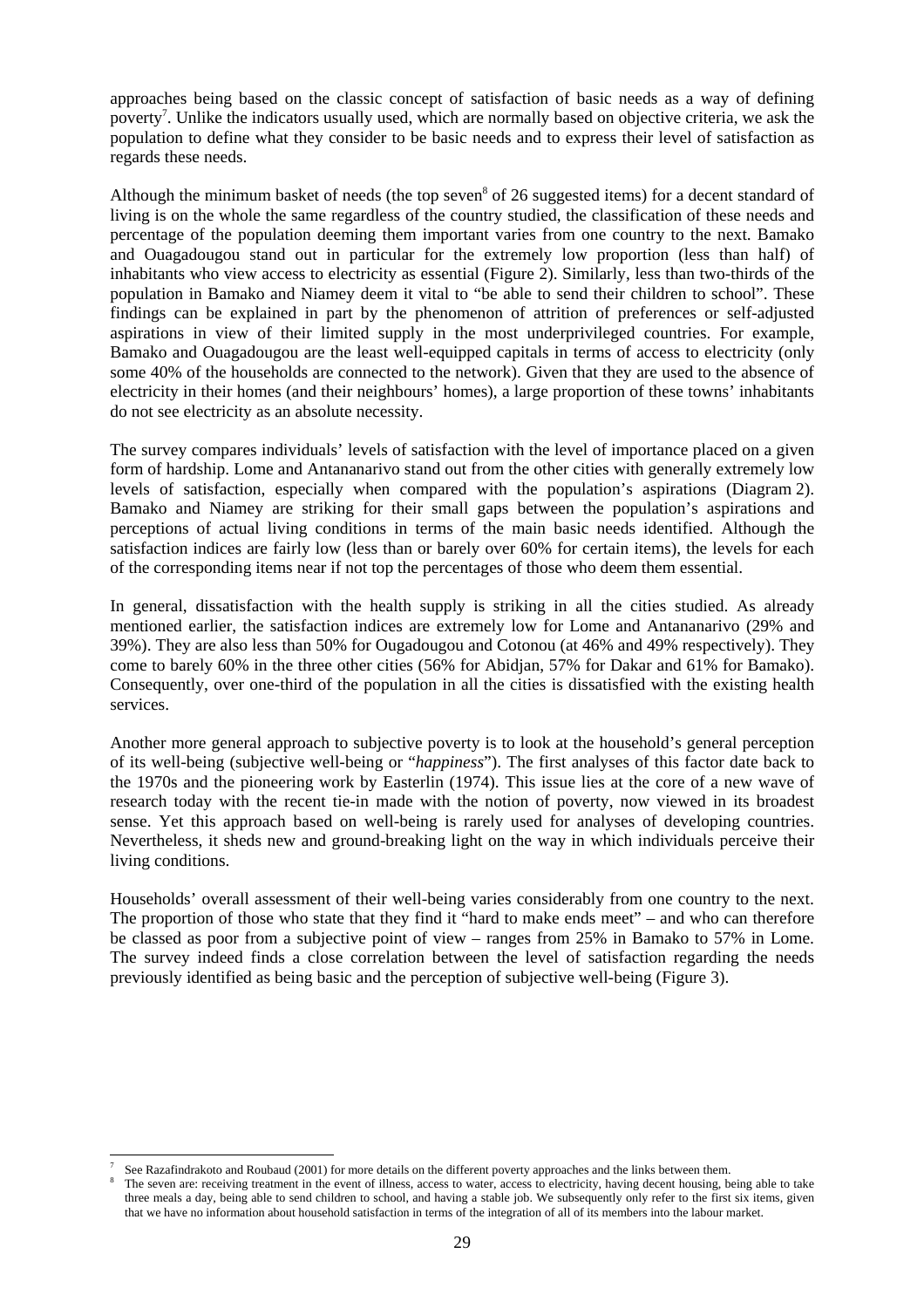approaches being based on the classic concept of satisfaction of basic needs as a way of defining poverty<sup>7</sup>. Unlike the indicators usually used, which are normally based on objective criteria, we ask the population to define what they consider to be basic needs and to express their level of satisfaction as regards these needs.

Although the minimum basket of needs (the top seven<sup>8</sup> of 26 suggested items) for a decent standard of living is on the whole the same regardless of the country studied, the classification of these needs and percentage of the population deeming them important varies from one country to the next. Bamako and Ouagadougou stand out in particular for the extremely low proportion (less than half) of inhabitants who view access to electricity as essential (Figure 2). Similarly, less than two-thirds of the population in Bamako and Niamey deem it vital to "be able to send their children to school". These findings can be explained in part by the phenomenon of attrition of preferences or self-adjusted aspirations in view of their limited supply in the most underprivileged countries. For example, Bamako and Ouagadougou are the least well-equipped capitals in terms of access to electricity (only some 40% of the households are connected to the network). Given that they are used to the absence of electricity in their homes (and their neighbours' homes), a large proportion of these towns' inhabitants do not see electricity as an absolute necessity.

The survey compares individuals' levels of satisfaction with the level of importance placed on a given form of hardship. Lome and Antananarivo stand out from the other cities with generally extremely low levels of satisfaction, especially when compared with the population's aspirations (Diagram 2). Bamako and Niamey are striking for their small gaps between the population's aspirations and perceptions of actual living conditions in terms of the main basic needs identified. Although the satisfaction indices are fairly low (less than or barely over 60% for certain items), the levels for each of the corresponding items near if not top the percentages of those who deem them essential.

In general, dissatisfaction with the health supply is striking in all the cities studied. As already mentioned earlier, the satisfaction indices are extremely low for Lome and Antananarivo (29% and 39%). They are also less than 50% for Ougadougou and Cotonou (at 46% and 49% respectively). They come to barely 60% in the three other cities (56% for Abidjan, 57% for Dakar and 61% for Bamako). Consequently, over one-third of the population in all the cities is dissatisfied with the existing health services.

Another more general approach to subjective poverty is to look at the household's general perception of its well-being (subjective well-being or "*happiness*"). The first analyses of this factor date back to the 1970s and the pioneering work by Easterlin (1974). This issue lies at the core of a new wave of research today with the recent tie-in made with the notion of poverty, now viewed in its broadest sense. Yet this approach based on well-being is rarely used for analyses of developing countries. Nevertheless, it sheds new and ground-breaking light on the way in which individuals perceive their living conditions.

Households' overall assessment of their well-being varies considerably from one country to the next. The proportion of those who state that they find it "hard to make ends meet" – and who can therefore be classed as poor from a subjective point of view – ranges from 25% in Bamako to 57% in Lome. The survey indeed finds a close correlation between the level of satisfaction regarding the needs previously identified as being basic and the perception of subjective well-being (Figure 3).

l 7 See Razafindrakoto and Roubaud (2001) for more details on the different poverty approaches and the links between them. 8

The seven are: receiving treatment in the event of illness, access to water, access to electricity, having decent housing, being able to take three meals a day, being able to send children to school, and having a stable job. We subsequently only refer to the first six items, given that we have no information about household satisfaction in terms of the integration of all of its members into the labour market.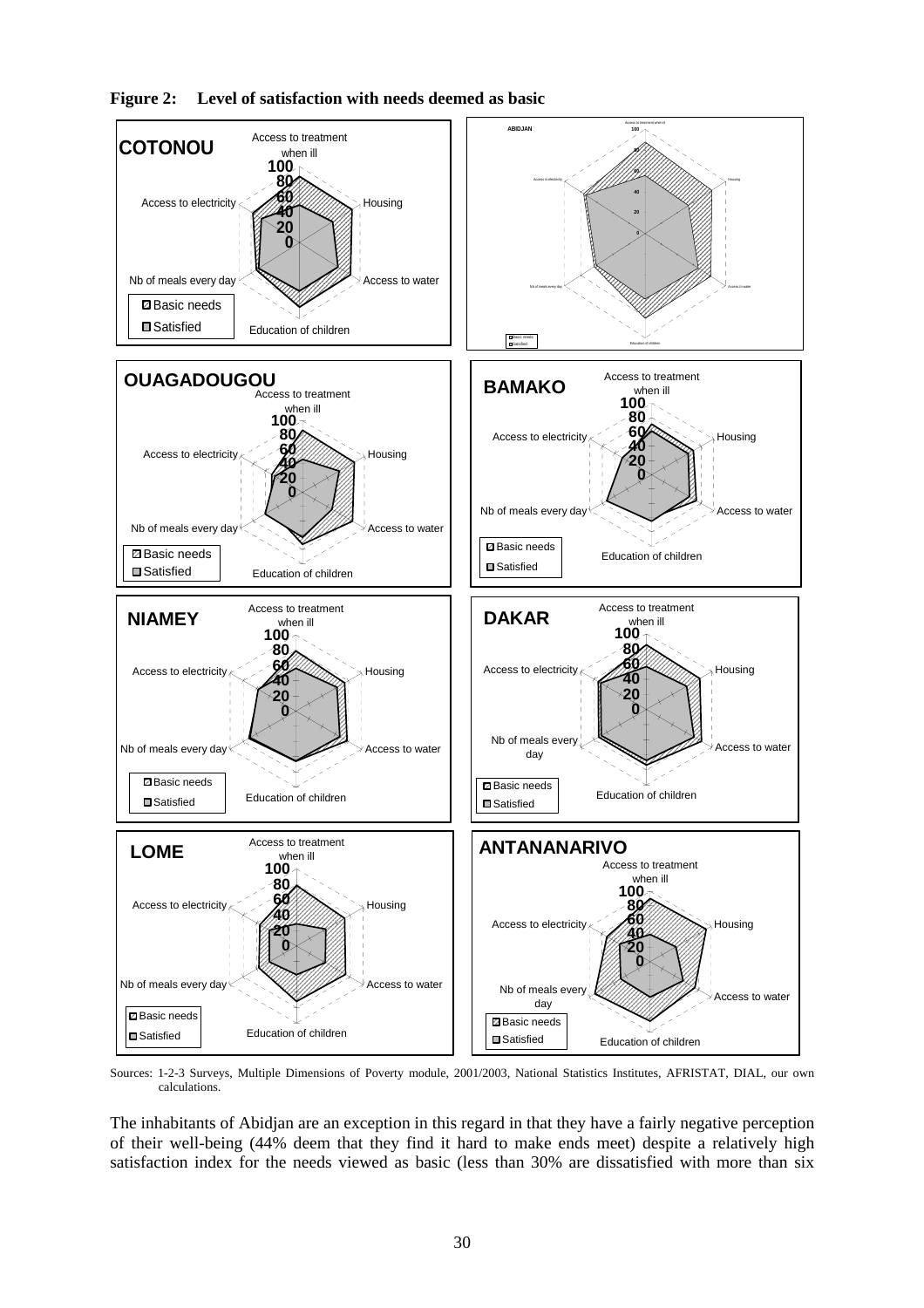

**Figure 2: Level of satisfaction with needs deemed as basic** 

Sources: 1-2-3 Surveys, Multiple Dimensions of Poverty module, 2001/2003, National Statistics Institutes, AFRISTAT, DIAL, our own calculations.

The inhabitants of Abidjan are an exception in this regard in that they have a fairly negative perception of their well-being (44% deem that they find it hard to make ends meet) despite a relatively high satisfaction index for the needs viewed as basic (less than 30% are dissatisfied with more than six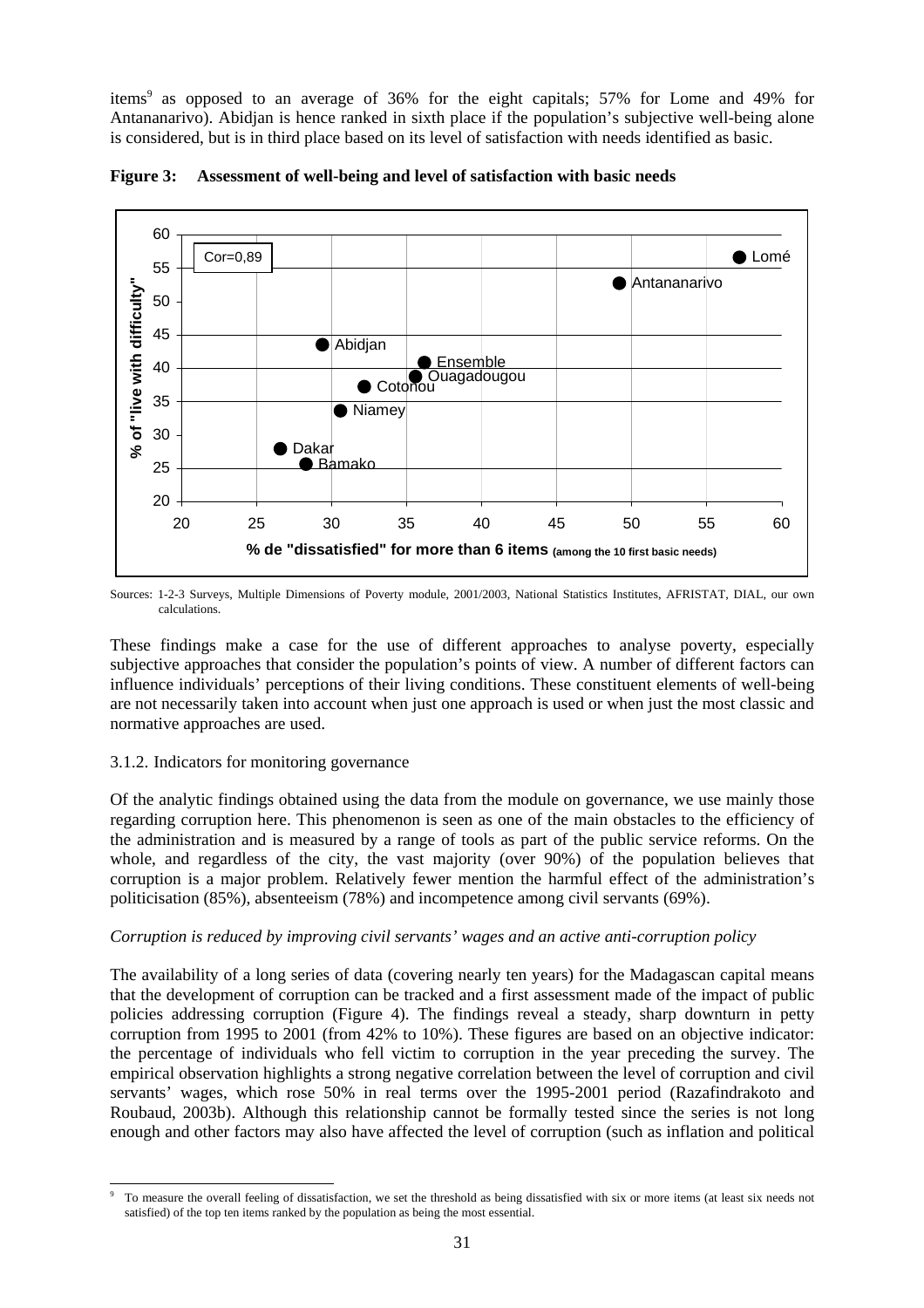items<sup>9</sup> as opposed to an average of 36% for the eight capitals; 57% for Lome and 49% for Antananarivo). Abidjan is hence ranked in sixth place if the population's subjective well-being alone is considered, but is in third place based on its level of satisfaction with needs identified as basic.



**Figure 3: Assessment of well-being and level of satisfaction with basic needs** 

Sources: 1-2-3 Surveys, Multiple Dimensions of Poverty module, 2001/2003, National Statistics Institutes, AFRISTAT, DIAL, our own calculations.

These findings make a case for the use of different approaches to analyse poverty, especially subjective approaches that consider the population's points of view. A number of different factors can influence individuals' perceptions of their living conditions. These constituent elements of well-being are not necessarily taken into account when just one approach is used or when just the most classic and normative approaches are used.

# 3.1.2. Indicators for monitoring governance

Of the analytic findings obtained using the data from the module on governance, we use mainly those regarding corruption here. This phenomenon is seen as one of the main obstacles to the efficiency of the administration and is measured by a range of tools as part of the public service reforms. On the whole, and regardless of the city, the vast majority (over 90%) of the population believes that corruption is a major problem. Relatively fewer mention the harmful effect of the administration's politicisation (85%), absenteeism (78%) and incompetence among civil servants (69%).

#### *Corruption is reduced by improving civil servants' wages and an active anti-corruption policy*

The availability of a long series of data (covering nearly ten years) for the Madagascan capital means that the development of corruption can be tracked and a first assessment made of the impact of public policies addressing corruption (Figure 4). The findings reveal a steady, sharp downturn in petty corruption from 1995 to 2001 (from 42% to 10%). These figures are based on an objective indicator: the percentage of individuals who fell victim to corruption in the year preceding the survey. The empirical observation highlights a strong negative correlation between the level of corruption and civil servants' wages, which rose 50% in real terms over the 1995-2001 period (Razafindrakoto and Roubaud, 2003b). Although this relationship cannot be formally tested since the series is not long enough and other factors may also have affected the level of corruption (such as inflation and political

l 9 To measure the overall feeling of dissatisfaction, we set the threshold as being dissatisfied with six or more items (at least six needs not satisfied) of the top ten items ranked by the population as being the most essential.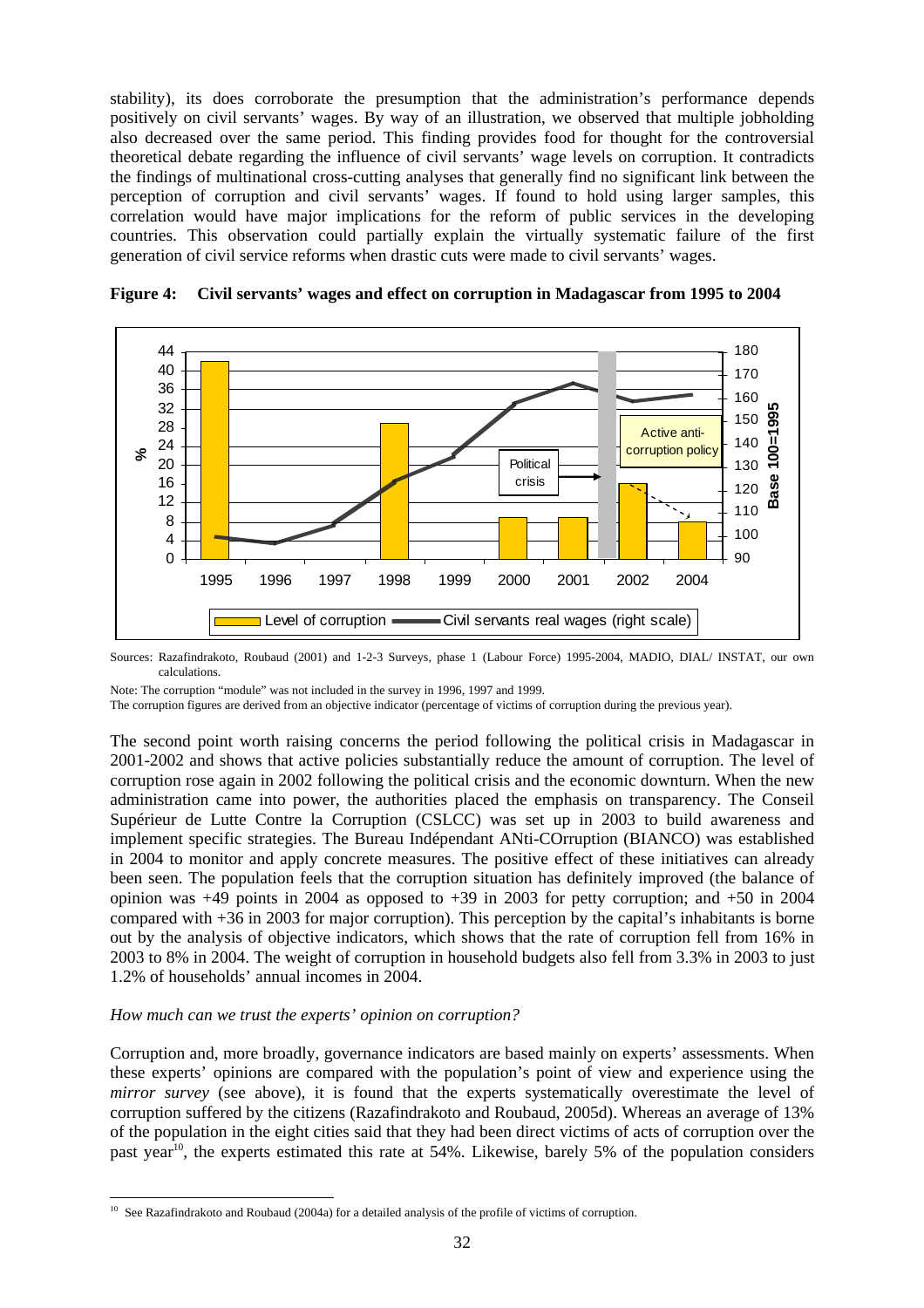stability), its does corroborate the presumption that the administration's performance depends positively on civil servants' wages. By way of an illustration, we observed that multiple jobholding also decreased over the same period. This finding provides food for thought for the controversial theoretical debate regarding the influence of civil servants' wage levels on corruption. It contradicts the findings of multinational cross-cutting analyses that generally find no significant link between the perception of corruption and civil servants' wages. If found to hold using larger samples, this correlation would have major implications for the reform of public services in the developing countries. This observation could partially explain the virtually systematic failure of the first generation of civil service reforms when drastic cuts were made to civil servants' wages.



**Figure 4: Civil servants' wages and effect on corruption in Madagascar from 1995 to 2004** 

Sources: Razafindrakoto, Roubaud (2001) and 1-2-3 Surveys, phase 1 (Labour Force) 1995-2004, MADIO, DIAL/ INSTAT, our own calculations.

Note: The corruption "module" was not included in the survey in 1996, 1997 and 1999.

The corruption figures are derived from an objective indicator (percentage of victims of corruption during the previous year).

The second point worth raising concerns the period following the political crisis in Madagascar in 2001-2002 and shows that active policies substantially reduce the amount of corruption. The level of corruption rose again in 2002 following the political crisis and the economic downturn. When the new administration came into power, the authorities placed the emphasis on transparency. The Conseil Supérieur de Lutte Contre la Corruption (CSLCC) was set up in 2003 to build awareness and implement specific strategies. The Bureau Indépendant ANti-COrruption (BIANCO) was established in 2004 to monitor and apply concrete measures. The positive effect of these initiatives can already been seen. The population feels that the corruption situation has definitely improved (the balance of opinion was  $+49$  points in 2004 as opposed to  $+39$  in 2003 for petty corruption; and  $+50$  in 2004 compared with +36 in 2003 for major corruption). This perception by the capital's inhabitants is borne out by the analysis of objective indicators, which shows that the rate of corruption fell from 16% in 2003 to 8% in 2004. The weight of corruption in household budgets also fell from 3.3% in 2003 to just 1.2% of households' annual incomes in 2004.

#### *How much can we trust the experts' opinion on corruption?*

l

Corruption and, more broadly, governance indicators are based mainly on experts' assessments. When these experts' opinions are compared with the population's point of view and experience using the *mirror survey* (see above), it is found that the experts systematically overestimate the level of corruption suffered by the citizens (Razafindrakoto and Roubaud, 2005d). Whereas an average of 13% of the population in the eight cities said that they had been direct victims of acts of corruption over the past year<sup>10</sup>, the experts estimated this rate at 54%. Likewise, barely 5% of the population considers

 $10$  See Razafindrakoto and Roubaud (2004a) for a detailed analysis of the profile of victims of corruption.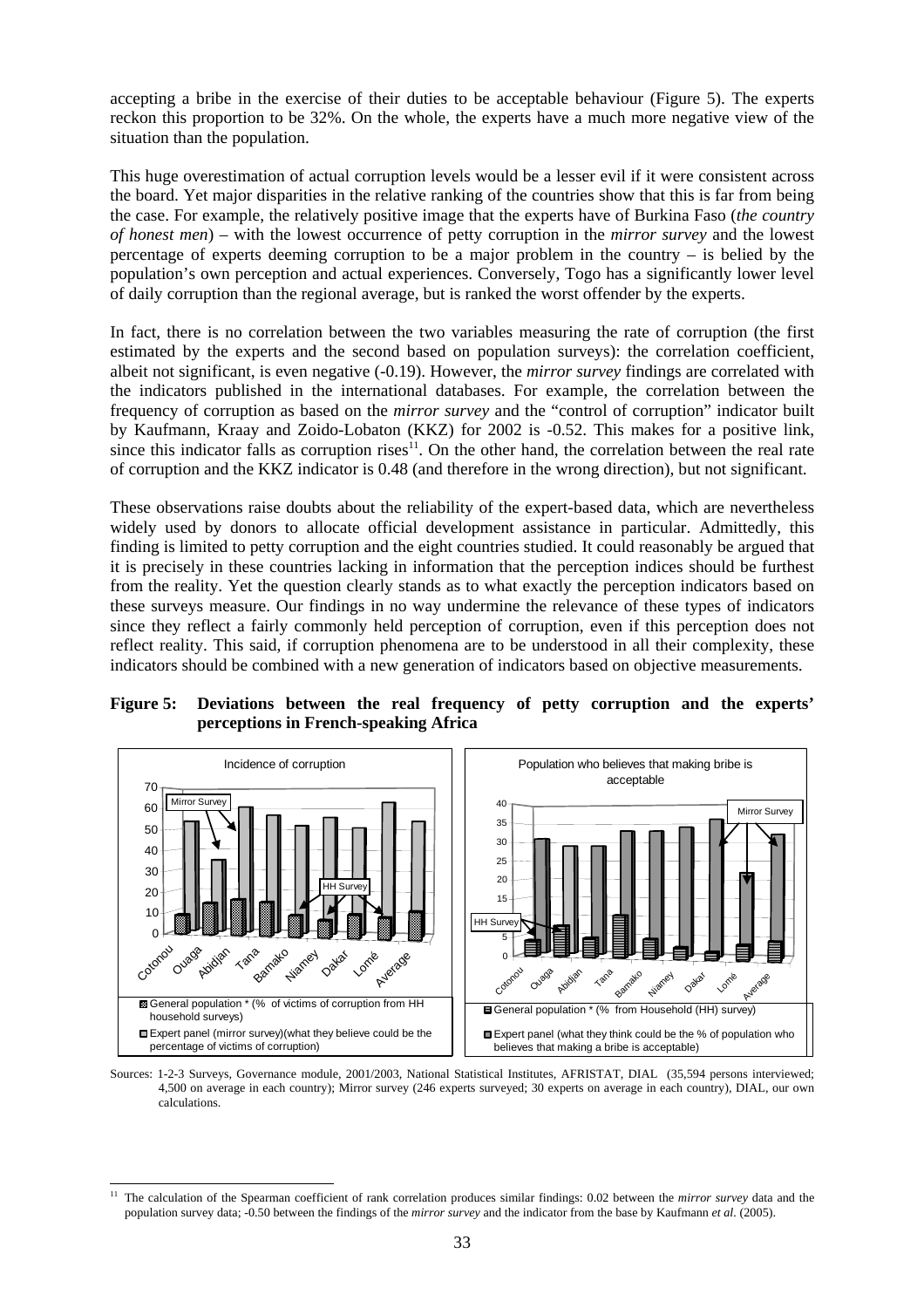accepting a bribe in the exercise of their duties to be acceptable behaviour (Figure 5). The experts reckon this proportion to be 32%. On the whole, the experts have a much more negative view of the situation than the population.

This huge overestimation of actual corruption levels would be a lesser evil if it were consistent across the board. Yet major disparities in the relative ranking of the countries show that this is far from being the case. For example, the relatively positive image that the experts have of Burkina Faso (*the country of honest men*) – with the lowest occurrence of petty corruption in the *mirror survey* and the lowest percentage of experts deeming corruption to be a major problem in the country – is belied by the population's own perception and actual experiences. Conversely, Togo has a significantly lower level of daily corruption than the regional average, but is ranked the worst offender by the experts.

In fact, there is no correlation between the two variables measuring the rate of corruption (the first estimated by the experts and the second based on population surveys): the correlation coefficient, albeit not significant, is even negative (-0.19). However, the *mirror survey* findings are correlated with the indicators published in the international databases. For example, the correlation between the frequency of corruption as based on the *mirror survey* and the "control of corruption" indicator built by Kaufmann, Kraay and Zoido-Lobaton (KKZ) for 2002 is -0.52. This makes for a positive link, since this indicator falls as corruption rises<sup>11</sup>. On the other hand, the correlation between the real rate of corruption and the KKZ indicator is 0.48 (and therefore in the wrong direction), but not significant.

These observations raise doubts about the reliability of the expert-based data, which are nevertheless widely used by donors to allocate official development assistance in particular. Admittedly, this finding is limited to petty corruption and the eight countries studied. It could reasonably be argued that it is precisely in these countries lacking in information that the perception indices should be furthest from the reality. Yet the question clearly stands as to what exactly the perception indicators based on these surveys measure. Our findings in no way undermine the relevance of these types of indicators since they reflect a fairly commonly held perception of corruption, even if this perception does not reflect reality. This said, if corruption phenomena are to be understood in all their complexity, these indicators should be combined with a new generation of indicators based on objective measurements.

**Figure 5: Deviations between the real frequency of petty corruption and the experts' perceptions in French-speaking Africa** 



Sources: 1-2-3 Surveys, Governance module, 2001/2003, National Statistical Institutes, AFRISTAT, DIAL (35,594 persons interviewed; 4,500 on average in each country); Mirror survey (246 experts surveyed; 30 experts on average in each country), DIAL, our own calculations.

l <sup>11</sup> The calculation of the Spearman coefficient of rank correlation produces similar findings: 0.02 between the *mirror survey* data and the population survey data; -0.50 between the findings of the *mirror survey* and the indicator from the base by Kaufmann *et al.* (2005).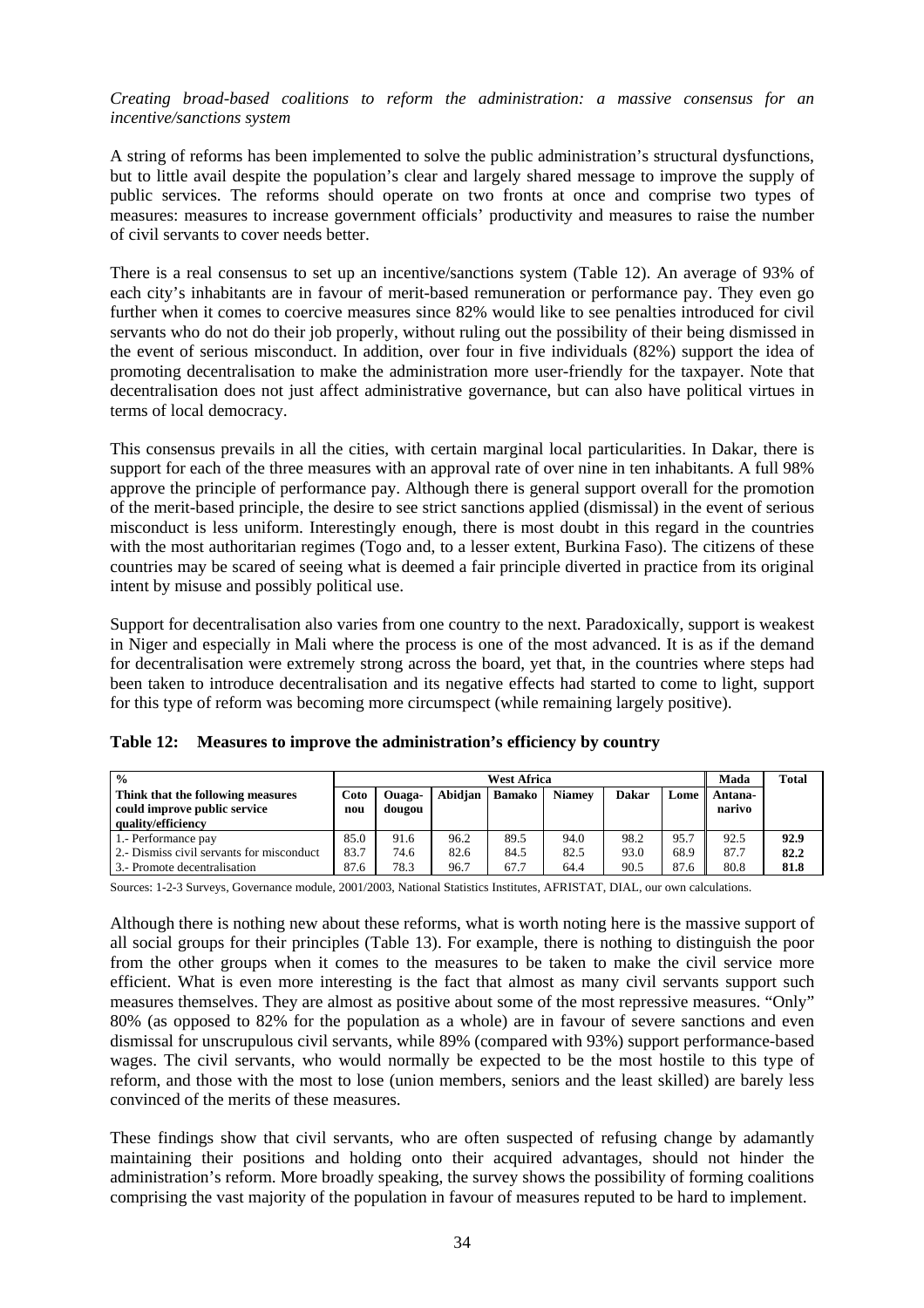*Creating broad-based coalitions to reform the administration: a massive consensus for an incentive/sanctions system* 

A string of reforms has been implemented to solve the public administration's structural dysfunctions, but to little avail despite the population's clear and largely shared message to improve the supply of public services. The reforms should operate on two fronts at once and comprise two types of measures: measures to increase government officials' productivity and measures to raise the number of civil servants to cover needs better.

There is a real consensus to set up an incentive/sanctions system (Table 12). An average of 93% of each city's inhabitants are in favour of merit-based remuneration or performance pay. They even go further when it comes to coercive measures since 82% would like to see penalties introduced for civil servants who do not do their job properly, without ruling out the possibility of their being dismissed in the event of serious misconduct. In addition, over four in five individuals (82%) support the idea of promoting decentralisation to make the administration more user-friendly for the taxpayer. Note that decentralisation does not just affect administrative governance, but can also have political virtues in terms of local democracy.

This consensus prevails in all the cities, with certain marginal local particularities. In Dakar, there is support for each of the three measures with an approval rate of over nine in ten inhabitants. A full 98% approve the principle of performance pay. Although there is general support overall for the promotion of the merit-based principle, the desire to see strict sanctions applied (dismissal) in the event of serious misconduct is less uniform. Interestingly enough, there is most doubt in this regard in the countries with the most authoritarian regimes (Togo and, to a lesser extent, Burkina Faso). The citizens of these countries may be scared of seeing what is deemed a fair principle diverted in practice from its original intent by misuse and possibly political use.

Support for decentralisation also varies from one country to the next. Paradoxically, support is weakest in Niger and especially in Mali where the process is one of the most advanced. It is as if the demand for decentralisation were extremely strong across the board, yet that, in the countries where steps had been taken to introduce decentralisation and its negative effects had started to come to light, support for this type of reform was becoming more circumspect (while remaining largely positive).

| $\frac{0}{0}$                                                     |             |                  |         | West Africa   |               |              |      | Mada              | <b>Total</b> |
|-------------------------------------------------------------------|-------------|------------------|---------|---------------|---------------|--------------|------|-------------------|--------------|
| Think that the following measures<br>could improve public service | Coto<br>nou | Ouaga-<br>dougou | Abidian | <b>Bamako</b> | <b>Niamev</b> | <b>Dakar</b> | Lome | Antana-<br>narivo |              |
| quality/efficiency                                                |             |                  |         |               |               |              |      |                   |              |
| 1.- Performance pay                                               | 85.0        | 91.6             | 96.2    | 89.5          | 94.0          | 98.2         | 95.7 | 92.5              | 92.9         |
| 2.- Dismiss civil servants for misconduct                         | 83.7        | 74.6             | 82.6    | 84.5          | 82.5          | 93.0         | 68.9 | 87.7              | 82.2         |
| 3.- Promote decentralisation                                      | 87.6        | 78.3             | 96.7    | 67.7          | 64.4          | 90.5         | 87.6 | 80.8              | 81.8         |

|  |  |  | Table 12: Measures to improve the administration's efficiency by country |
|--|--|--|--------------------------------------------------------------------------|
|--|--|--|--------------------------------------------------------------------------|

Sources: 1-2-3 Surveys, Governance module, 2001/2003, National Statistics Institutes, AFRISTAT, DIAL, our own calculations.

Although there is nothing new about these reforms, what is worth noting here is the massive support of all social groups for their principles (Table 13). For example, there is nothing to distinguish the poor from the other groups when it comes to the measures to be taken to make the civil service more efficient. What is even more interesting is the fact that almost as many civil servants support such measures themselves. They are almost as positive about some of the most repressive measures. "Only" 80% (as opposed to 82% for the population as a whole) are in favour of severe sanctions and even dismissal for unscrupulous civil servants, while 89% (compared with 93%) support performance-based wages. The civil servants, who would normally be expected to be the most hostile to this type of reform, and those with the most to lose (union members, seniors and the least skilled) are barely less convinced of the merits of these measures.

These findings show that civil servants, who are often suspected of refusing change by adamantly maintaining their positions and holding onto their acquired advantages, should not hinder the administration's reform. More broadly speaking, the survey shows the possibility of forming coalitions comprising the vast majority of the population in favour of measures reputed to be hard to implement.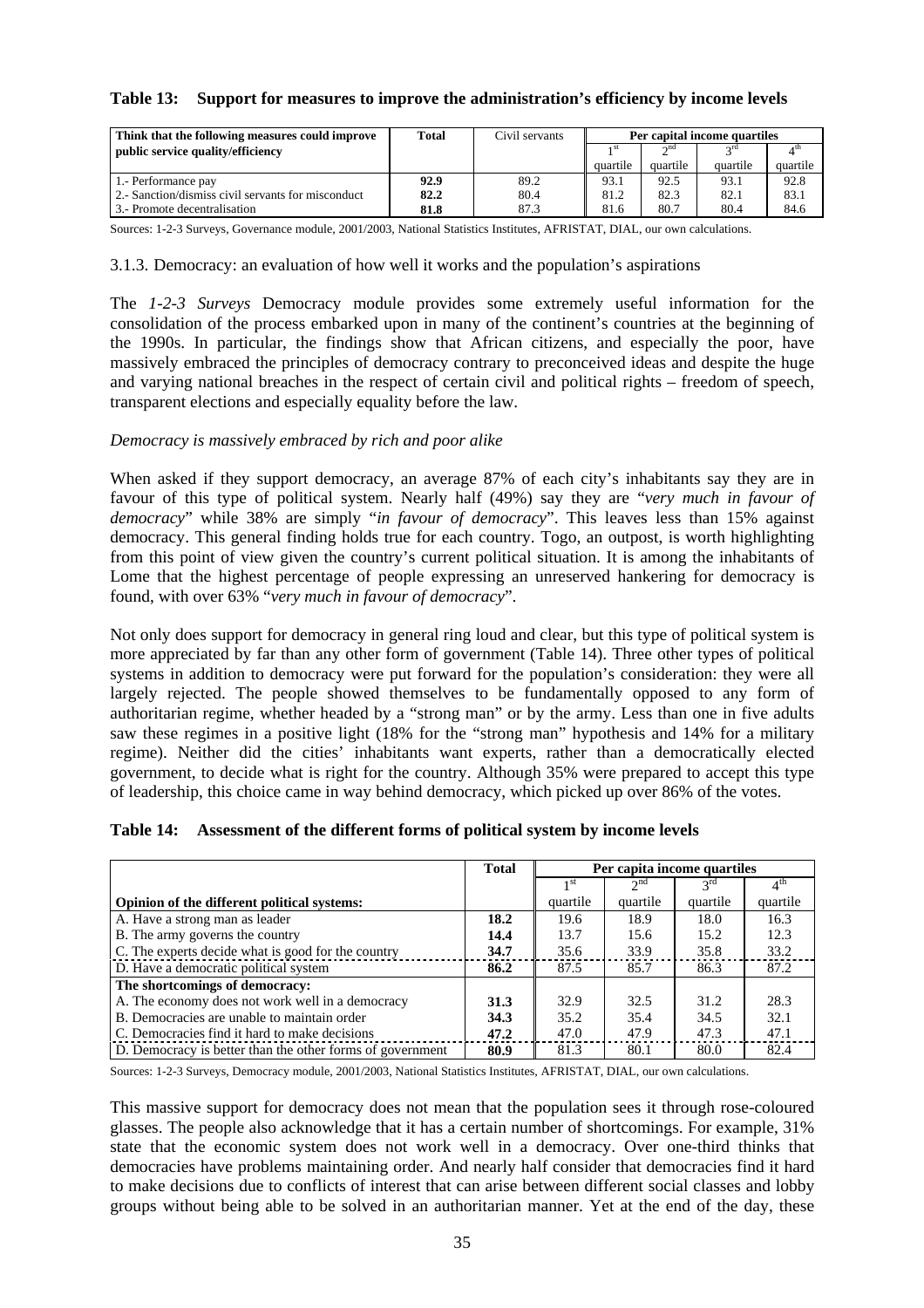#### **Table 13: Support for measures to improve the administration's efficiency by income levels**

| Think that the following measures could improve    | Total | Civil servants | Per capital income quartiles |                      |             |          |
|----------------------------------------------------|-------|----------------|------------------------------|----------------------|-------------|----------|
| public service quality/efficiency                  |       |                |                              | $\cap$ <sup>nd</sup> | $\gamma$ rd |          |
|                                                    |       |                | quartile                     | quartile             | quartile    | quartile |
| 1.- Performance pay                                | 92.9  | 89.2           | 93.1                         | 92.5                 | 93.1        | 92.8     |
| 2.- Sanction/dismiss civil servants for misconduct | 82.2  | 80.4           | 81.2                         | 82.3                 | 82.1        | 83.1     |
| 3.- Promote decentralisation                       | 81.8  | 87.3           | 81.6                         | 80.7                 | 80.4        | 84.6     |

Sources: 1-2-3 Surveys, Governance module, 2001/2003, National Statistics Institutes, AFRISTAT, DIAL, our own calculations.

3.1.3. Democracy: an evaluation of how well it works and the population's aspirations

The *1-2-3 Surveys* Democracy module provides some extremely useful information for the consolidation of the process embarked upon in many of the continent's countries at the beginning of the 1990s. In particular, the findings show that African citizens, and especially the poor, have massively embraced the principles of democracy contrary to preconceived ideas and despite the huge and varying national breaches in the respect of certain civil and political rights – freedom of speech, transparent elections and especially equality before the law.

#### *Democracy is massively embraced by rich and poor alike*

When asked if they support democracy, an average 87% of each city's inhabitants say they are in favour of this type of political system. Nearly half (49%) say they are "*very much in favour of democracy*" while 38% are simply "*in favour of democracy*". This leaves less than 15% against democracy. This general finding holds true for each country. Togo, an outpost, is worth highlighting from this point of view given the country's current political situation. It is among the inhabitants of Lome that the highest percentage of people expressing an unreserved hankering for democracy is found, with over 63% "*very much in favour of democracy*".

Not only does support for democracy in general ring loud and clear, but this type of political system is more appreciated by far than any other form of government (Table 14). Three other types of political systems in addition to democracy were put forward for the population's consideration: they were all largely rejected. The people showed themselves to be fundamentally opposed to any form of authoritarian regime, whether headed by a "strong man" or by the army. Less than one in five adults saw these regimes in a positive light (18% for the "strong man" hypothesis and 14% for a military regime). Neither did the cities' inhabitants want experts, rather than a democratically elected government, to decide what is right for the country. Although 35% were prepared to accept this type of leadership, this choice came in way behind democracy, which picked up over 86% of the votes.

|  |  | Table 14: Assessment of the different forms of political system by income levels |  |  |  |
|--|--|----------------------------------------------------------------------------------|--|--|--|
|--|--|----------------------------------------------------------------------------------|--|--|--|

|                                                           | <b>Total</b> | Per capita income quartiles |                 |                 |                 |
|-----------------------------------------------------------|--------------|-----------------------------|-----------------|-----------------|-----------------|
|                                                           |              | 1 <sup>st</sup>             | 2 <sub>nd</sub> | $2^{\text{rd}}$ | $4^{\text{th}}$ |
| Opinion of the different political systems:               |              | quartile                    | quartile        | quartile        | quartile        |
| A. Have a strong man as leader                            | 18.2         | 19.6                        | 18.9            | 18.0            | 16.3            |
| B. The army governs the country                           | 14.4         | 13.7                        | 15.6            | 15.2            | 12.3            |
| C. The experts decide what is good for the country        | 34.7         | 35.6                        | 33.9            | 35.8            | 33.2            |
| D. Have a democratic political system                     | 86.2         | 87.5                        | 85.7            | 86.3            | 87.2            |
| The shortcomings of democracy:                            |              |                             |                 |                 |                 |
| A. The economy does not work well in a democracy          | 31.3         | 32.9                        | 32.5            | 31.2            | 28.3            |
| B. Democracies are unable to maintain order               | 34.3         | 35.2                        | 35.4            | 34.5            | 32.1            |
| C. Democracies find it hard to make decisions             | 47.2         | 47.0                        | 47.9            | 47.3            | 47.1            |
| D. Democracy is better than the other forms of government | 80.9         | 81.3                        | 80.1            | 80.0            | 82.4            |

Sources: 1-2-3 Surveys, Democracy module, 2001/2003, National Statistics Institutes, AFRISTAT, DIAL, our own calculations.

This massive support for democracy does not mean that the population sees it through rose-coloured glasses. The people also acknowledge that it has a certain number of shortcomings. For example, 31% state that the economic system does not work well in a democracy. Over one-third thinks that democracies have problems maintaining order. And nearly half consider that democracies find it hard to make decisions due to conflicts of interest that can arise between different social classes and lobby groups without being able to be solved in an authoritarian manner. Yet at the end of the day, these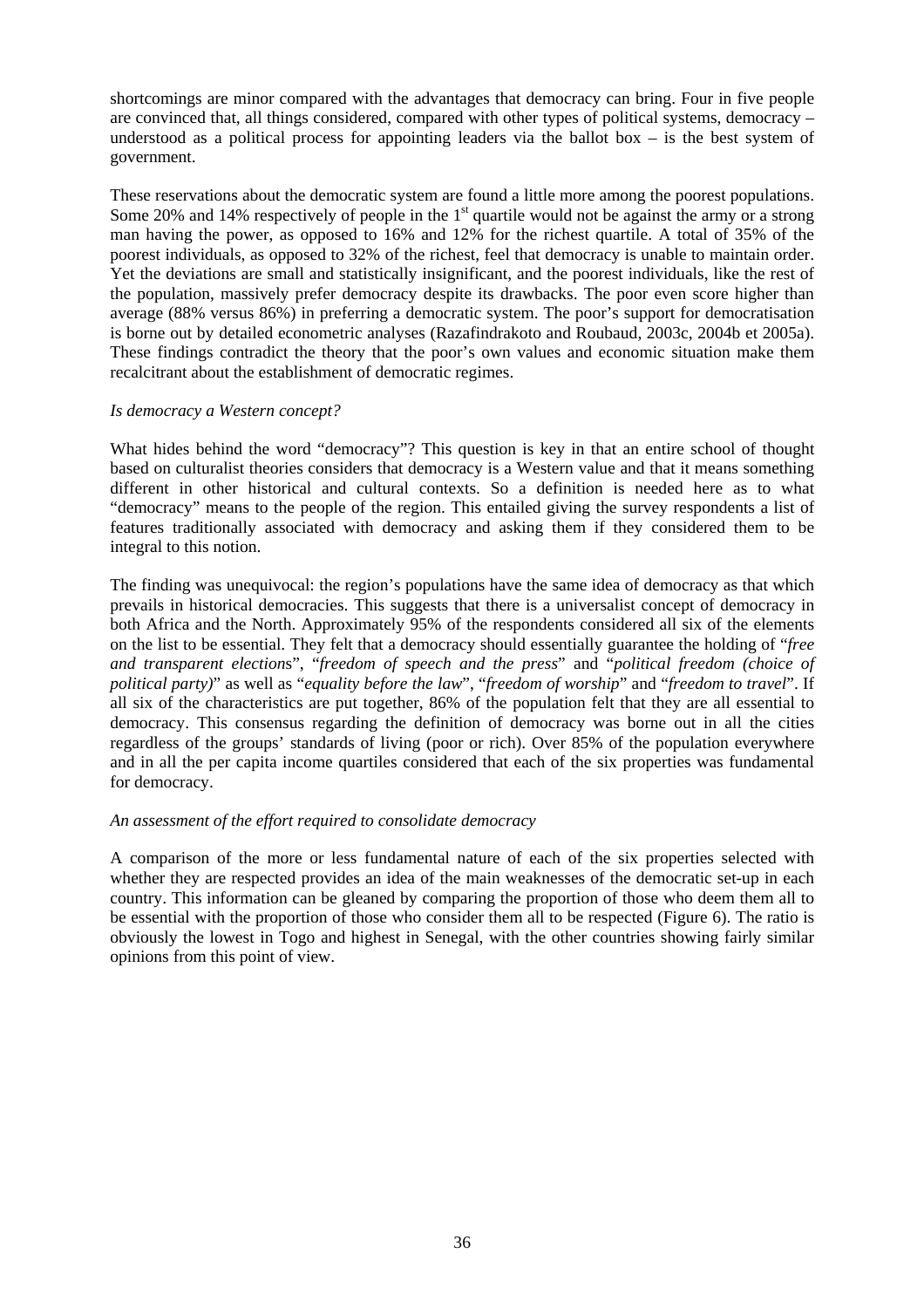shortcomings are minor compared with the advantages that democracy can bring. Four in five people are convinced that, all things considered, compared with other types of political systems, democracy – understood as a political process for appointing leaders via the ballot box  $-$  is the best system of government.

These reservations about the democratic system are found a little more among the poorest populations. Some 20% and 14% respectively of people in the  $1<sup>st</sup>$  quartile would not be against the army or a strong man having the power, as opposed to 16% and 12% for the richest quartile. A total of 35% of the poorest individuals, as opposed to 32% of the richest, feel that democracy is unable to maintain order. Yet the deviations are small and statistically insignificant, and the poorest individuals, like the rest of the population, massively prefer democracy despite its drawbacks. The poor even score higher than average (88% versus 86%) in preferring a democratic system. The poor's support for democratisation is borne out by detailed econometric analyses (Razafindrakoto and Roubaud, 2003c, 2004b et 2005a). These findings contradict the theory that the poor's own values and economic situation make them recalcitrant about the establishment of democratic regimes.

#### *Is democracy a Western concept?*

What hides behind the word "democracy"? This question is key in that an entire school of thought based on culturalist theories considers that democracy is a Western value and that it means something different in other historical and cultural contexts. So a definition is needed here as to what "democracy" means to the people of the region. This entailed giving the survey respondents a list of features traditionally associated with democracy and asking them if they considered them to be integral to this notion.

The finding was unequivocal: the region's populations have the same idea of democracy as that which prevails in historical democracies. This suggests that there is a universalist concept of democracy in both Africa and the North. Approximately 95% of the respondents considered all six of the elements on the list to be essential. They felt that a democracy should essentially guarantee the holding of "*free and transparent election*s", "*freedom of speech and the press*" and "*political freedom (choice of political party)*" as well as "*equality before the law*", "*freedom of worship*" and "*freedom to travel*". If all six of the characteristics are put together, 86% of the population felt that they are all essential to democracy. This consensus regarding the definition of democracy was borne out in all the cities regardless of the groups' standards of living (poor or rich). Over 85% of the population everywhere and in all the per capita income quartiles considered that each of the six properties was fundamental for democracy.

#### *An assessment of the effort required to consolidate democracy*

A comparison of the more or less fundamental nature of each of the six properties selected with whether they are respected provides an idea of the main weaknesses of the democratic set-up in each country. This information can be gleaned by comparing the proportion of those who deem them all to be essential with the proportion of those who consider them all to be respected (Figure 6). The ratio is obviously the lowest in Togo and highest in Senegal, with the other countries showing fairly similar opinions from this point of view.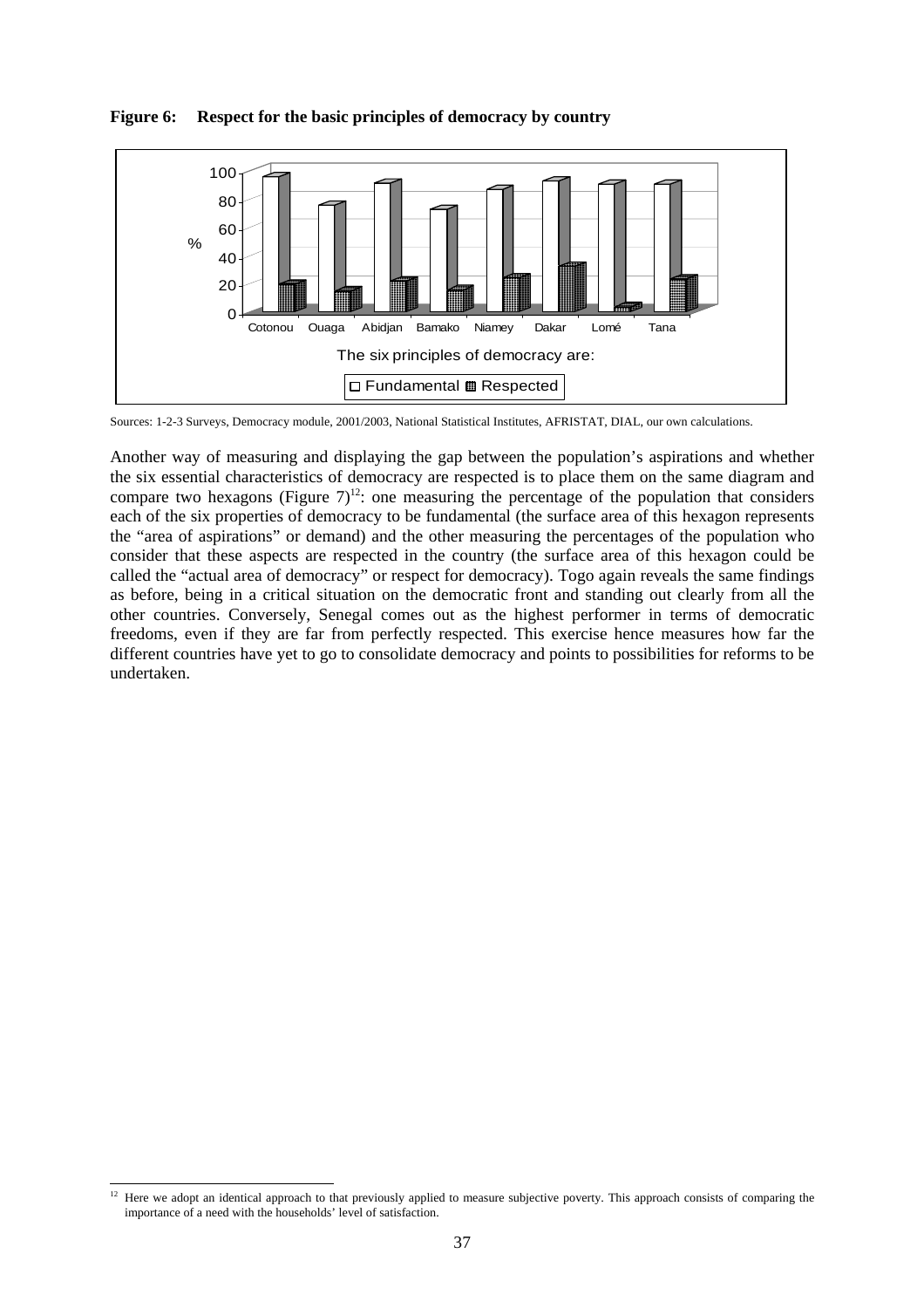

**Figure 6: Respect for the basic principles of democracy by country** 

Sources: 1-2-3 Surveys, Democracy module, 2001/2003, National Statistical Institutes, AFRISTAT, DIAL, our own calculations.

Another way of measuring and displaying the gap between the population's aspirations and whether the six essential characteristics of democracy are respected is to place them on the same diagram and compare two hexagons (Figure  $7)^{12}$ : one measuring the percentage of the population that considers each of the six properties of democracy to be fundamental (the surface area of this hexagon represents the "area of aspirations" or demand) and the other measuring the percentages of the population who consider that these aspects are respected in the country (the surface area of this hexagon could be called the "actual area of democracy" or respect for democracy). Togo again reveals the same findings as before, being in a critical situation on the democratic front and standing out clearly from all the other countries. Conversely, Senegal comes out as the highest performer in terms of democratic freedoms, even if they are far from perfectly respected. This exercise hence measures how far the different countries have yet to go to consolidate democracy and points to possibilities for reforms to be undertaken.

l  $12$  Here we adopt an identical approach to that previously applied to measure subjective poverty. This approach consists of comparing the importance of a need with the households' level of satisfaction.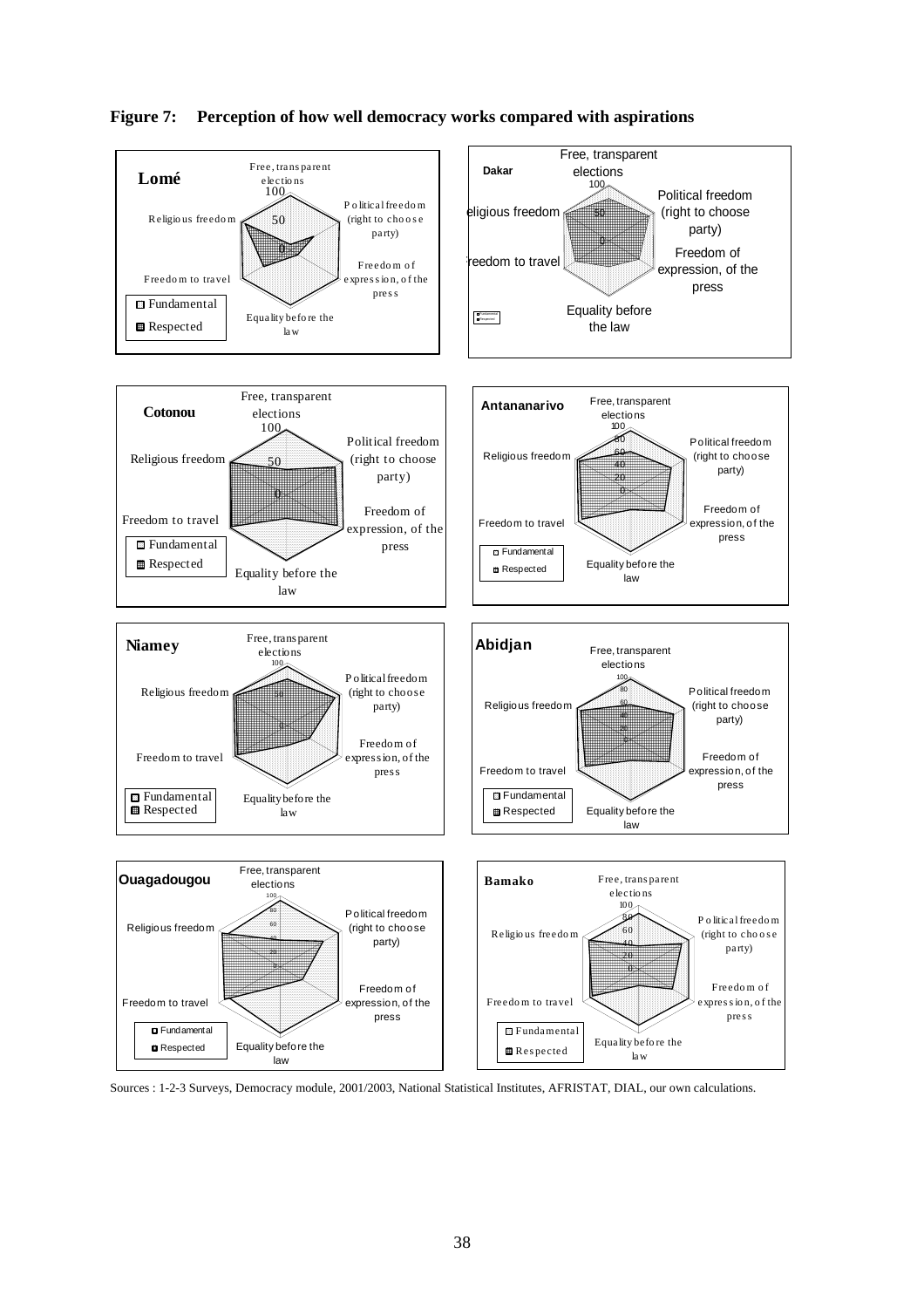

#### **Figure 7: Perception of how well democracy works compared with aspirations**

Sources : 1-2-3 Surveys, Democracy module, 2001/2003, National Statistical Institutes, AFRISTAT, DIAL, our own calculations.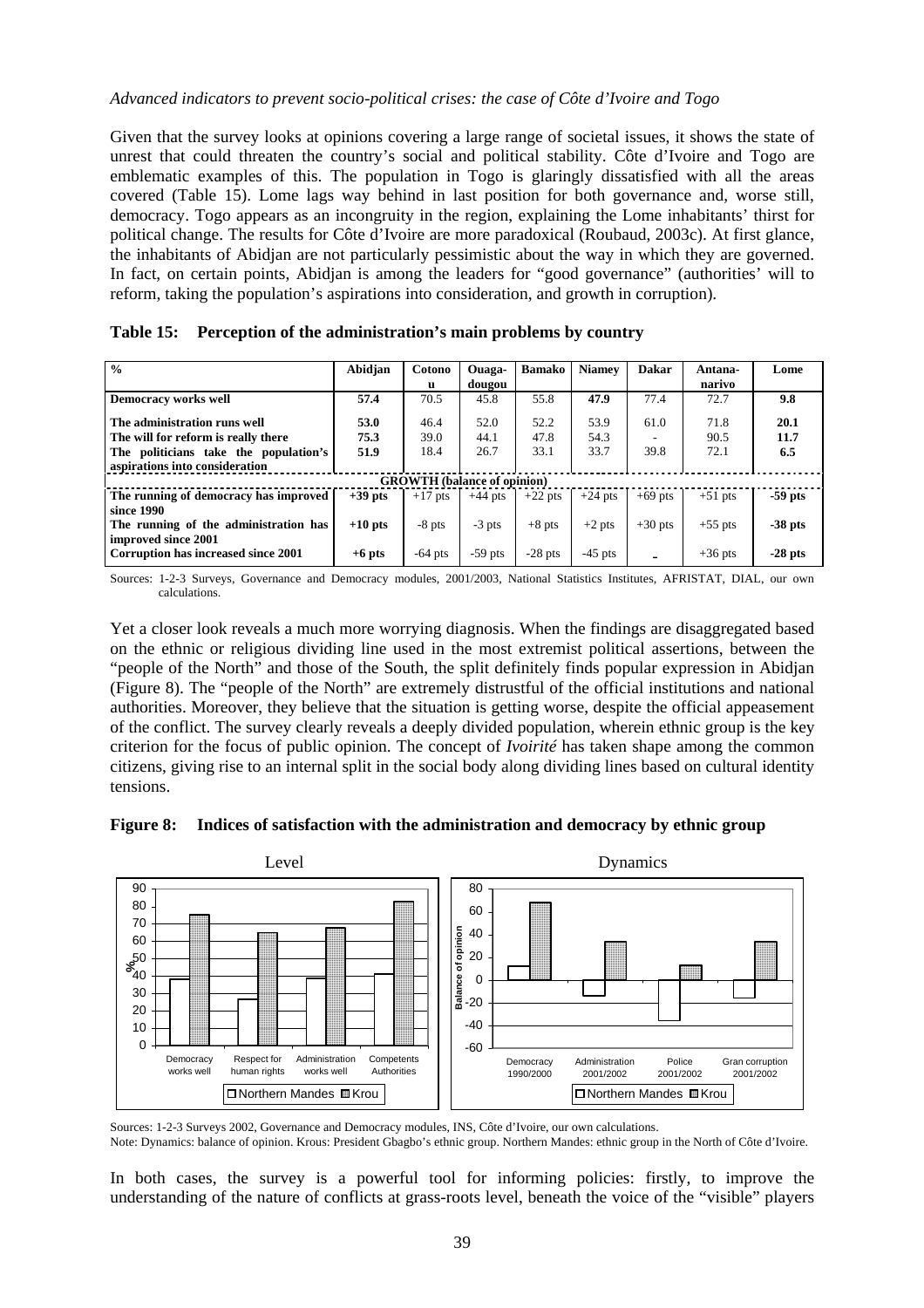#### *Advanced indicators to prevent socio-political crises: the case of Côte d'Ivoire and Togo*

Given that the survey looks at opinions covering a large range of societal issues, it shows the state of unrest that could threaten the country's social and political stability. Côte d'Ivoire and Togo are emblematic examples of this. The population in Togo is glaringly dissatisfied with all the areas covered (Table 15). Lome lags way behind in last position for both governance and, worse still, democracy. Togo appears as an incongruity in the region, explaining the Lome inhabitants' thirst for political change. The results for Côte d'Ivoire are more paradoxical (Roubaud, 2003c). At first glance, the inhabitants of Abidjan are not particularly pessimistic about the way in which they are governed. In fact, on certain points, Abidjan is among the leaders for "good governance" (authorities' will to reform, taking the population's aspirations into consideration, and growth in corruption).

| $\frac{0}{0}$                         | Abidjan   | Cotono<br>u                        | Ouaga-<br>dougou | <b>Bamako</b> | <b>Niamey</b> | <b>Dakar</b> | Antana-<br>narivo | Lome      |
|---------------------------------------|-----------|------------------------------------|------------------|---------------|---------------|--------------|-------------------|-----------|
| <b>Democracy works well</b>           | 57.4      | 70.5                               | 45.8             | 55.8          | 47.9          | 77.4         | 72.7              | 9.8       |
| The administration runs well          | 53.0      | 46.4                               | 52.0             | 52.2          | 53.9          | 61.0         | 71.8              | 20.1      |
| The will for reform is really there   | 75.3      | 39.0                               | 44.1             | 47.8          | 54.3          |              | 90.5              | 11.7      |
| The politicians take the population's | 51.9      | 18.4                               | 26.7             | 33.1          | 33.7          | 39.8         | 72.1              | 6.5       |
| aspirations into consideration        |           |                                    |                  |               |               |              |                   |           |
|                                       |           | <b>GROWTH</b> (balance of opinion) |                  |               |               |              |                   |           |
| The running of democracy has improved | $+39$ pts | $+17$ pts                          | $+44$ pts        | $+22$ pts     | $+24$ pts     | $+69$ pts    | $+51$ pts         | $-59$ pts |
| since 1990                            |           |                                    |                  |               |               |              |                   |           |
| The running of the administration has | $+10$ pts | $-8$ pts                           | $-3$ pts         | $+8$ pts      | $+2$ pts      | $+30$ pts    | $+55$ pts         | $-38$ pts |
| improved since 2001                   |           |                                    |                  |               |               |              |                   |           |
| Corruption has increased since 2001   | $+6$ pts  | $-64$ pts                          | $-59$ pts        | $-28$ pts     | $-45$ pts     |              | $+36$ pts         | $-28$ pts |

| Table 15: Perception of the administration's main problems by country |  |  |  |
|-----------------------------------------------------------------------|--|--|--|
|                                                                       |  |  |  |

Sources: 1-2-3 Surveys, Governance and Democracy modules, 2001/2003, National Statistics Institutes, AFRISTAT, DIAL, our own calculations.

Yet a closer look reveals a much more worrying diagnosis. When the findings are disaggregated based on the ethnic or religious dividing line used in the most extremist political assertions, between the "people of the North" and those of the South, the split definitely finds popular expression in Abidjan (Figure 8). The "people of the North" are extremely distrustful of the official institutions and national authorities. Moreover, they believe that the situation is getting worse, despite the official appeasement of the conflict. The survey clearly reveals a deeply divided population, wherein ethnic group is the key criterion for the focus of public opinion. The concept of *Ivoirité* has taken shape among the common citizens, giving rise to an internal split in the social body along dividing lines based on cultural identity tensions.





Sources: 1-2-3 Surveys 2002, Governance and Democracy modules, INS, Côte d'Ivoire, our own calculations. Note: Dynamics: balance of opinion. Krous: President Gbagbo's ethnic group. Northern Mandes: ethnic group in the North of Côte d'Ivoire.

In both cases, the survey is a powerful tool for informing policies: firstly, to improve the understanding of the nature of conflicts at grass-roots level, beneath the voice of the "visible" players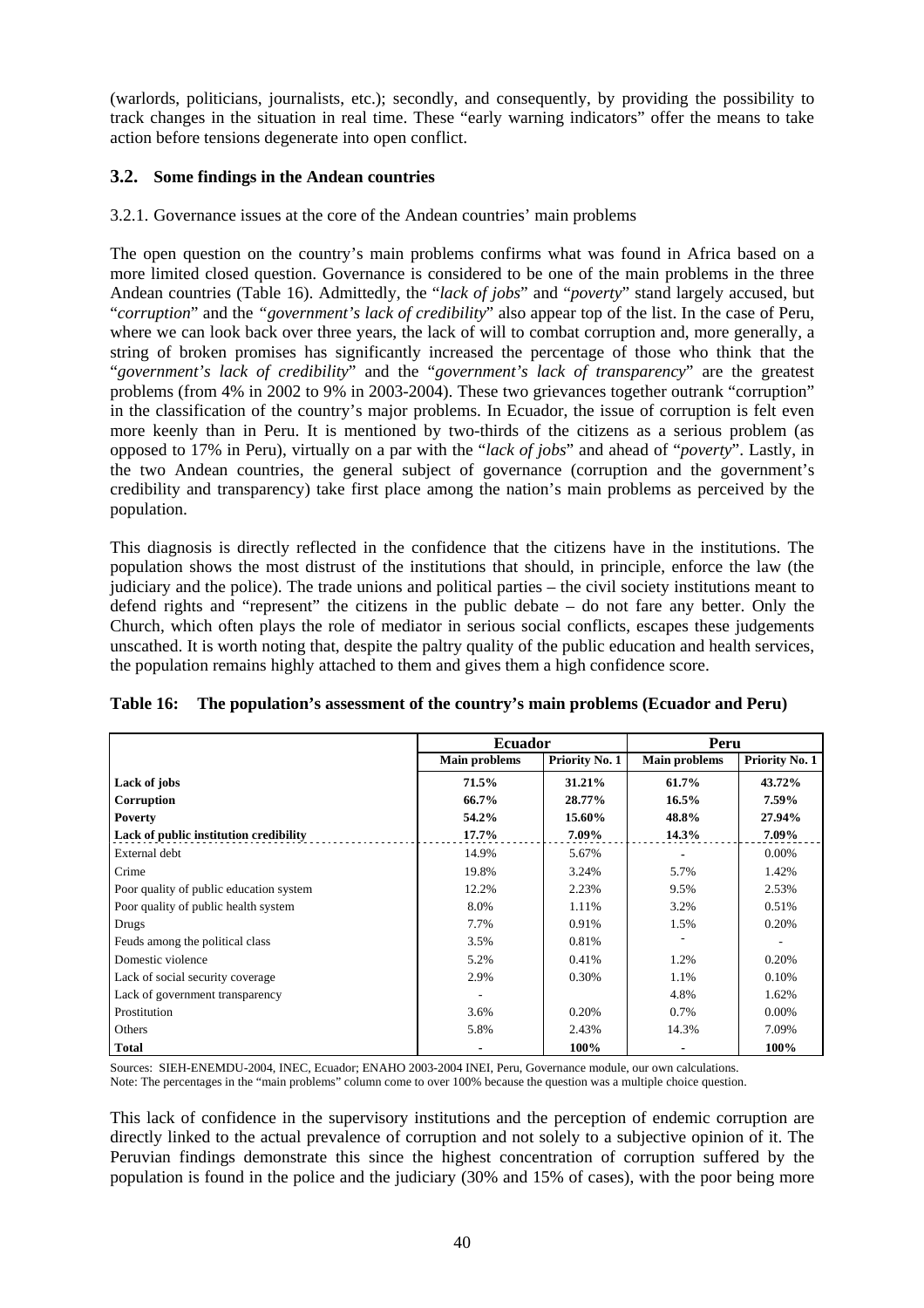(warlords, politicians, journalists, etc.); secondly, and consequently, by providing the possibility to track changes in the situation in real time. These "early warning indicators" offer the means to take action before tensions degenerate into open conflict.

## **3.2. Some findings in the Andean countries**

#### 3.2.1. Governance issues at the core of the Andean countries' main problems

The open question on the country's main problems confirms what was found in Africa based on a more limited closed question. Governance is considered to be one of the main problems in the three Andean countries (Table 16). Admittedly, the "*lack of jobs*" and "*poverty*" stand largely accused, but "*corruption*" and the *"government's lack of credibility*" also appear top of the list. In the case of Peru, where we can look back over three years, the lack of will to combat corruption and, more generally, a string of broken promises has significantly increased the percentage of those who think that the "*government's lack of credibility*" and the "*government's lack of transparency*" are the greatest problems (from 4% in 2002 to 9% in 2003-2004). These two grievances together outrank "corruption" in the classification of the country's major problems. In Ecuador, the issue of corruption is felt even more keenly than in Peru. It is mentioned by two-thirds of the citizens as a serious problem (as opposed to 17% in Peru), virtually on a par with the "*lack of jobs*" and ahead of "*poverty*". Lastly, in the two Andean countries, the general subject of governance (corruption and the government's credibility and transparency) take first place among the nation's main problems as perceived by the population.

This diagnosis is directly reflected in the confidence that the citizens have in the institutions. The population shows the most distrust of the institutions that should, in principle, enforce the law (the judiciary and the police). The trade unions and political parties – the civil society institutions meant to defend rights and "represent" the citizens in the public debate – do not fare any better. Only the Church, which often plays the role of mediator in serious social conflicts, escapes these judgements unscathed. It is worth noting that, despite the paltry quality of the public education and health services, the population remains highly attached to them and gives them a high confidence score.

|                                         | <b>Ecuador</b>       |                | Peru                 |                |
|-----------------------------------------|----------------------|----------------|----------------------|----------------|
|                                         | <b>Main problems</b> | Priority No. 1 | <b>Main problems</b> | Priority No. 1 |
| Lack of jobs                            | 71.5%                | 31.21%         | 61.7%                | 43.72%         |
| Corruption                              | 66.7%                | 28.77%         | $16.5\%$             | 7.59%          |
| <b>Poverty</b>                          | 54.2%                | 15.60%         | 48.8%                | 27.94%         |
| Lack of public institution credibility  | 17.7%                | 7.09%          | 14.3%                | 7.09%          |
| External debt                           | 14.9%                | 5.67%          |                      | 0.00%          |
| Crime                                   | 19.8%                | 3.24%          | 5.7%                 | 1.42%          |
| Poor quality of public education system | 12.2%                | 2.23%          | 9.5%                 | 2.53%          |
| Poor quality of public health system    | 8.0%                 | 1.11%          | 3.2%                 | 0.51%          |
| Drugs                                   | 7.7%                 | 0.91%          | 1.5%                 | 0.20%          |
| Feuds among the political class         | 3.5%                 | 0.81%          |                      |                |
| Domestic violence                       | 5.2%                 | 0.41%          | 1.2%                 | 0.20%          |
| Lack of social security coverage        | 2.9%                 | 0.30%          | 1.1%                 | 0.10%          |
| Lack of government transparency         |                      |                | 4.8%                 | 1.62%          |
| Prostitution                            | 3.6%                 | 0.20%          | 0.7%                 | $0.00\%$       |
| Others                                  | 5.8%                 | 2.43%          | 14.3%                | 7.09%          |
| <b>Total</b>                            |                      | 100%           |                      | 100%           |

|  | Table 16: The population's assessment of the country's main problems (Ecuador and Peru) |  |  |
|--|-----------------------------------------------------------------------------------------|--|--|
|--|-----------------------------------------------------------------------------------------|--|--|

Sources: SIEH-ENEMDU-2004, INEC, Ecuador; ENAHO 2003-2004 INEI, Peru, Governance module, our own calculations. Note: The percentages in the "main problems" column come to over 100% because the question was a multiple choice question.

This lack of confidence in the supervisory institutions and the perception of endemic corruption are directly linked to the actual prevalence of corruption and not solely to a subjective opinion of it. The Peruvian findings demonstrate this since the highest concentration of corruption suffered by the population is found in the police and the judiciary (30% and 15% of cases), with the poor being more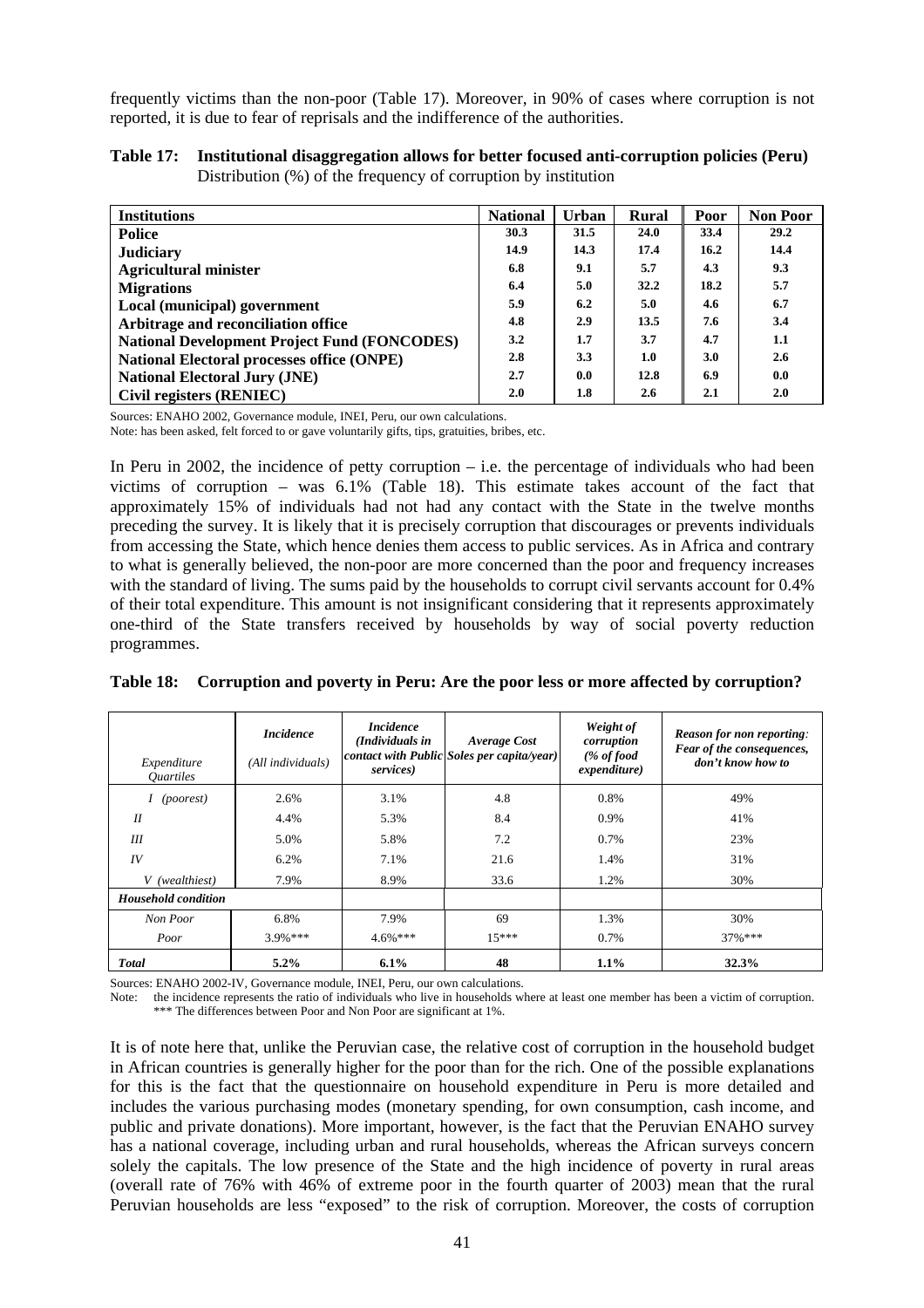frequently victims than the non-poor (Table 17). Moreover, in 90% of cases where corruption is not reported, it is due to fear of reprisals and the indifference of the authorities.

| Table 17: Institutional disaggregation allows for better focused anti-corruption policies (Peru) |
|--------------------------------------------------------------------------------------------------|
| Distribution $(\%)$ of the frequency of corruption by institution                                |

| <b>Institutions</b>                                 | <b>National</b> | Urban            | <b>Rural</b> | Poor | <b>Non Poor</b> |
|-----------------------------------------------------|-----------------|------------------|--------------|------|-----------------|
| Police                                              | 30.3            | 31.5             | 24.0         | 33.4 | 29.2            |
| <b>Judiciary</b>                                    | 14.9            | 14.3             | 17.4         | 16.2 | 14.4            |
| <b>Agricultural minister</b>                        | 6.8             | 9.1              | 5.7          | 4.3  | 9.3             |
| <b>Migrations</b>                                   | 6.4             | 5.0              | 32.2         | 18.2 | 5.7             |
| Local (municipal) government                        | 5.9             | 6.2              | 5.0          | 4.6  | 6.7             |
| Arbitrage and reconciliation office                 | 4.8             | 2.9              | 13.5         | 7.6  | 3.4             |
| <b>National Development Project Fund (FONCODES)</b> | 3.2             | 1.7              | 3.7          | 4.7  | 1.1             |
| <b>National Electoral processes office (ONPE)</b>   | 2.8             | 3.3              | 1.0          | 3.0  | 2.6             |
| <b>National Electoral Jury (JNE)</b>                | 2.7             | 0.0 <sub>1</sub> | 12.8         | 6.9  | 0.0             |
| Civil registers (RENIEC)                            | 2.0             | 1.8              | 2.6          | 2.1  | 2.0             |

Sources: ENAHO 2002, Governance module, INEI, Peru, our own calculations.

Note: has been asked, felt forced to or gave voluntarily gifts, tips, gratuities, bribes, etc.

In Peru in 2002, the incidence of petty corruption  $-$  i.e. the percentage of individuals who had been victims of corruption – was 6.1% (Table 18). This estimate takes account of the fact that approximately 15% of individuals had not had any contact with the State in the twelve months preceding the survey. It is likely that it is precisely corruption that discourages or prevents individuals from accessing the State, which hence denies them access to public services. As in Africa and contrary to what is generally believed, the non-poor are more concerned than the poor and frequency increases with the standard of living. The sums paid by the households to corrupt civil servants account for 0.4% of their total expenditure. This amount is not insignificant considering that it represents approximately one-third of the State transfers received by households by way of social poverty reduction programmes.

| Expenditure<br><i><u><b>Ouartiles</b></u></i> | <i>Incidence</i><br>(All individuals) | <i>Incidence</i><br>(Individuals in<br>services) | Average Cost<br>contact with Public Soles per capita/year) | Weight of<br>corruption<br>$(\% of food)$<br>expenditure) | <b>Reason for non reporting:</b><br>Fear of the consequences,<br>don't know how to |
|-----------------------------------------------|---------------------------------------|--------------------------------------------------|------------------------------------------------------------|-----------------------------------------------------------|------------------------------------------------------------------------------------|
| <i>(poorest)</i>                              | 2.6%                                  | 3.1%                                             | 4.8                                                        | 0.8%                                                      | 49%                                                                                |
| I                                             | 4.4%                                  | 5.3%                                             | 8.4                                                        | 0.9%                                                      | 41%                                                                                |
| Ш                                             | 5.0%                                  | 5.8%                                             | 7.2                                                        | 0.7%                                                      | 23%                                                                                |
| IV                                            | 6.2%                                  | 7.1%                                             | 21.6                                                       | 1.4%                                                      | 31%                                                                                |
| V (wealthiest)                                | 7.9%                                  | 8.9%                                             | 33.6                                                       | 1.2%                                                      | 30%                                                                                |
| <b>Household condition</b>                    |                                       |                                                  |                                                            |                                                           |                                                                                    |
| Non Poor                                      | 6.8%                                  | 7.9%                                             | 69                                                         | 1.3%                                                      | 30%                                                                                |
| Poor                                          | $3.9%***$                             | $4.6\%***$                                       | $15***$                                                    | 0.7%                                                      | $37\%***$                                                                          |
| <b>Total</b>                                  | $5.2\%$                               | $6.1\%$                                          | 48                                                         | 1.1%                                                      | 32.3%                                                                              |

|  |  | Table 18: Corruption and poverty in Peru: Are the poor less or more affected by corruption? |
|--|--|---------------------------------------------------------------------------------------------|
|  |  |                                                                                             |

Sources: ENAHO 2002-IV, Governance module, INEI, Peru, our own calculations.

Note: the incidence represents the ratio of individuals who live in households where at least one member has been a victim of corruption. \*\*\* The differences between Poor and Non Poor are significant at 1%.

It is of note here that, unlike the Peruvian case, the relative cost of corruption in the household budget in African countries is generally higher for the poor than for the rich. One of the possible explanations for this is the fact that the questionnaire on household expenditure in Peru is more detailed and includes the various purchasing modes (monetary spending, for own consumption, cash income, and public and private donations). More important, however, is the fact that the Peruvian ENAHO survey has a national coverage, including urban and rural households, whereas the African surveys concern solely the capitals. The low presence of the State and the high incidence of poverty in rural areas (overall rate of 76% with 46% of extreme poor in the fourth quarter of 2003) mean that the rural Peruvian households are less "exposed" to the risk of corruption. Moreover, the costs of corruption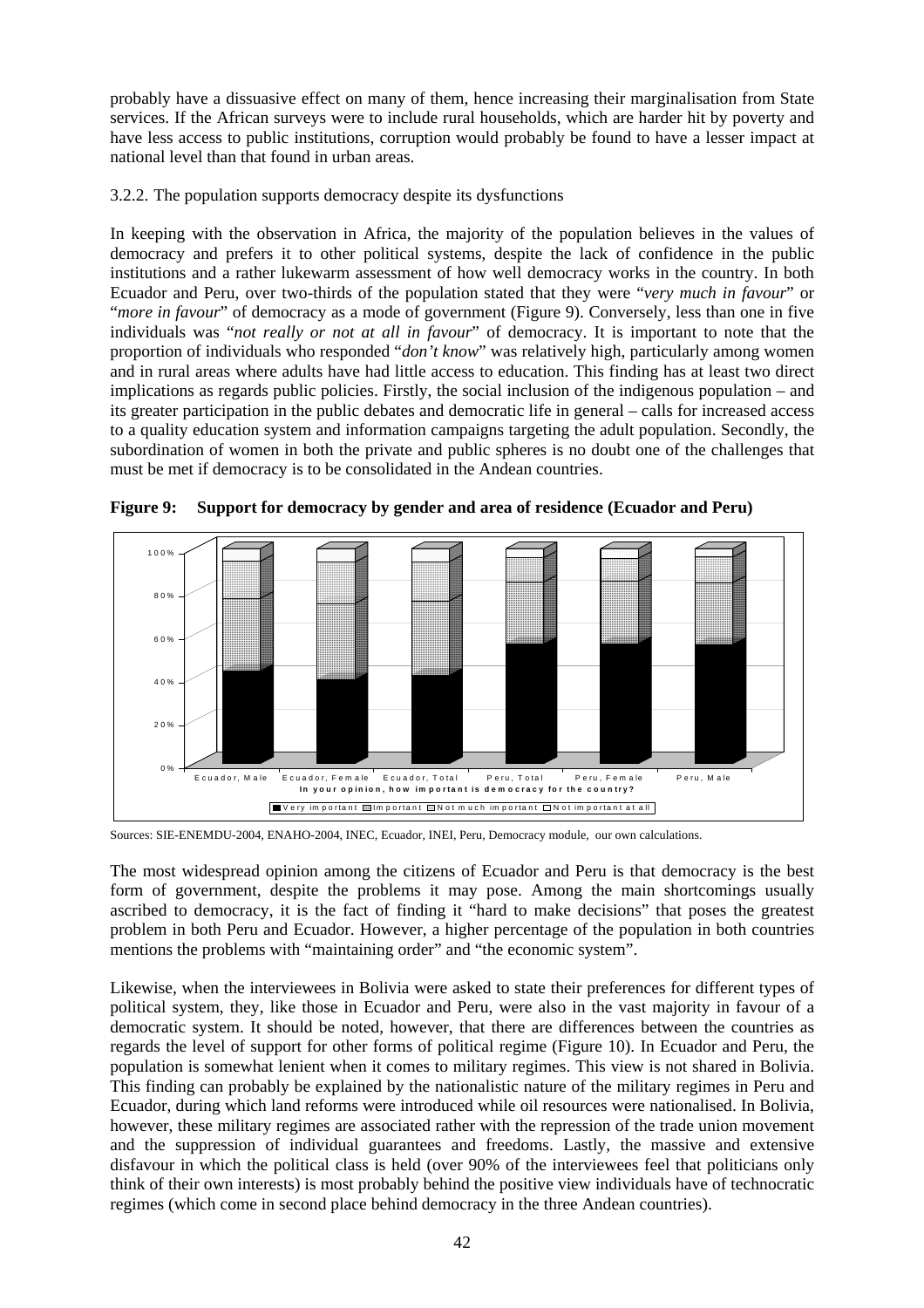probably have a dissuasive effect on many of them, hence increasing their marginalisation from State services. If the African surveys were to include rural households, which are harder hit by poverty and have less access to public institutions, corruption would probably be found to have a lesser impact at national level than that found in urban areas.

3.2.2. The population supports democracy despite its dysfunctions

In keeping with the observation in Africa, the majority of the population believes in the values of democracy and prefers it to other political systems, despite the lack of confidence in the public institutions and a rather lukewarm assessment of how well democracy works in the country. In both Ecuador and Peru, over two-thirds of the population stated that they were "*very much in favour*" or "*more in favour*" of democracy as a mode of government (Figure 9). Conversely, less than one in five individuals was "*not really or not at all in favour*" of democracy. It is important to note that the proportion of individuals who responded "*don't know*" was relatively high, particularly among women and in rural areas where adults have had little access to education. This finding has at least two direct implications as regards public policies. Firstly, the social inclusion of the indigenous population – and its greater participation in the public debates and democratic life in general – calls for increased access to a quality education system and information campaigns targeting the adult population. Secondly, the subordination of women in both the private and public spheres is no doubt one of the challenges that must be met if democracy is to be consolidated in the Andean countries.



**Figure 9: Support for democracy by gender and area of residence (Ecuador and Peru)** 

Sources: SIE-ENEMDU-2004, ENAHO-2004, INEC, Ecuador, INEI, Peru, Democracy module, our own calculations.

The most widespread opinion among the citizens of Ecuador and Peru is that democracy is the best form of government, despite the problems it may pose. Among the main shortcomings usually ascribed to democracy, it is the fact of finding it "hard to make decisions" that poses the greatest problem in both Peru and Ecuador. However, a higher percentage of the population in both countries mentions the problems with "maintaining order" and "the economic system".

Likewise, when the interviewees in Bolivia were asked to state their preferences for different types of political system, they, like those in Ecuador and Peru, were also in the vast majority in favour of a democratic system. It should be noted, however, that there are differences between the countries as regards the level of support for other forms of political regime (Figure 10). In Ecuador and Peru, the population is somewhat lenient when it comes to military regimes. This view is not shared in Bolivia. This finding can probably be explained by the nationalistic nature of the military regimes in Peru and Ecuador, during which land reforms were introduced while oil resources were nationalised. In Bolivia, however, these military regimes are associated rather with the repression of the trade union movement and the suppression of individual guarantees and freedoms. Lastly, the massive and extensive disfavour in which the political class is held (over 90% of the interviewees feel that politicians only think of their own interests) is most probably behind the positive view individuals have of technocratic regimes (which come in second place behind democracy in the three Andean countries).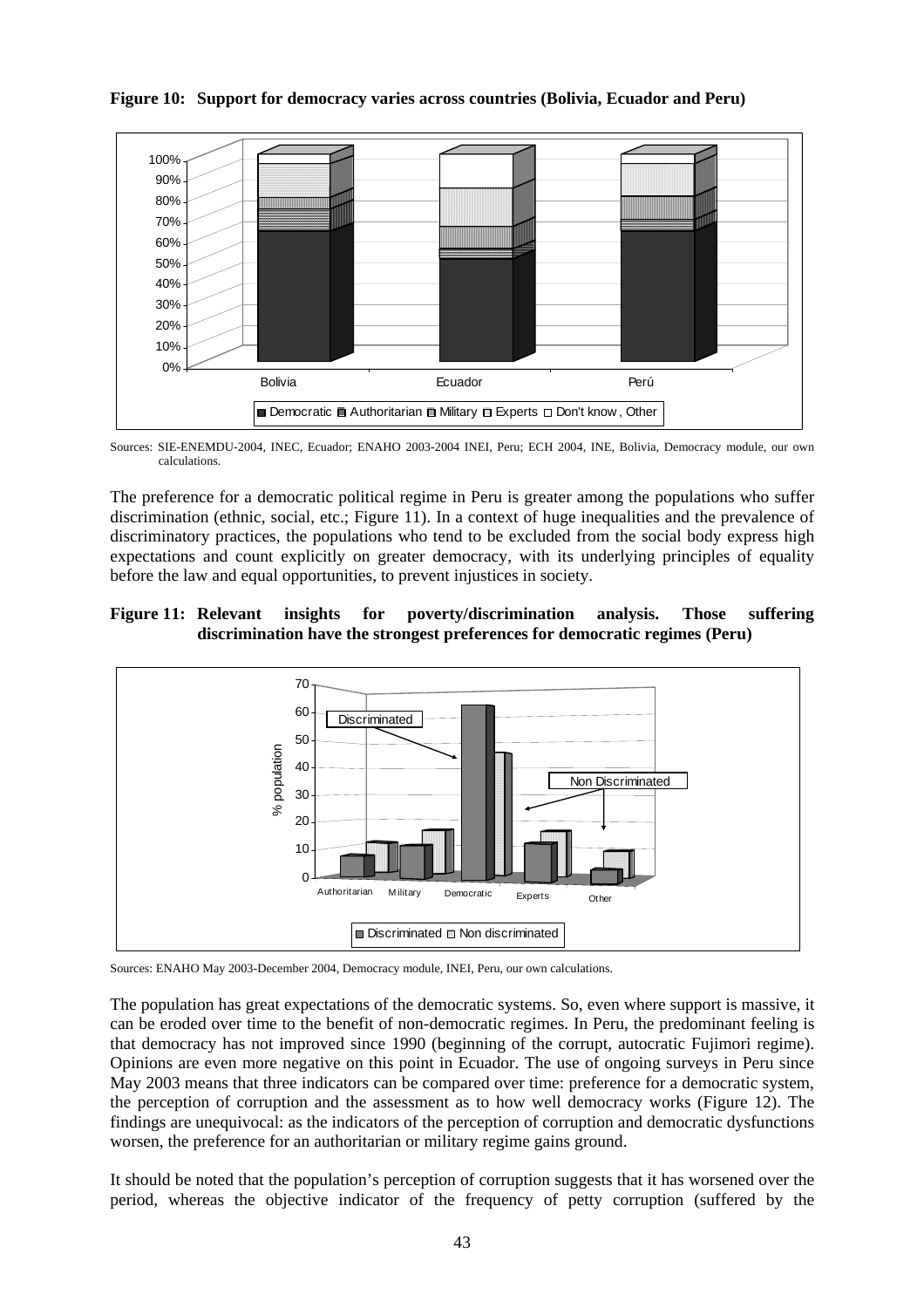

**Figure 10: Support for democracy varies across countries (Bolivia, Ecuador and Peru)** 

Sources: SIE-ENEMDU-2004, INEC, Ecuador; ENAHO 2003-2004 INEI, Peru; ECH 2004, INE, Bolivia, Democracy module, our own calculations.

The preference for a democratic political regime in Peru is greater among the populations who suffer discrimination (ethnic, social, etc.; Figure 11). In a context of huge inequalities and the prevalence of discriminatory practices, the populations who tend to be excluded from the social body express high expectations and count explicitly on greater democracy, with its underlying principles of equality before the law and equal opportunities, to prevent injustices in society.

# **Figure 11: Relevant insights for poverty/discrimination analysis. Those suffering discrimination have the strongest preferences for democratic regimes (Peru)**



Sources: ENAHO May 2003-December 2004, Democracy module, INEI, Peru, our own calculations.

The population has great expectations of the democratic systems. So, even where support is massive, it can be eroded over time to the benefit of non-democratic regimes. In Peru, the predominant feeling is that democracy has not improved since 1990 (beginning of the corrupt, autocratic Fujimori regime). Opinions are even more negative on this point in Ecuador. The use of ongoing surveys in Peru since May 2003 means that three indicators can be compared over time: preference for a democratic system, the perception of corruption and the assessment as to how well democracy works (Figure 12). The findings are unequivocal: as the indicators of the perception of corruption and democratic dysfunctions worsen, the preference for an authoritarian or military regime gains ground.

It should be noted that the population's perception of corruption suggests that it has worsened over the period, whereas the objective indicator of the frequency of petty corruption (suffered by the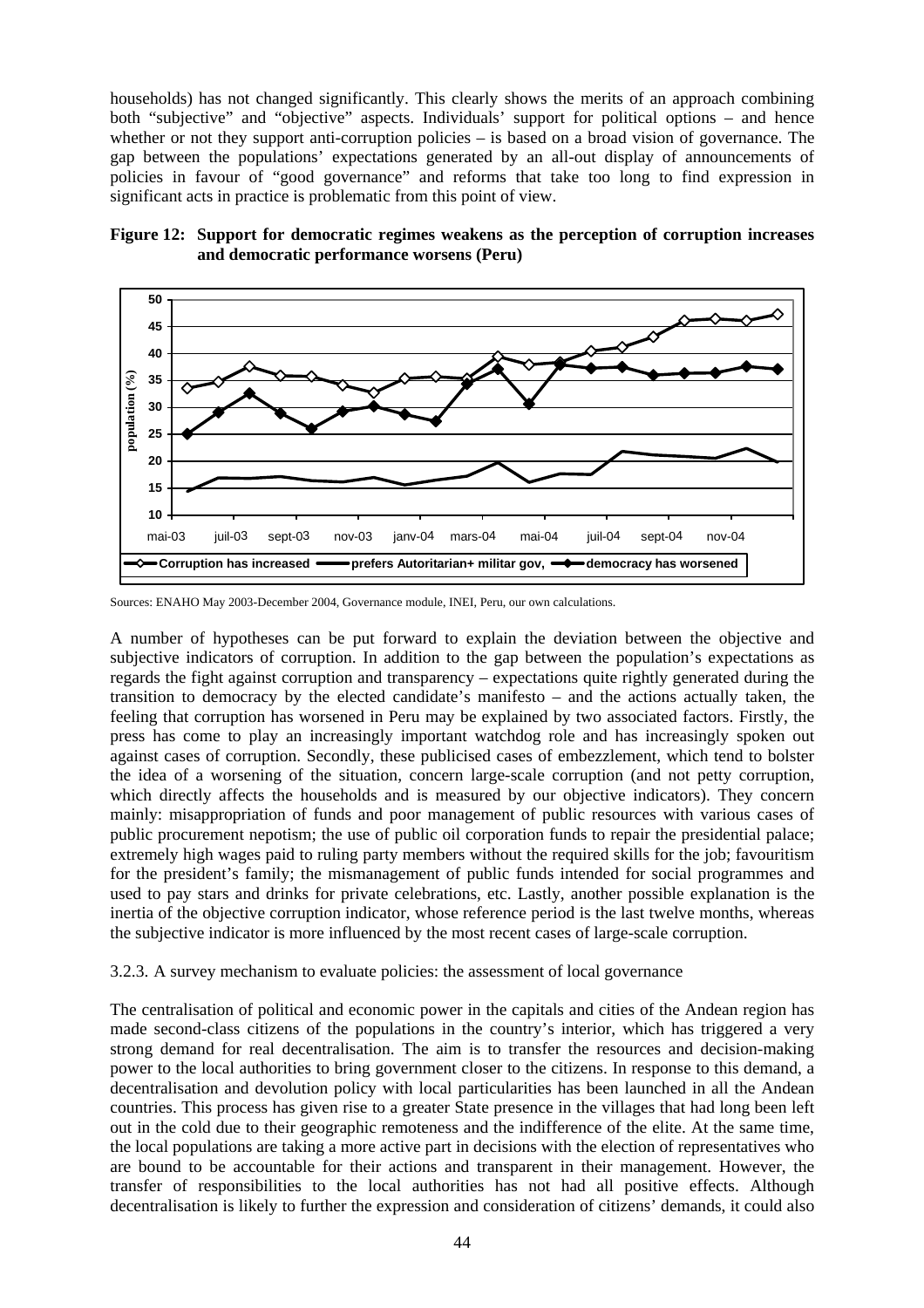households) has not changed significantly. This clearly shows the merits of an approach combining both "subjective" and "objective" aspects. Individuals' support for political options – and hence whether or not they support anti-corruption policies – is based on a broad vision of governance. The gap between the populations' expectations generated by an all-out display of announcements of policies in favour of "good governance" and reforms that take too long to find expression in significant acts in practice is problematic from this point of view.





Sources: ENAHO May 2003-December 2004, Governance module, INEI, Peru, our own calculations.

A number of hypotheses can be put forward to explain the deviation between the objective and subjective indicators of corruption. In addition to the gap between the population's expectations as regards the fight against corruption and transparency – expectations quite rightly generated during the transition to democracy by the elected candidate's manifesto – and the actions actually taken, the feeling that corruption has worsened in Peru may be explained by two associated factors. Firstly, the press has come to play an increasingly important watchdog role and has increasingly spoken out against cases of corruption. Secondly, these publicised cases of embezzlement, which tend to bolster the idea of a worsening of the situation, concern large-scale corruption (and not petty corruption, which directly affects the households and is measured by our objective indicators). They concern mainly: misappropriation of funds and poor management of public resources with various cases of public procurement nepotism; the use of public oil corporation funds to repair the presidential palace; extremely high wages paid to ruling party members without the required skills for the job; favouritism for the president's family; the mismanagement of public funds intended for social programmes and used to pay stars and drinks for private celebrations, etc. Lastly, another possible explanation is the inertia of the objective corruption indicator, whose reference period is the last twelve months, whereas the subjective indicator is more influenced by the most recent cases of large-scale corruption.

#### 3.2.3. A survey mechanism to evaluate policies: the assessment of local governance

The centralisation of political and economic power in the capitals and cities of the Andean region has made second-class citizens of the populations in the country's interior, which has triggered a very strong demand for real decentralisation. The aim is to transfer the resources and decision-making power to the local authorities to bring government closer to the citizens. In response to this demand, a decentralisation and devolution policy with local particularities has been launched in all the Andean countries. This process has given rise to a greater State presence in the villages that had long been left out in the cold due to their geographic remoteness and the indifference of the elite. At the same time, the local populations are taking a more active part in decisions with the election of representatives who are bound to be accountable for their actions and transparent in their management. However, the transfer of responsibilities to the local authorities has not had all positive effects. Although decentralisation is likely to further the expression and consideration of citizens' demands, it could also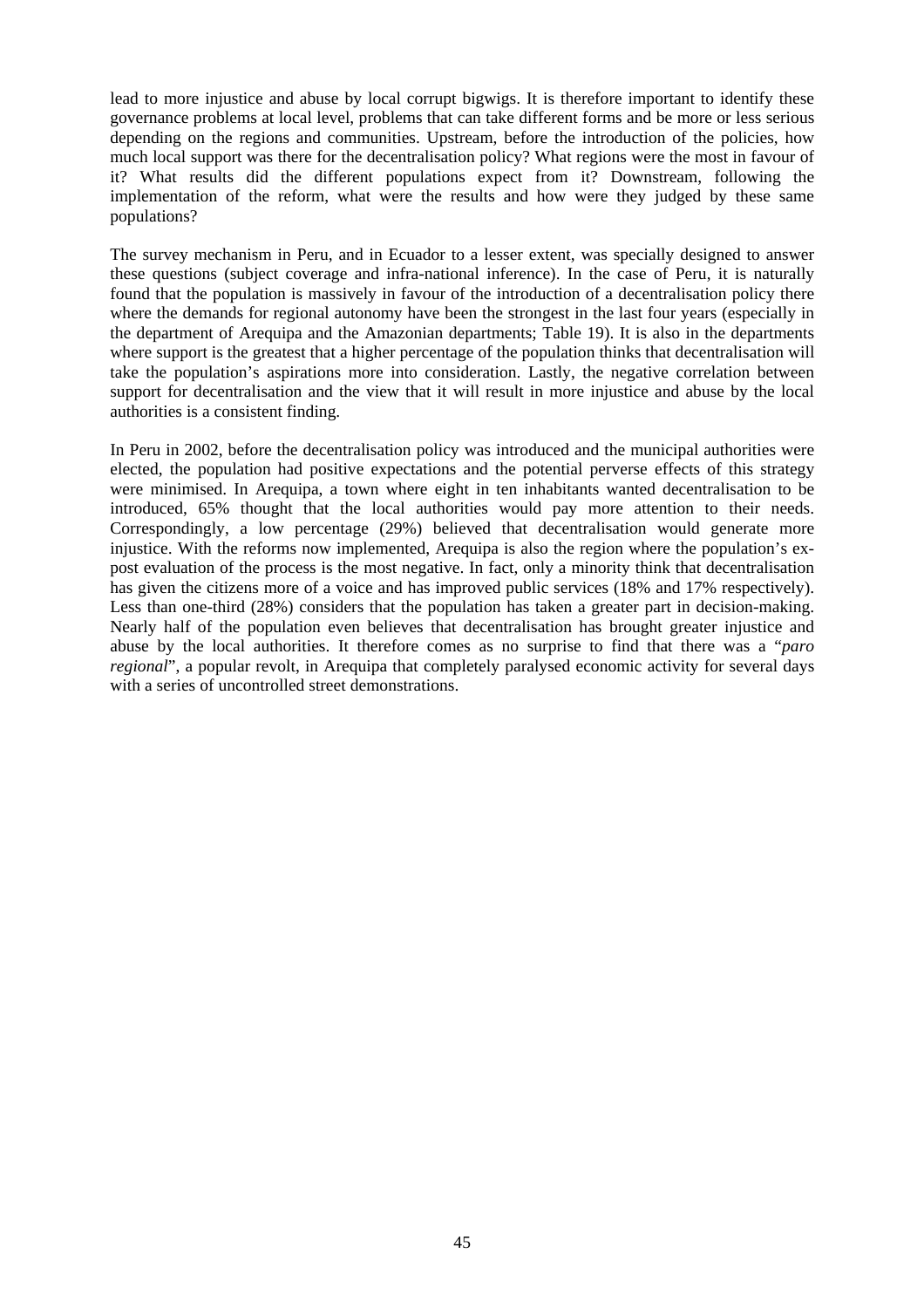lead to more injustice and abuse by local corrupt bigwigs. It is therefore important to identify these governance problems at local level, problems that can take different forms and be more or less serious depending on the regions and communities. Upstream, before the introduction of the policies, how much local support was there for the decentralisation policy? What regions were the most in favour of it? What results did the different populations expect from it? Downstream, following the implementation of the reform, what were the results and how were they judged by these same populations?

The survey mechanism in Peru, and in Ecuador to a lesser extent, was specially designed to answer these questions (subject coverage and infra-national inference). In the case of Peru, it is naturally found that the population is massively in favour of the introduction of a decentralisation policy there where the demands for regional autonomy have been the strongest in the last four years (especially in the department of Arequipa and the Amazonian departments; Table 19). It is also in the departments where support is the greatest that a higher percentage of the population thinks that decentralisation will take the population's aspirations more into consideration. Lastly, the negative correlation between support for decentralisation and the view that it will result in more injustice and abuse by the local authorities is a consistent finding.

In Peru in 2002, before the decentralisation policy was introduced and the municipal authorities were elected, the population had positive expectations and the potential perverse effects of this strategy were minimised. In Arequipa, a town where eight in ten inhabitants wanted decentralisation to be introduced, 65% thought that the local authorities would pay more attention to their needs. Correspondingly, a low percentage (29%) believed that decentralisation would generate more injustice. With the reforms now implemented, Arequipa is also the region where the population's expost evaluation of the process is the most negative. In fact, only a minority think that decentralisation has given the citizens more of a voice and has improved public services (18% and 17% respectively). Less than one-third (28%) considers that the population has taken a greater part in decision-making. Nearly half of the population even believes that decentralisation has brought greater injustice and abuse by the local authorities. It therefore comes as no surprise to find that there was a "*paro regional*", a popular revolt, in Arequipa that completely paralysed economic activity for several days with a series of uncontrolled street demonstrations.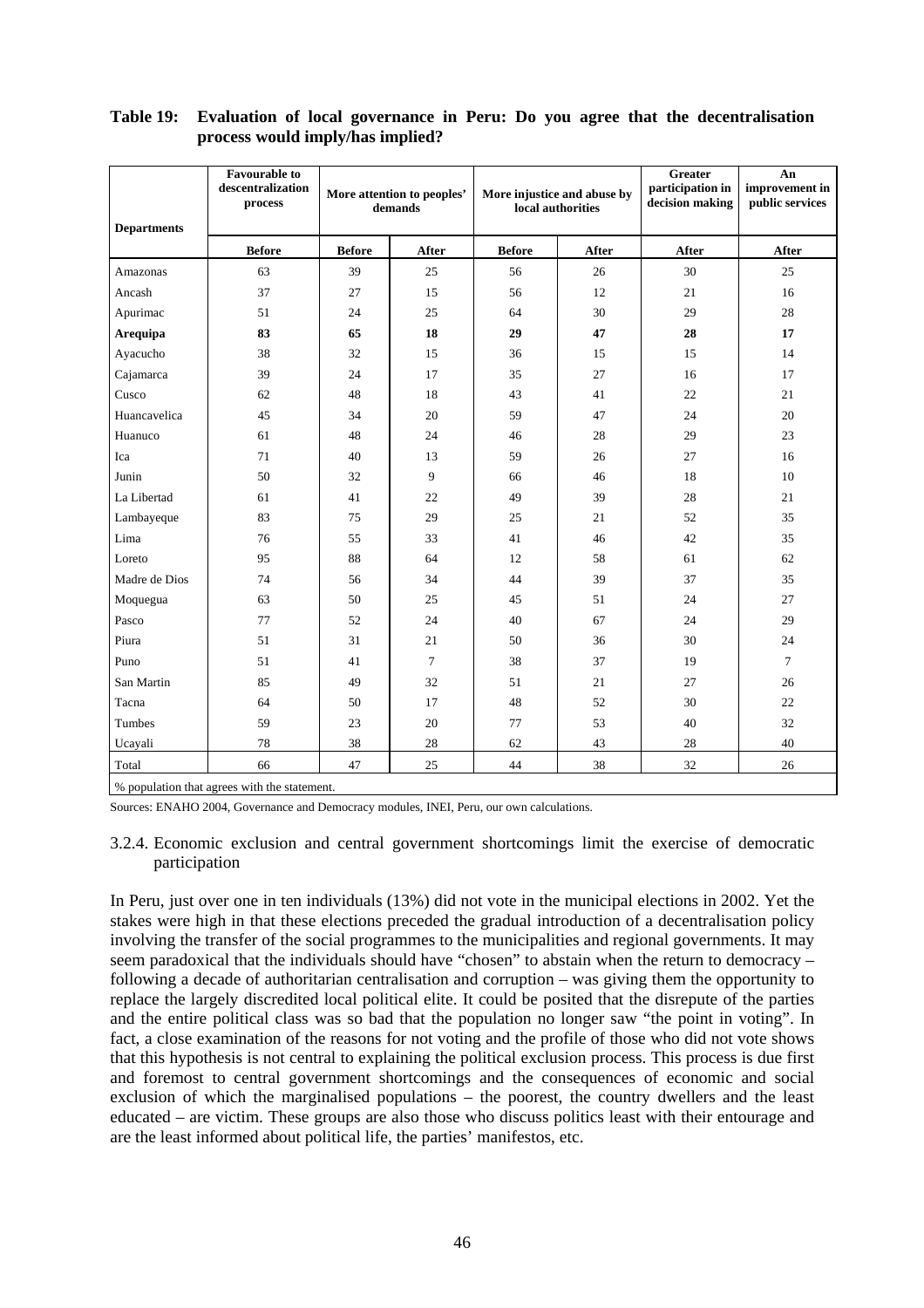| <b>Departments</b> | <b>Favourable to</b><br>descentralization<br>process | More attention to peoples'<br>demands |        | More injustice and abuse by<br>local authorities |       | Greater<br>participation in<br>decision making | An<br>improvement in<br>public services |  |  |  |
|--------------------|------------------------------------------------------|---------------------------------------|--------|--------------------------------------------------|-------|------------------------------------------------|-----------------------------------------|--|--|--|
|                    | <b>Before</b>                                        | <b>Before</b>                         | After  | <b>Before</b>                                    | After | After                                          | After                                   |  |  |  |
| Amazonas           | 63                                                   | 39                                    | 25     | 56                                               | 26    | 30                                             | 25                                      |  |  |  |
| Ancash             | 37                                                   | 27                                    | 15     | 56                                               | 12    | 21                                             | 16                                      |  |  |  |
| Apurimac           | 51                                                   | 24                                    | 25     | 64                                               | 30    | 29                                             | 28                                      |  |  |  |
| <b>Arequipa</b>    | 83                                                   | 65                                    | 18     | 29                                               | 47    | 28                                             | 17                                      |  |  |  |
| Ayacucho           | 38                                                   | 32                                    | 15     | 36                                               | 15    | 15                                             | 14                                      |  |  |  |
| Cajamarca          | 39                                                   | 24                                    | 17     | 35                                               | 27    | 16                                             | 17                                      |  |  |  |
| Cusco              | 62                                                   | 48                                    | 18     | 43                                               | 41    | 22                                             | 21                                      |  |  |  |
| Huancavelica       | 45                                                   | 34                                    | 20     | 59                                               | 47    | 24                                             | 20                                      |  |  |  |
| Huanuco            | 61                                                   | 48                                    | 24     | 46                                               | 28    | 29                                             | 23                                      |  |  |  |
| Ica                | 71                                                   | 40                                    | 13     | 59                                               | 26    | 27                                             | 16                                      |  |  |  |
| Junin              | 50                                                   | 32                                    | 9      | 66                                               | 46    | 18                                             | 10                                      |  |  |  |
| La Libertad        | 61                                                   | 41                                    | 22     | 49                                               | 39    | 28                                             | 21                                      |  |  |  |
| Lambayeque         | 83                                                   | 75                                    | 29     | 25                                               | 21    | 52                                             | 35                                      |  |  |  |
| Lima               | 76                                                   | 55                                    | 33     | 41                                               | 46    | 42                                             | 35                                      |  |  |  |
| Loreto             | 95                                                   | 88                                    | 64     | 12                                               | 58    | 61                                             | 62                                      |  |  |  |
| Madre de Dios      | 74                                                   | 56                                    | 34     | 44                                               | 39    | 37                                             | 35                                      |  |  |  |
| Moquegua           | 63                                                   | 50                                    | 25     | 45                                               | 51    | 24                                             | 27                                      |  |  |  |
| Pasco              | 77                                                   | 52                                    | 24     | 40                                               | 67    | 24                                             | 29                                      |  |  |  |
| Piura              | 51                                                   | 31                                    | 21     | 50                                               | 36    | 30                                             | 24                                      |  |  |  |
| Puno               | 51                                                   | 41                                    | $\tau$ | 38                                               | 37    | 19                                             | $\tau$                                  |  |  |  |
| San Martin         | 85                                                   | 49                                    | 32     | 51                                               | 21    | 27                                             | 26                                      |  |  |  |
| Tacna              | 64                                                   | 50                                    | 17     | 48                                               | 52    | 30                                             | 22                                      |  |  |  |
| Tumbes             | 59                                                   | 23                                    | 20     | 77                                               | 53    | 40                                             | 32                                      |  |  |  |
| Ucayali            | 78                                                   | 38                                    | 28     | 62                                               | 43    | 28                                             | 40                                      |  |  |  |
| Total              | 66                                                   | 47                                    | 25     | 44                                               | 38    | 32                                             | 26                                      |  |  |  |
|                    | % population that agrees with the statement.         |                                       |        |                                                  |       |                                                |                                         |  |  |  |

#### **Table 19: Evaluation of local governance in Peru: Do you agree that the decentralisation process would imply/has implied?**

Sources: ENAHO 2004, Governance and Democracy modules, INEI, Peru, our own calculations.

#### 3.2.4. Economic exclusion and central government shortcomings limit the exercise of democratic participation

In Peru, just over one in ten individuals (13%) did not vote in the municipal elections in 2002. Yet the stakes were high in that these elections preceded the gradual introduction of a decentralisation policy involving the transfer of the social programmes to the municipalities and regional governments. It may seem paradoxical that the individuals should have "chosen" to abstain when the return to democracy – following a decade of authoritarian centralisation and corruption – was giving them the opportunity to replace the largely discredited local political elite. It could be posited that the disrepute of the parties and the entire political class was so bad that the population no longer saw "the point in voting". In fact, a close examination of the reasons for not voting and the profile of those who did not vote shows that this hypothesis is not central to explaining the political exclusion process. This process is due first and foremost to central government shortcomings and the consequences of economic and social exclusion of which the marginalised populations – the poorest, the country dwellers and the least educated – are victim. These groups are also those who discuss politics least with their entourage and are the least informed about political life, the parties' manifestos, etc.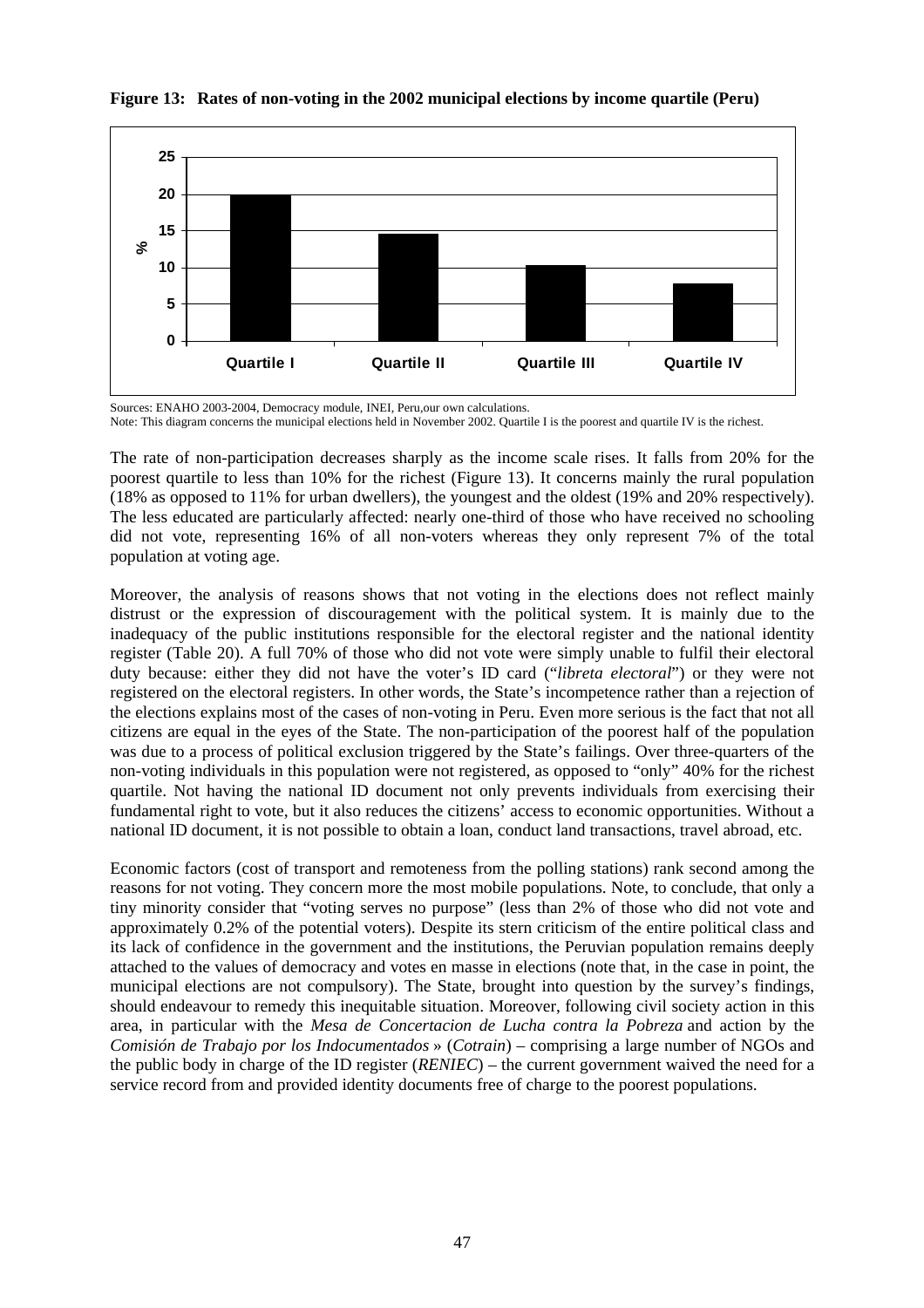

#### **Figure 13: Rates of non-voting in the 2002 municipal elections by income quartile (Peru)**

The rate of non-participation decreases sharply as the income scale rises. It falls from 20% for the poorest quartile to less than 10% for the richest (Figure 13). It concerns mainly the rural population (18% as opposed to 11% for urban dwellers), the youngest and the oldest (19% and 20% respectively). The less educated are particularly affected: nearly one-third of those who have received no schooling did not vote, representing 16% of all non-voters whereas they only represent 7% of the total population at voting age.

Moreover, the analysis of reasons shows that not voting in the elections does not reflect mainly distrust or the expression of discouragement with the political system. It is mainly due to the inadequacy of the public institutions responsible for the electoral register and the national identity register (Table 20). A full 70% of those who did not vote were simply unable to fulfil their electoral duty because: either they did not have the voter's ID card ("*libreta electoral*") or they were not registered on the electoral registers. In other words, the State's incompetence rather than a rejection of the elections explains most of the cases of non-voting in Peru. Even more serious is the fact that not all citizens are equal in the eyes of the State. The non-participation of the poorest half of the population was due to a process of political exclusion triggered by the State's failings. Over three-quarters of the non-voting individuals in this population were not registered, as opposed to "only" 40% for the richest quartile. Not having the national ID document not only prevents individuals from exercising their fundamental right to vote, but it also reduces the citizens' access to economic opportunities. Without a national ID document, it is not possible to obtain a loan, conduct land transactions, travel abroad, etc.

Economic factors (cost of transport and remoteness from the polling stations) rank second among the reasons for not voting. They concern more the most mobile populations. Note, to conclude, that only a tiny minority consider that "voting serves no purpose" (less than 2% of those who did not vote and approximately 0.2% of the potential voters). Despite its stern criticism of the entire political class and its lack of confidence in the government and the institutions, the Peruvian population remains deeply attached to the values of democracy and votes en masse in elections (note that, in the case in point, the municipal elections are not compulsory). The State, brought into question by the survey's findings, should endeavour to remedy this inequitable situation. Moreover, following civil society action in this area, in particular with the *Mesa de Concertacion de Lucha contra la Pobreza* and action by the *Comisión de Trabajo por los Indocumentados* » (*Cotrain*) – comprising a large number of NGOs and the public body in charge of the ID register (*RENIEC*) – the current government waived the need for a service record from and provided identity documents free of charge to the poorest populations.

Sources: ENAHO 2003-2004, Democracy module, INEI, Peru,our own calculations. Note: This diagram concerns the municipal elections held in November 2002. Quartile I is the poorest and quartile IV is the richest.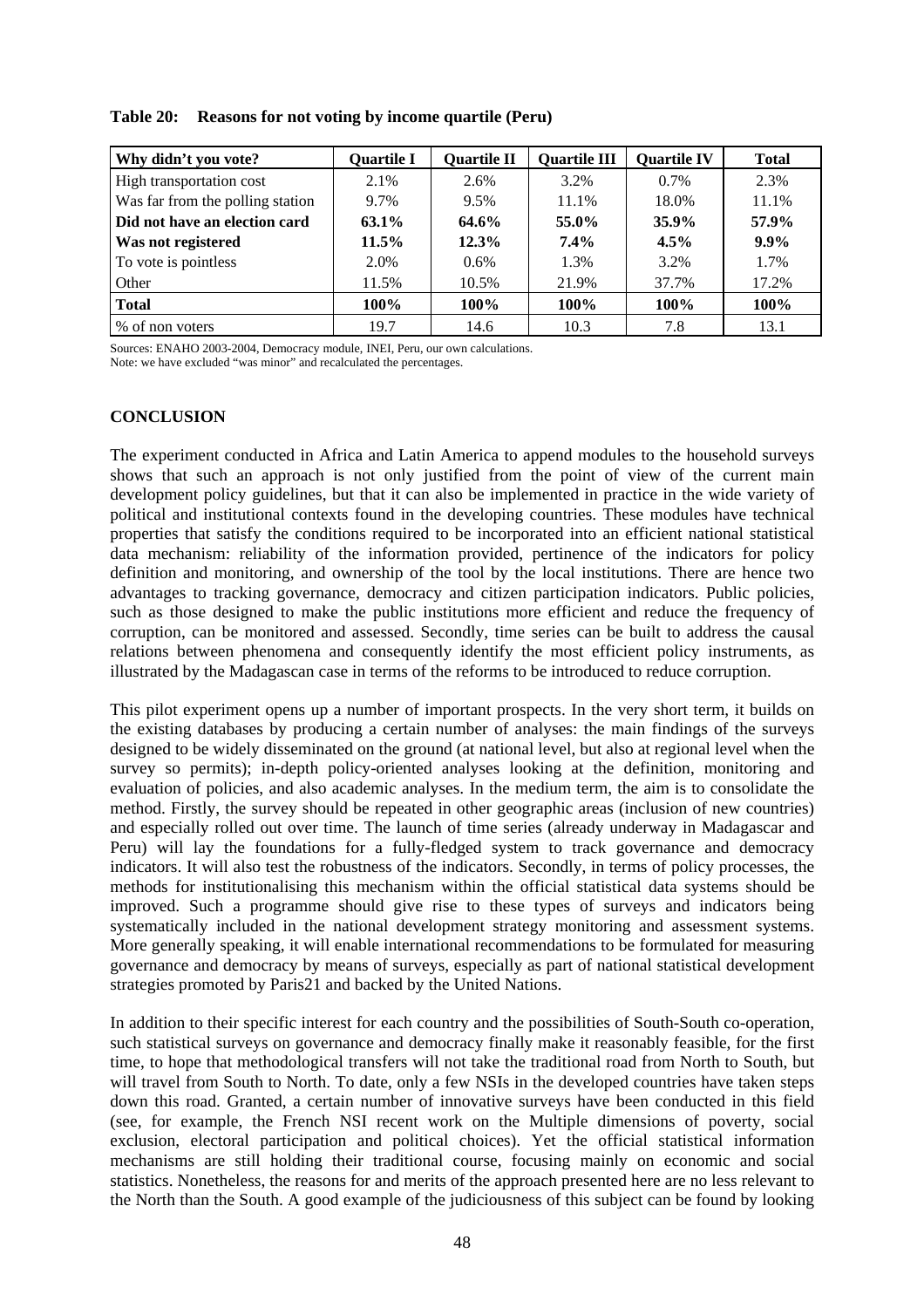| Why didn't you vote?             | <b>Quartile I</b> | <b>Quartile II</b> | <b>Quartile III</b> | <b>Quartile IV</b> | <b>Total</b> |
|----------------------------------|-------------------|--------------------|---------------------|--------------------|--------------|
| High transportation cost         | 2.1%              | 2.6%               | 3.2%                | $0.7\%$            | 2.3%         |
| Was far from the polling station | 9.7%              | 9.5%               | 11.1%               | 18.0%              | 11.1%        |
| Did not have an election card    | 63.1%             | 64.6%              | 55.0%               | 35.9%              | 57.9%        |
| Was not registered               | $11.5\%$          | 12.3%              | $7.4\%$             | $4.5\%$            | $9.9\%$      |
| To vote is pointless             | 2.0%              | $0.6\%$            | 1.3%                | 3.2%               | 1.7%         |
| Other                            | 11.5%             | 10.5%              | 21.9%               | 37.7%              | 17.2%        |
| <b>Total</b>                     | 100%              | 100%               | 100%                | 100%               | 100%         |
| % of non voters                  | 19.7              | 14.6               | 10.3                | 7.8                | 13.1         |

**Table 20: Reasons for not voting by income quartile (Peru)** 

Sources: ENAHO 2003-2004, Democracy module, INEI, Peru, our own calculations.

Note: we have excluded "was minor" and recalculated the percentages.

# **CONCLUSION**

The experiment conducted in Africa and Latin America to append modules to the household surveys shows that such an approach is not only justified from the point of view of the current main development policy guidelines, but that it can also be implemented in practice in the wide variety of political and institutional contexts found in the developing countries. These modules have technical properties that satisfy the conditions required to be incorporated into an efficient national statistical data mechanism: reliability of the information provided, pertinence of the indicators for policy definition and monitoring, and ownership of the tool by the local institutions. There are hence two advantages to tracking governance, democracy and citizen participation indicators. Public policies, such as those designed to make the public institutions more efficient and reduce the frequency of corruption, can be monitored and assessed. Secondly, time series can be built to address the causal relations between phenomena and consequently identify the most efficient policy instruments, as illustrated by the Madagascan case in terms of the reforms to be introduced to reduce corruption.

This pilot experiment opens up a number of important prospects. In the very short term, it builds on the existing databases by producing a certain number of analyses: the main findings of the surveys designed to be widely disseminated on the ground (at national level, but also at regional level when the survey so permits); in-depth policy-oriented analyses looking at the definition, monitoring and evaluation of policies, and also academic analyses. In the medium term, the aim is to consolidate the method. Firstly, the survey should be repeated in other geographic areas (inclusion of new countries) and especially rolled out over time. The launch of time series (already underway in Madagascar and Peru) will lay the foundations for a fully-fledged system to track governance and democracy indicators. It will also test the robustness of the indicators. Secondly, in terms of policy processes, the methods for institutionalising this mechanism within the official statistical data systems should be improved. Such a programme should give rise to these types of surveys and indicators being systematically included in the national development strategy monitoring and assessment systems. More generally speaking, it will enable international recommendations to be formulated for measuring governance and democracy by means of surveys, especially as part of national statistical development strategies promoted by Paris21 and backed by the United Nations.

In addition to their specific interest for each country and the possibilities of South-South co-operation, such statistical surveys on governance and democracy finally make it reasonably feasible, for the first time, to hope that methodological transfers will not take the traditional road from North to South, but will travel from South to North. To date, only a few NSIs in the developed countries have taken steps down this road. Granted, a certain number of innovative surveys have been conducted in this field (see, for example, the French NSI recent work on the Multiple dimensions of poverty, social exclusion, electoral participation and political choices). Yet the official statistical information mechanisms are still holding their traditional course, focusing mainly on economic and social statistics. Nonetheless, the reasons for and merits of the approach presented here are no less relevant to the North than the South. A good example of the judiciousness of this subject can be found by looking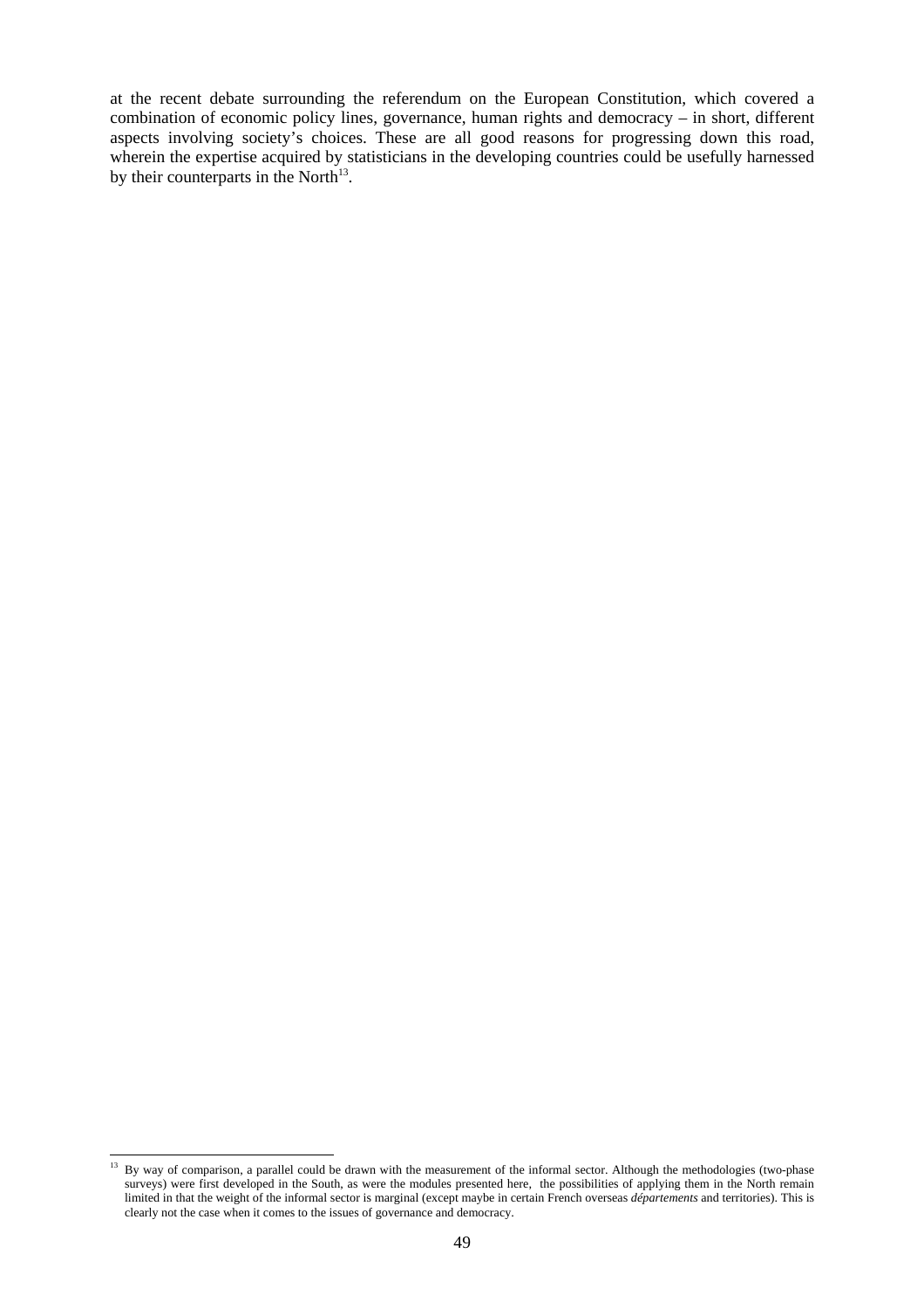at the recent debate surrounding the referendum on the European Constitution, which covered a combination of economic policy lines, governance, human rights and democracy – in short, different aspects involving society's choices. These are all good reasons for progressing down this road, wherein the expertise acquired by statisticians in the developing countries could be usefully harnessed by their counterparts in the North $13$ .

l <sup>13</sup> By way of comparison, a parallel could be drawn with the measurement of the informal sector. Although the methodologies (two-phase surveys) were first developed in the South, as were the modules presented here, the possibilities of applying them in the North remain limited in that the weight of the informal sector is marginal (except maybe in certain French overseas *départements* and territories). This is clearly not the case when it comes to the issues of governance and democracy.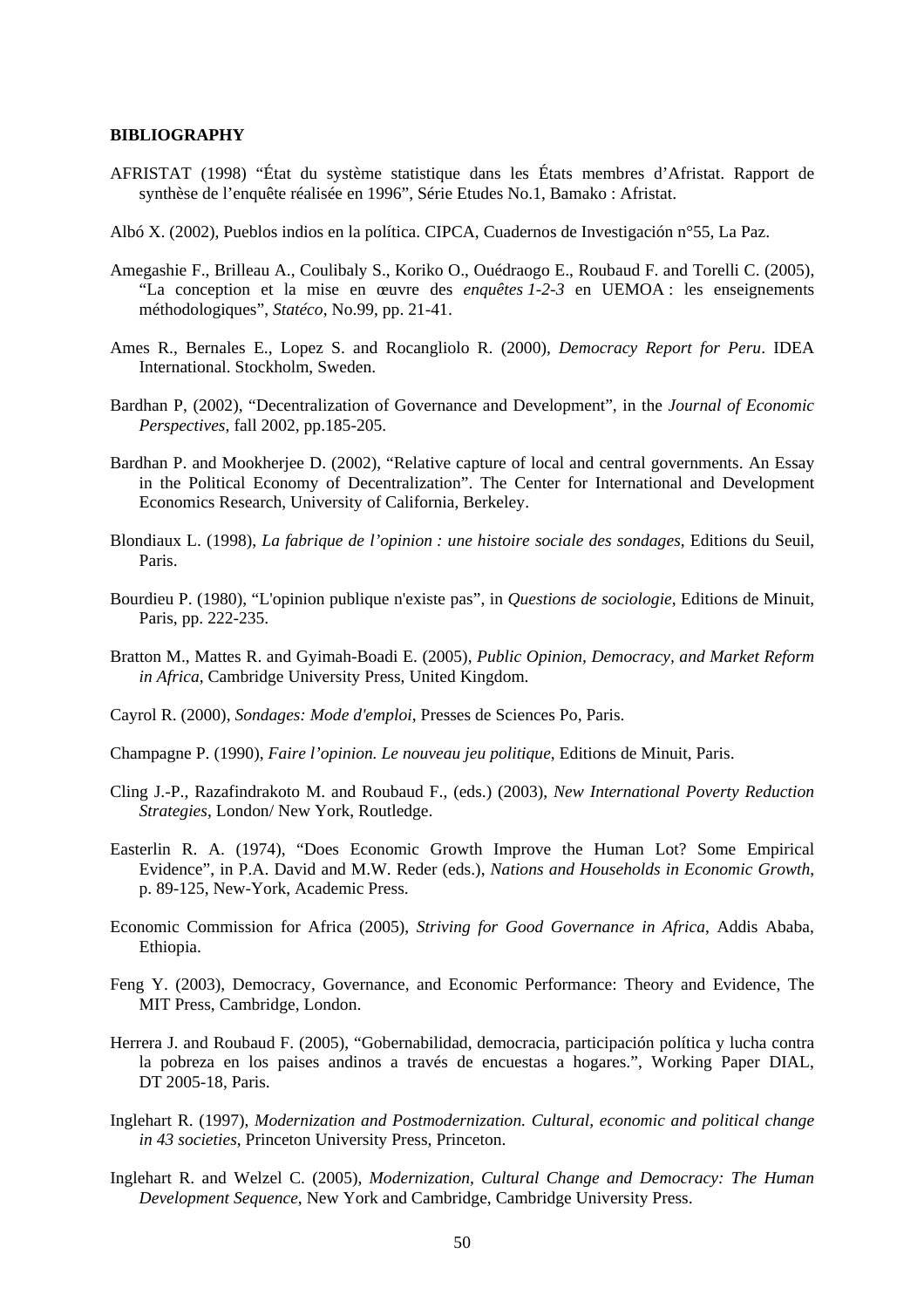#### **BIBLIOGRAPHY**

- AFRISTAT (1998) "État du système statistique dans les États membres d'Afristat. Rapport de synthèse de l'enquête réalisée en 1996", Série Etudes No.1, Bamako : Afristat.
- Albó X. (2002), Pueblos indios en la política. CIPCA, Cuadernos de Investigación n°55, La Paz.
- Amegashie F., Brilleau A., Coulibaly S., Koriko O., Ouédraogo E., Roubaud F. and Torelli C. (2005), "La conception et la mise en œuvre des *enquêtes 1-2-3* en UEMOA : les enseignements méthodologiques", *Statéco*, No.99, pp. 21-41.
- Ames R., Bernales E., Lopez S. and Rocangliolo R. (2000), *Democracy Report for Peru*. IDEA International. Stockholm, Sweden.
- Bardhan P, (2002), "Decentralization of Governance and Development", in the *Journal of Economic Perspectives*, fall 2002, pp.185-205.
- Bardhan P. and Mookherjee D. (2002), "Relative capture of local and central governments. An Essay in the Political Economy of Decentralization". The Center for International and Development Economics Research, University of California, Berkeley.
- Blondiaux L. (1998), *La fabrique de l'opinion : une histoire sociale des sondages*, Editions du Seuil, Paris.
- Bourdieu P. (1980), "L'opinion publique n'existe pas", in *Questions de sociologie*, Editions de Minuit, Paris, pp. 222-235.
- Bratton M., Mattes R. and Gyimah-Boadi E. (2005), *Public Opinion, Democracy, and Market Reform in Africa*, Cambridge University Press, United Kingdom.
- Cayrol R. (2000), *Sondages: Mode d'emploi*, Presses de Sciences Po, Paris.
- Champagne P. (1990), *Faire l'opinion. Le nouveau jeu politique*, Editions de Minuit, Paris.
- Cling J.-P., Razafindrakoto M. and Roubaud F., (eds.) (2003), *New International Poverty Reduction Strategies*, London/ New York, Routledge.
- Easterlin R. A. (1974), "Does Economic Growth Improve the Human Lot? Some Empirical Evidence", in P.A. David and M.W. Reder (eds.), *Nations and Households in Economic Growth*, p. 89-125, New-York, Academic Press.
- Economic Commission for Africa (2005), *Striving for Good Governance in Africa*, Addis Ababa, Ethiopia.
- Feng Y. (2003), Democracy, Governance, and Economic Performance: Theory and Evidence, The MIT Press, Cambridge, London.
- Herrera J. and Roubaud F. (2005), "Gobernabilidad, democracia, participación política y lucha contra la pobreza en los paises andinos a través de encuestas a hogares.", Working Paper DIAL, DT 2005-18, Paris.
- Inglehart R. (1997), *Modernization and Postmodernization. Cultural, economic and political change in 43 societies*, Princeton University Press, Princeton.
- Inglehart R. and Welzel C. (2005), *Modernization, Cultural Change and Democracy: The Human Development Sequence*, New York and Cambridge, Cambridge University Press.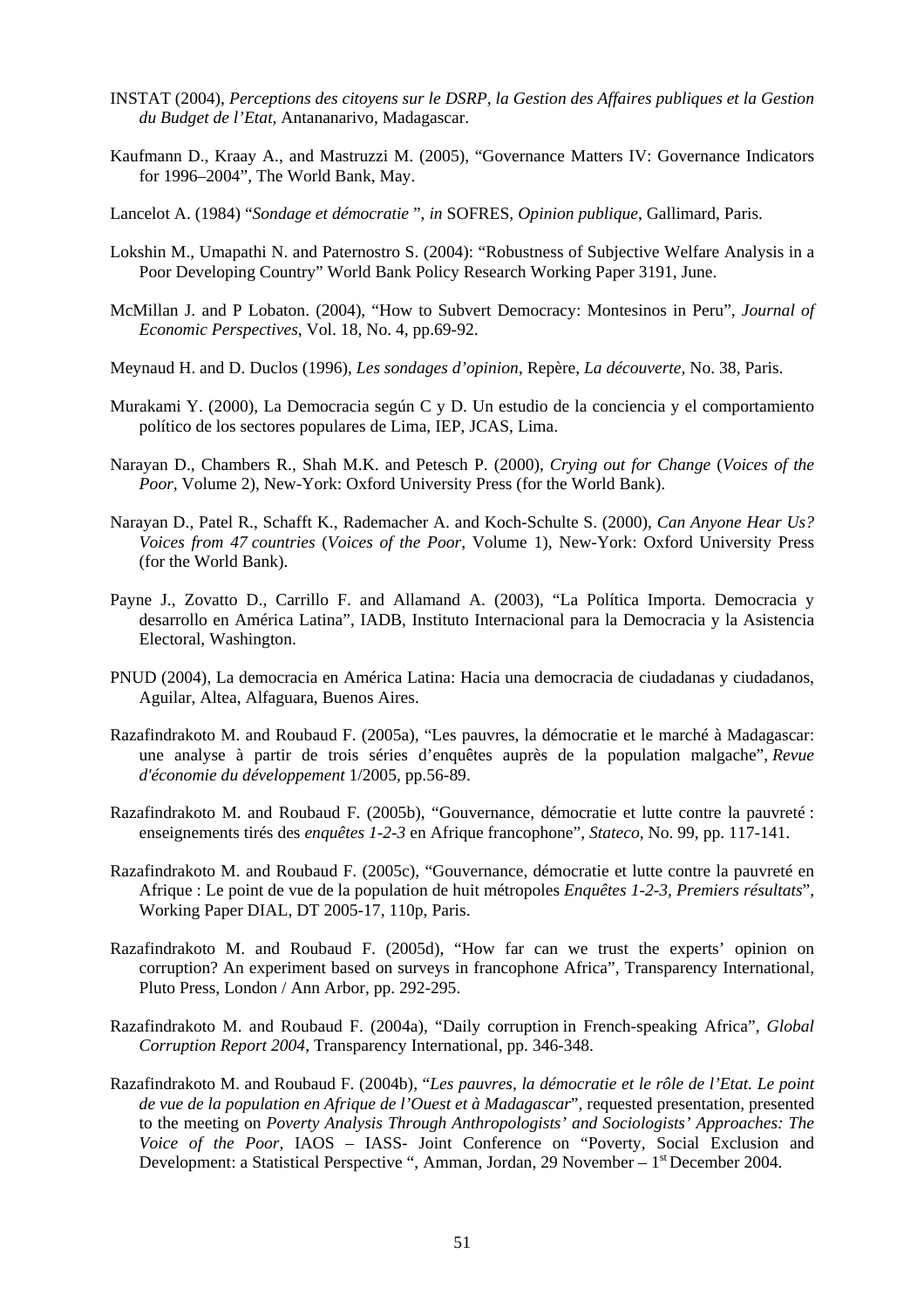- INSTAT (2004), *Perceptions des citoyens sur le DSRP, la Gestion des Affaires publiques et la Gestion du Budget de l'Etat*, Antananarivo, Madagascar.
- Kaufmann D., Kraay A., and Mastruzzi M. (2005), "Governance Matters IV: Governance Indicators for 1996–2004", The World Bank, May.
- Lancelot A. (1984) "*Sondage et démocratie* ", *in* SOFRES, *Opinion publique*, Gallimard, Paris.
- Lokshin M., Umapathi N. and Paternostro S. (2004): "Robustness of Subjective Welfare Analysis in a Poor Developing Country" World Bank Policy Research Working Paper 3191, June.
- McMillan J. and P Lobaton. (2004), "How to Subvert Democracy: Montesinos in Peru", *Journal of Economic Perspectives*, Vol. 18, No. 4, pp.69-92.
- Meynaud H. and D. Duclos (1996), *Les sondages d'opinion*, Repère, *La découverte*, No. 38, Paris.
- Murakami Y. (2000), La Democracia según C y D. Un estudio de la conciencia y el comportamiento político de los sectores populares de Lima, IEP, JCAS, Lima.
- Narayan D., Chambers R., Shah M.K. and Petesch P. (2000), *Crying out for Change* (*Voices of the Poor*, Volume 2), New-York: Oxford University Press (for the World Bank).
- Narayan D., Patel R., Schafft K., Rademacher A. and Koch-Schulte S. (2000), *Can Anyone Hear Us? Voices from 47 countries* (*Voices of the Poor*, Volume 1), New-York: Oxford University Press (for the World Bank).
- Payne J., Zovatto D., Carrillo F. and Allamand A. (2003), "La Política Importa. Democracia y desarrollo en América Latina", IADB, Instituto Internacional para la Democracia y la Asistencia Electoral, Washington.
- PNUD (2004), La democracia en América Latina: Hacia una democracia de ciudadanas y ciudadanos, Aguilar, Altea, Alfaguara, Buenos Aires.
- Razafindrakoto M. and Roubaud F. (2005a), "Les pauvres, la démocratie et le marché à Madagascar: une analyse à partir de trois séries d'enquêtes auprès de la population malgache", *Revue d'économie du développement* 1/2005, pp.56-89.
- Razafindrakoto M. and Roubaud F. (2005b), "Gouvernance, démocratie et lutte contre la pauvreté : enseignements tirés des *enquêtes 1-2-3* en Afrique francophone", *Stateco,* No. 99, pp. 117-141.
- Razafindrakoto M. and Roubaud F. (2005c), "Gouvernance, démocratie et lutte contre la pauvreté en Afrique : Le point de vue de la population de huit métropoles *Enquêtes 1-2-3, Premiers résultats*", Working Paper DIAL, DT 2005-17, 110p, Paris.
- Razafindrakoto M. and Roubaud F. (2005d), "How far can we trust the experts' opinion on corruption? An experiment based on surveys in francophone Africa", Transparency International, Pluto Press, London / Ann Arbor, pp. 292-295.
- Razafindrakoto M. and Roubaud F. (2004a), "Daily corruption in French-speaking Africa", *Global Corruption Report 2004*, Transparency International, pp. 346-348.
- Razafindrakoto M. and Roubaud F. (2004b), "*Les pauvres, la démocratie et le rôle de l'Etat. Le point de vue de la population en Afrique de l'Ouest et à Madagascar*", requested presentation, presented to the meeting on *Poverty Analysis Through Anthropologists' and Sociologists' Approaches: The Voice of the Poor*, IAOS – IASS- Joint Conference on "Poverty, Social Exclusion and Development: a Statistical Perspective ", Amman, Jordan, 29 November – 1<sup>st</sup> December 2004.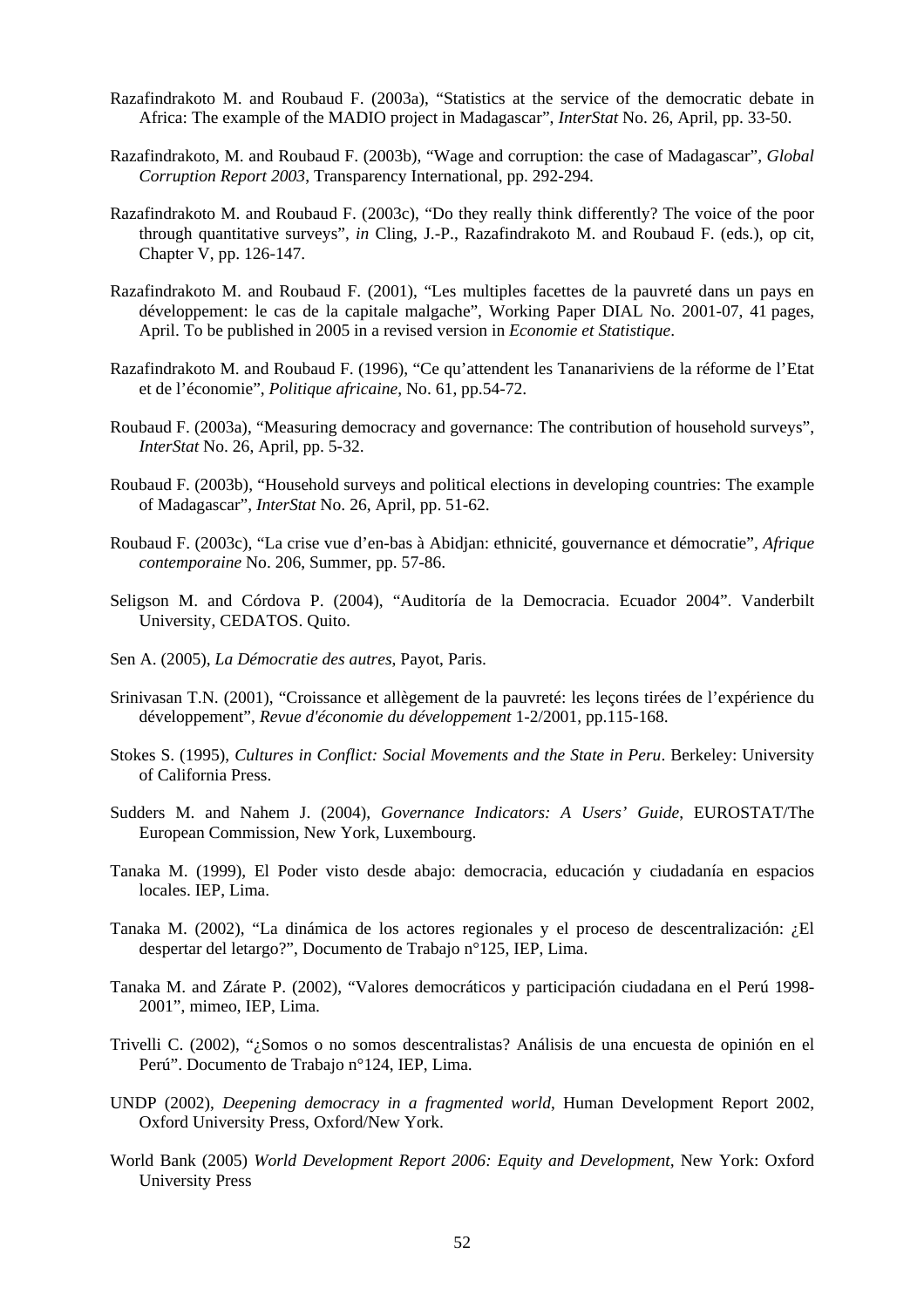- Razafindrakoto M. and Roubaud F. (2003a), "Statistics at the service of the democratic debate in Africa: The example of the MADIO project in Madagascar", *InterStat* No. 26, April, pp. 33-50.
- Razafindrakoto, M. and Roubaud F. (2003b), "Wage and corruption: the case of Madagascar", *Global Corruption Report 2003*, Transparency International, pp. 292-294.
- Razafindrakoto M. and Roubaud F. (2003c), "Do they really think differently? The voice of the poor through quantitative surveys", *in* Cling, J.-P., Razafindrakoto M. and Roubaud F. (eds.), op cit, Chapter V, pp. 126-147.
- Razafindrakoto M. and Roubaud F. (2001), "Les multiples facettes de la pauvreté dans un pays en développement: le cas de la capitale malgache", Working Paper DIAL No. 2001-07, 41 pages, April. To be published in 2005 in a revised version in *Economie et Statistique*.
- Razafindrakoto M. and Roubaud F. (1996), "Ce qu'attendent les Tananariviens de la réforme de l'Etat et de l'économie", *Politique africaine*, No. 61, pp.54-72.
- Roubaud F. (2003a), "Measuring democracy and governance: The contribution of household surveys", *InterStat* No. 26, April, pp. 5-32.
- Roubaud F. (2003b), "Household surveys and political elections in developing countries: The example of Madagascar", *InterStat* No. 26, April, pp. 51-62.
- Roubaud F. (2003c), "La crise vue d'en-bas à Abidjan: ethnicité, gouvernance et démocratie", *Afrique contemporaine* No. 206, Summer, pp. 57-86.
- Seligson M. and Córdova P. (2004), "Auditoría de la Democracia. Ecuador 2004". Vanderbilt University, CEDATOS. Quito.
- Sen A. (2005), *La Démocratie des autres*, Payot, Paris.
- Srinivasan T.N. (2001), "Croissance et allègement de la pauvreté: les leçons tirées de l'expérience du développement", *Revue d'économie du développement* 1-2/2001, pp.115-168.
- Stokes S. (1995), *Cultures in Conflict: Social Movements and the State in Peru*. Berkeley: University of California Press.
- Sudders M. and Nahem J. (2004), *Governance Indicators: A Users' Guide*, EUROSTAT/The European Commission, New York, Luxembourg.
- Tanaka M. (1999), El Poder visto desde abajo: democracia, educación y ciudadanía en espacios locales. IEP, Lima.
- Tanaka M. (2002), "La dinámica de los actores regionales y el proceso de descentralización: ¿El despertar del letargo?", Documento de Trabajo n°125, IEP, Lima.
- Tanaka M. and Zárate P. (2002), "Valores democráticos y participación ciudadana en el Perú 1998- 2001", mimeo, IEP, Lima.
- Trivelli C. (2002), "¿Somos o no somos descentralistas? Análisis de una encuesta de opinión en el Perú". Documento de Trabajo n°124, IEP, Lima.
- UNDP (2002), *Deepening democracy in a fragmented world*, Human Development Report 2002, Oxford University Press, Oxford/New York.
- World Bank (2005) *World Development Report 2006: Equity and Development,* New York: Oxford University Press